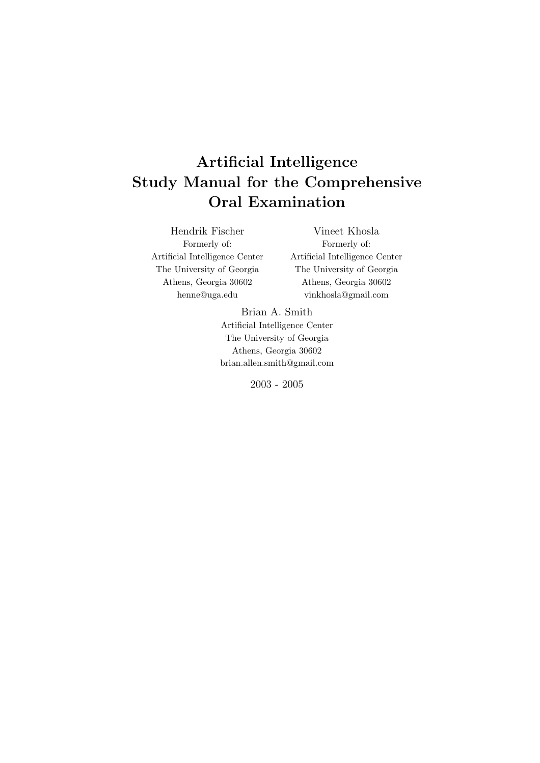# Artificial Intelligence Study Manual for the Comprehensive Oral Examination

Hendrik Fischer Formerly of: Artificial Intelligence Center The University of Georgia Athens, Georgia 30602 henne@uga.edu

Vineet Khosla Formerly of: Artificial Intelligence Center The University of Georgia Athens, Georgia 30602 vinkhosla@gmail.com

Brian A. Smith Artificial Intelligence Center The University of Georgia Athens, Georgia 30602 brian.allen.smith@gmail.com

2003 - 2005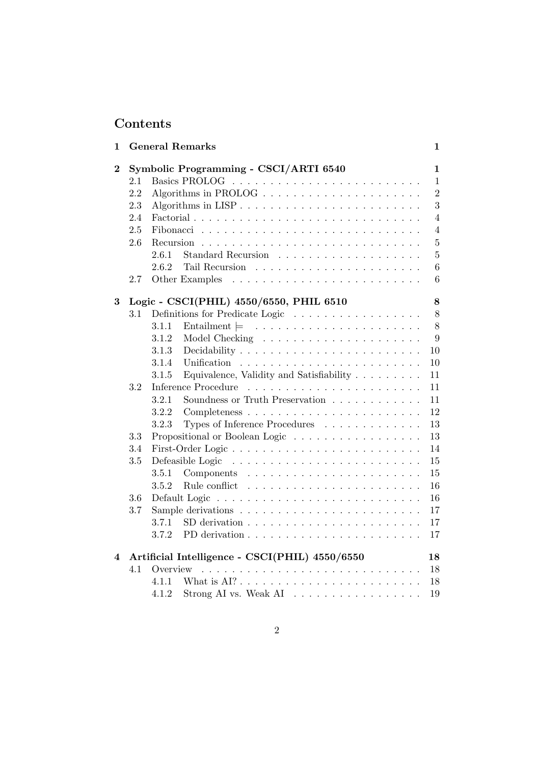# Contents

| 1                |     | <b>General Remarks</b>                                                                | 1              |
|------------------|-----|---------------------------------------------------------------------------------------|----------------|
| $\boldsymbol{2}$ |     | Symbolic Programming - CSCI/ARTI 6540                                                 | 1              |
|                  | 2.1 |                                                                                       | 1              |
|                  | 2.2 | Algorithms in PROLOG $\ldots \ldots \ldots \ldots \ldots \ldots \ldots$               | $\overline{2}$ |
|                  | 2.3 |                                                                                       | 3              |
|                  | 2.4 |                                                                                       | 4              |
|                  | 2.5 |                                                                                       | 4              |
|                  | 2.6 |                                                                                       | 5              |
|                  |     | 2.6.1                                                                                 | 5              |
|                  |     | 2.6.2                                                                                 | 6              |
|                  | 2.7 |                                                                                       | 6              |
| 3                |     | Logic - CSCI(PHIL) 4550/6550, PHIL 6510                                               | 8              |
|                  | 3.1 | Definitions for Predicate Logic                                                       | 8              |
|                  |     | 3.1.1                                                                                 | 8              |
|                  |     | 3.1.2                                                                                 | 9              |
|                  |     | 3.1.3                                                                                 | 10             |
|                  |     | 3.1.4                                                                                 | 10             |
|                  |     | Equivalence, Validity and Satisfiability<br>3.1.5                                     | 11             |
|                  | 3.2 | Inference Procedure                                                                   | 11             |
|                  |     | Soundness or Truth Preservation<br>3.2.1                                              | 11             |
|                  |     | 3.2.2                                                                                 | 12             |
|                  |     | 3.2.3<br>Types of Inference Procedures                                                | 13             |
|                  | 3.3 | Propositional or Boolean Logic                                                        | 13             |
|                  | 3.4 | First-Order Logic                                                                     | 14             |
|                  | 3.5 | Defeasible Logic                                                                      | 15             |
|                  |     | 3.5.1                                                                                 | 15             |
|                  |     | 3.5.2                                                                                 | 16             |
|                  | 3.6 |                                                                                       | 16             |
|                  | 3.7 | Sample derivations $\ldots \ldots \ldots \ldots \ldots \ldots \ldots \ldots$          | 17             |
|                  |     | 3.7.1<br>SD derivation $\ldots \ldots \ldots \ldots \ldots \ldots \ldots$             | 17             |
|                  |     | 3.7.2                                                                                 | 17             |
| 4                |     | Artificial Intelligence - CSCI(PHIL) 4550/6550                                        | 18             |
|                  | 4.1 | Overview                                                                              | 18             |
|                  |     | What is $AI? \ldots \ldots \ldots \ldots \ldots \ldots \ldots \ldots \ldots$<br>4.1.1 | 18             |
|                  |     | Strong AI vs. Weak AI $\ldots \ldots \ldots \ldots \ldots$<br>4.1.2                   | 19             |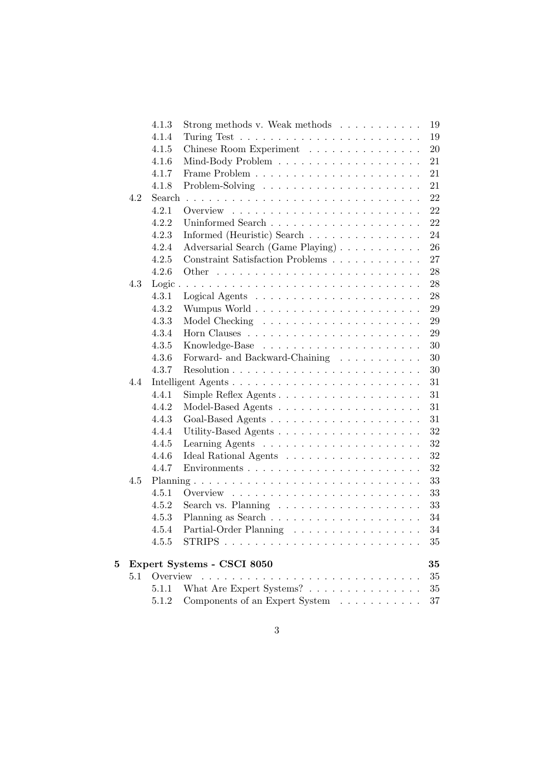|   |     | 4.1.3    | Strong methods v. Weak methods $\ldots \ldots \ldots$<br>19                                       |
|---|-----|----------|---------------------------------------------------------------------------------------------------|
|   |     | 4.1.4    | 19                                                                                                |
|   |     | 4.1.5    | 20<br>Chinese Room Experiment                                                                     |
|   |     | 4.1.6    | 21                                                                                                |
|   |     | 4.1.7    | 21                                                                                                |
|   |     | 4.1.8    | 21                                                                                                |
|   | 4.2 | Search   | 22                                                                                                |
|   |     | 4.2.1    | 22                                                                                                |
|   |     | 4.2.2    | 22                                                                                                |
|   |     | 4.2.3    | Informed (Heuristic) Search<br>24                                                                 |
|   |     | 4.2.4    | 26<br>Adversarial Search (Game Playing)                                                           |
|   |     | 4.2.5    | Constraint Satisfaction Problems<br>27                                                            |
|   |     | 4.2.6    | 28                                                                                                |
|   | 4.3 |          | 28                                                                                                |
|   |     | 4.3.1    | 28<br>Logical Agents $\ldots \ldots \ldots \ldots \ldots \ldots \ldots$                           |
|   |     | 4.3.2    | 29                                                                                                |
|   |     | 4.3.3    | 29                                                                                                |
|   |     | 4.3.4    | 29                                                                                                |
|   |     | 4.3.5    | 30                                                                                                |
|   |     | 4.3.6    | Forward- and Backward-Chaining<br>30                                                              |
|   |     | 4.3.7    | 30                                                                                                |
|   | 4.4 |          | 31                                                                                                |
|   |     | 4.4.1    | 31                                                                                                |
|   |     | 4.4.2    | 31                                                                                                |
|   |     | 4.4.3    | 31                                                                                                |
|   |     | 4.4.4    | 32                                                                                                |
|   |     | 4.4.5    | 32                                                                                                |
|   |     | 4.4.6    | 32                                                                                                |
|   |     | 4.4.7    | 32                                                                                                |
|   | 4.5 |          | 33                                                                                                |
|   |     | 4.5.1    | 33                                                                                                |
|   |     | 4.5.2    | 33<br>Search vs. Planning $\ldots \ldots \ldots \ldots \ldots \ldots$                             |
|   |     | 4.5.3    | 34                                                                                                |
|   |     | 4.5.4    | Partial-Order Planning<br>34                                                                      |
|   |     | 4.5.5    | <b>STRIPS</b><br>35<br>an de la<br>$\mathcal{L}_{\rm{max}}$ . The set of $\mathcal{L}_{\rm{max}}$ |
| 5 |     |          | 35                                                                                                |
|   | 5.1 | Overview | Expert Systems - CSCI 8050<br>$35\,$<br>$\sim$ 100 $\sim$                                         |
|   |     | 5.1.1    | What Are Expert Systems? $\ldots \ldots \ldots \ldots \ldots$<br>$35\,$                           |
|   |     | 5.1.2    | Components of an Expert System<br>$37\,$                                                          |
|   |     |          |                                                                                                   |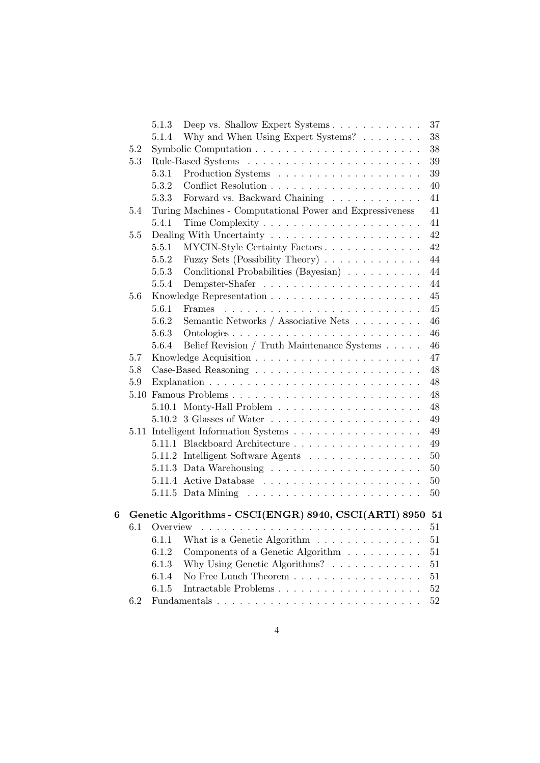|   |     | 5.1.3 | Deep vs. Shallow Expert Systems                                     | 37     |
|---|-----|-------|---------------------------------------------------------------------|--------|
|   |     | 5.1.4 | Why and When Using Expert Systems? $\ldots \ldots$                  | 38     |
|   | 5.2 |       |                                                                     | 38     |
|   | 5.3 |       |                                                                     | 39     |
|   |     | 5.3.1 |                                                                     | 39     |
|   |     | 5.3.2 |                                                                     | 40     |
|   |     | 5.3.3 | Forward vs. Backward Chaining                                       | 41     |
|   | 5.4 |       | Turing Machines - Computational Power and Expressiveness            | 41     |
|   |     | 5.4.1 |                                                                     | 41     |
|   | 5.5 |       |                                                                     | 42     |
|   |     | 5.5.1 | MYCIN-Style Certainty Factors                                       | 42     |
|   |     | 5.5.2 | Fuzzy Sets (Possibility Theory)                                     | 44     |
|   |     | 5.5.3 | Conditional Probabilities (Bayesian)                                | 44     |
|   |     | 5.5.4 |                                                                     | 44     |
|   | 5.6 |       |                                                                     | 45     |
|   |     | 5.6.1 |                                                                     | 45     |
|   |     | 5.6.2 | Semantic Networks / Associative Nets                                | 46     |
|   |     | 5.6.3 |                                                                     | 46     |
|   |     | 5.6.4 | Belief Revision / Truth Maintenance Systems                         | 46     |
|   | 5.7 |       |                                                                     | 47     |
|   | 5.8 |       |                                                                     | 48     |
|   | 5.9 |       |                                                                     | 48     |
|   |     |       | 5.10 Famous Problems                                                | 48     |
|   |     |       |                                                                     | 48     |
|   |     |       |                                                                     | 49     |
|   |     |       | 5.11 Intelligent Information Systems                                | 49     |
|   |     |       | 5.11.1 Blackboard Architecture                                      | 49     |
|   |     |       | 5.11.2 Intelligent Software Agents                                  | 50     |
|   |     |       | 5.11.3 Data Warehousing $\ldots \ldots \ldots \ldots \ldots \ldots$ | 50     |
|   |     |       |                                                                     | 50     |
|   |     |       |                                                                     | 50     |
| 6 |     |       | Genetic Algorithms - CSCI(ENGR) 8940, CSCI(ARTI) 8950 51            |        |
|   |     |       |                                                                     | 51     |
|   |     | 6.1.1 | What is a Genetic Algorithm $\ldots \ldots \ldots \ldots$           | 51     |
|   |     | 6.1.2 | Components of a Genetic Algorithm                                   | 51     |
|   |     | 6.1.3 | Why Using Genetic Algorithms? $\ldots \ldots \ldots \ldots$         | 51     |
|   |     | 6.1.4 | No Free Lunch Theorem $\ldots \ldots \ldots \ldots \ldots \ldots$   | 51     |
|   |     | 6.1.5 |                                                                     | $52\,$ |
|   | 6.2 |       |                                                                     | 52     |
|   |     |       |                                                                     |        |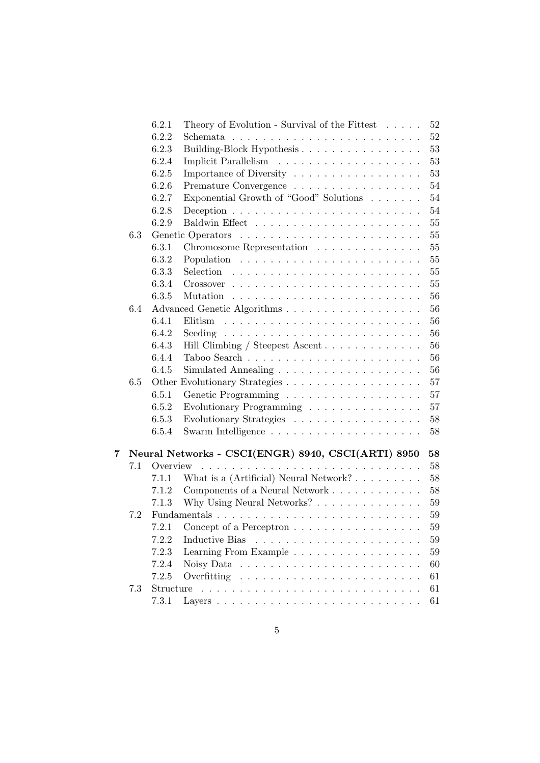|   |     | 6.2.1     | Theory of Evolution - Survival of the Fittest $\ldots$ .<br>$52\,$             |
|---|-----|-----------|--------------------------------------------------------------------------------|
|   |     | 6.2.2     | $52\,$                                                                         |
|   |     | 6.2.3     | 53<br>Building-Block Hypothesis                                                |
|   |     | 6.2.4     | 53                                                                             |
|   |     | 6.2.5     | Importance of Diversity<br>53                                                  |
|   |     | 6.2.6     | 54<br>Premature Convergence $\ldots \ldots \ldots \ldots \ldots \ldots$        |
|   |     | 6.2.7     | Exponential Growth of "Good" Solutions<br>54                                   |
|   |     | 6.2.8     | 54<br>Deception $\ldots \ldots \ldots \ldots \ldots \ldots \ldots \ldots$      |
|   |     | 6.2.9     | 55                                                                             |
|   | 6.3 |           | 55                                                                             |
|   |     | 6.3.1     | $55\,$<br>Chromosome Representation                                            |
|   |     | 6.3.2     | 55                                                                             |
|   |     | 6.3.3     | $55\,$                                                                         |
|   |     | 6.3.4     | $55\,$                                                                         |
|   |     | 6.3.5     | 56                                                                             |
|   | 6.4 |           | 56                                                                             |
|   |     | 6.4.1     | 56                                                                             |
|   |     | 6.4.2     | 56<br>Seeding $\ldots \ldots \ldots \ldots \ldots \ldots \ldots \ldots \ldots$ |
|   |     | 6.4.3     | 56<br>Hill Climbing / Steepest Ascent                                          |
|   |     | 6.4.4     | 56                                                                             |
|   |     | 6.4.5     | 56                                                                             |
|   | 6.5 |           | 57                                                                             |
|   |     | 6.5.1     | 57                                                                             |
|   |     | 6.5.2     | Evolutionary Programming $\ldots \ldots \ldots \ldots \ldots$<br>57            |
|   |     | 6.5.3     | Evolutionary Strategies<br>58                                                  |
|   |     | 6.5.4     | 58                                                                             |
| 7 |     |           | Neural Networks - CSCI(ENGR) 8940, CSCI(ARTI) 8950<br>58                       |
|   | 7.1 | Overview  | 58                                                                             |
|   |     | 7.1.1     | 58                                                                             |
|   |     | 7.1.2     | Components of a Neural Network<br>58                                           |
|   |     | 7.1.3     | Why Using Neural Networks? $\ldots \ldots \ldots \ldots$<br>59                 |
|   | 7.2 |           | 59                                                                             |
|   |     |           | 7.2.1 Concept of a Perceptron $\dots \dots \dots \dots \dots \dots$<br>$59\,$  |
|   |     | 7.2.2     | Inductive Bias<br>59                                                           |
|   |     | 7.2.3     | Learning From Example<br>59                                                    |
|   |     | 7.2.4     | 60                                                                             |
|   |     | 7.2.5     | 61                                                                             |
|   | 7.3 | Structure | 61<br>a de la caractería de la caractería de la caractería de la caractería    |
|   |     | 7.3.1     | 61                                                                             |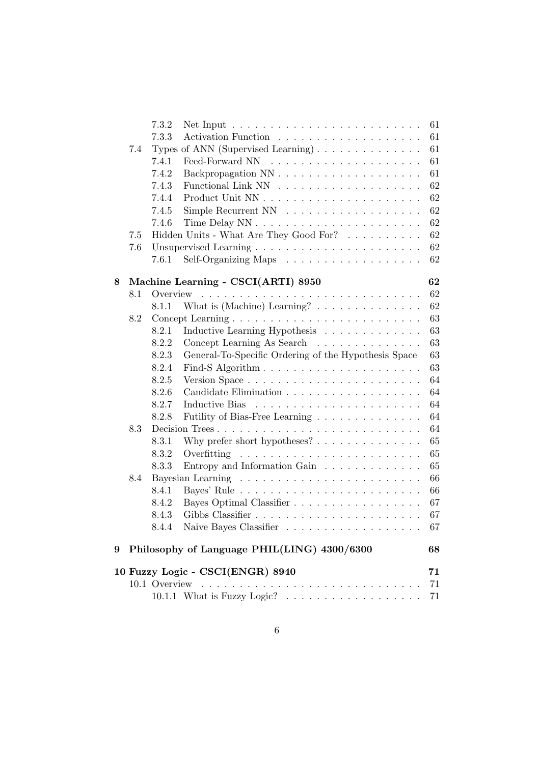|   |     | 7.3.2<br>Net Input $\ldots \ldots \ldots \ldots \ldots \ldots \ldots$ |
|---|-----|-----------------------------------------------------------------------|
|   |     | 7.3.3                                                                 |
|   | 7.4 | Types of ANN (Supervised Learning)                                    |
|   |     | 7.4.1                                                                 |
|   |     | 7.4.2                                                                 |
|   |     | 7.4.3                                                                 |
|   |     | 7.4.4                                                                 |
|   |     | 7.4.5                                                                 |
|   |     | 7.4.6                                                                 |
|   | 7.5 | Hidden Units - What Are They Good For?                                |
|   | 7.6 |                                                                       |
|   |     | Self-Organizing Maps<br>7.6.1                                         |
| 8 |     | Machine Learning - CSCI(ARTI) 8950                                    |
|   | 8.1 |                                                                       |
|   |     | What is (Machine) Learning? $\dots \dots \dots \dots \dots$<br>8.1.1  |
|   | 8.2 |                                                                       |
|   |     | 8.2.1<br>Inductive Learning Hypothesis                                |
|   |     | 8.2.2<br>Concept Learning As Search                                   |
|   |     | General-To-Specific Ordering of the Hypothesis Space<br>8.2.3         |
|   |     | 8.2.4                                                                 |
|   |     | 8.2.5                                                                 |
|   |     | 8.2.6                                                                 |
|   |     | 8.2.7                                                                 |
|   |     | 8.2.8<br>Futility of Bias-Free Learning                               |
|   | 8.3 | Decision Trees                                                        |
|   |     | 8.3.1<br>Why prefer short hypotheses? $\dots \dots \dots \dots$       |
|   |     | 8.3.2<br>Overfitting                                                  |
|   |     | Entropy and Information Gain<br>8.3.3                                 |
|   | 8.4 |                                                                       |
|   |     | 8.4.1                                                                 |
|   |     | Bayes Optimal Classifier<br>8.4.2                                     |
|   |     | 8.4.3                                                                 |
|   |     |                                                                       |
| 9 |     | Philosophy of Language PHIL(LING) 4300/6300                           |
|   |     | 10 Fuzzy Logic - CSCI(ENGR) 8940                                      |
|   |     | 10.1 Overview                                                         |
|   |     |                                                                       |
|   |     |                                                                       |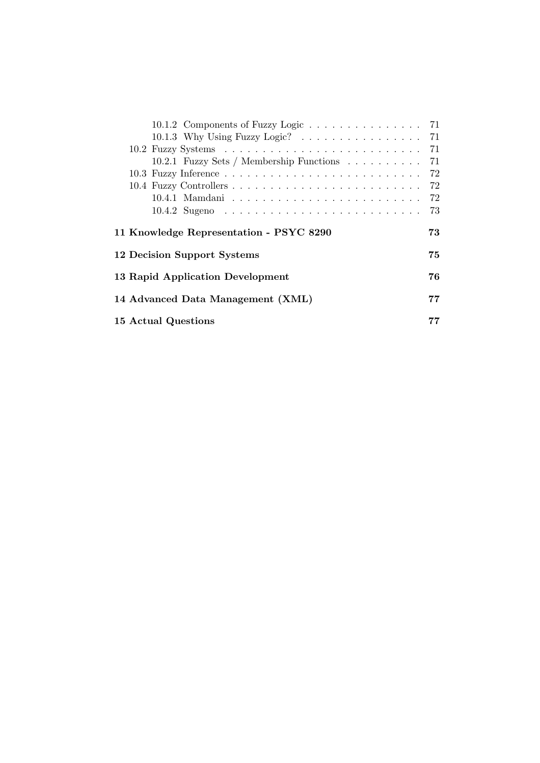| 10.1.2 Components of Fuzzy Logic 71         |     |
|---------------------------------------------|-----|
| 10.1.3 Why Using Fuzzy Logic? 71            |     |
|                                             |     |
| 10.2.1 Fuzzy Sets / Membership Functions 71 |     |
|                                             |     |
|                                             | 72  |
|                                             |     |
|                                             | -73 |
| 11 Knowledge Representation - PSYC 8290     | 73  |
| 12 Decision Support Systems                 | 75  |
| 13 Rapid Application Development            | 76  |
| 14 Advanced Data Management (XML)           | 77  |
| 15 Actual Questions                         |     |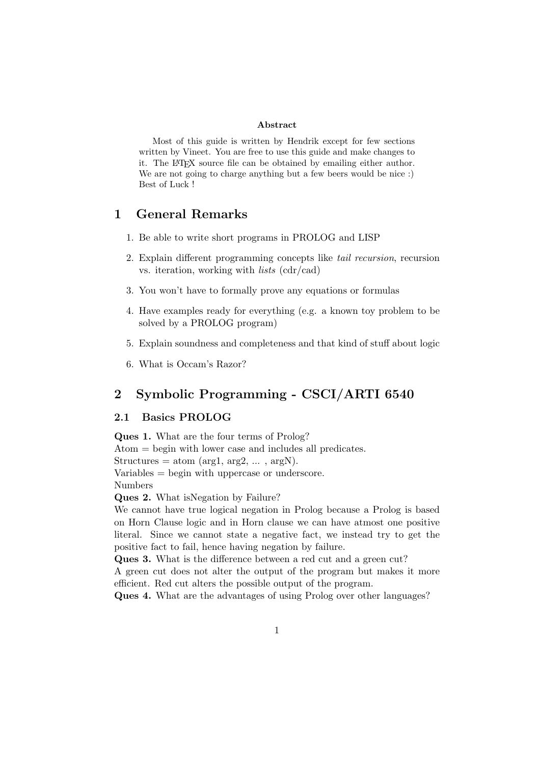### Abstract

Most of this guide is written by Hendrik except for few sections written by Vineet. You are free to use this guide and make changes to it. The LATEX source file can be obtained by emailing either author. We are not going to charge anything but a few beers would be nice :) Best of Luck !

# 1 General Remarks

- 1. Be able to write short programs in PROLOG and LISP
- 2. Explain different programming concepts like tail recursion, recursion vs. iteration, working with lists (cdr/cad)
- 3. You won't have to formally prove any equations or formulas
- 4. Have examples ready for everything (e.g. a known toy problem to be solved by a PROLOG program)
- 5. Explain soundness and completeness and that kind of stuff about logic
- 6. What is Occam's Razor?

# 2 Symbolic Programming - CSCI/ARTI 6540

# 2.1 Basics PROLOG

Ques 1. What are the four terms of Prolog? Atom = begin with lower case and includes all predicates. Structures = atom ( $\arg 1$ ,  $\arg 2$ , ...,  $\arg N$ ). Variables = begin with uppercase or underscore. Numbers Ques 2. What isNegation by Failure?

We cannot have true logical negation in Prolog because a Prolog is based on Horn Clause logic and in Horn clause we can have atmost one positive literal. Since we cannot state a negative fact, we instead try to get the positive fact to fail, hence having negation by failure.

Ques 3. What is the difference between a red cut and a green cut?

A green cut does not alter the output of the program but makes it more efficient. Red cut alters the possible output of the program.

Ques 4. What are the advantages of using Prolog over other languages?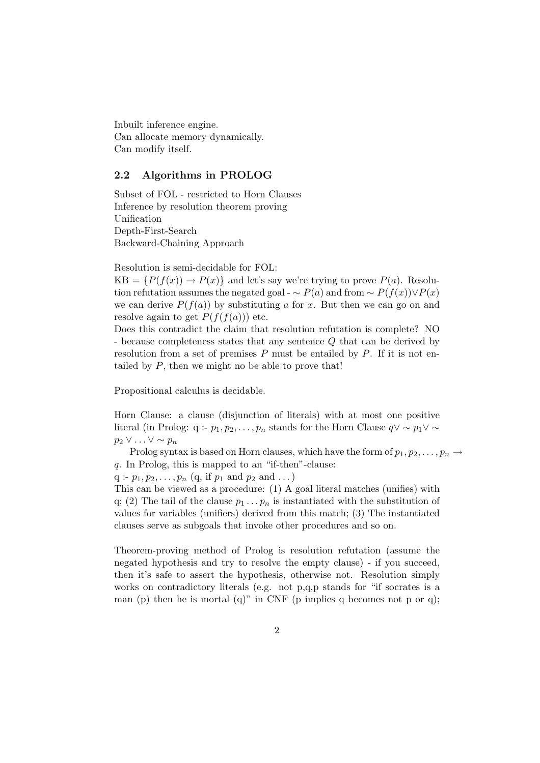Inbuilt inference engine. Can allocate memory dynamically. Can modify itself.

### 2.2 Algorithms in PROLOG

Subset of FOL - restricted to Horn Clauses Inference by resolution theorem proving Unification Depth-First-Search Backward-Chaining Approach

Resolution is semi-decidable for FOL:

 $KB = {P(f(x)) \rightarrow P(x)}$  and let's say we're trying to prove  $P(a)$ . Resolution refutation assumes the negated goal -  $\sim P(a)$  and from  $\sim P(f(x)) \vee P(x)$ we can derive  $P(f(a))$  by substituting a for x. But then we can go on and resolve again to get  $P(f(f(a)))$  etc.

Does this contradict the claim that resolution refutation is complete? NO - because completeness states that any sentence Q that can be derived by resolution from a set of premises  $P$  must be entailed by  $P$ . If it is not entailed by  $P$ , then we might no be able to prove that!

Propositional calculus is decidable.

Horn Clause: a clause (disjunction of literals) with at most one positive literal (in Prolog: q :-  $p_1, p_2, \ldots, p_n$  stands for the Horn Clause  $q \vee \sim p_1 \vee \sim$  $p_2 \vee \ldots \vee \sim p_n$ 

Prolog syntax is based on Horn clauses, which have the form of  $p_1, p_2, \ldots, p_n \rightarrow$ q. In Prolog, this is mapped to an "if-then"-clause:

 $q : p_1, p_2, \ldots, p_n$  (q, if  $p_1$  and  $p_2$  and  $\ldots$  )

This can be viewed as a procedure: (1) A goal literal matches (unifies) with q; (2) The tail of the clause  $p_1 \tldots p_n$  is instantiated with the substitution of values for variables (unifiers) derived from this match; (3) The instantiated clauses serve as subgoals that invoke other procedures and so on.

Theorem-proving method of Prolog is resolution refutation (assume the negated hypothesis and try to resolve the empty clause) - if you succeed, then it's safe to assert the hypothesis, otherwise not. Resolution simply works on contradictory literals (e.g. not p,q,p stands for "if socrates is a man (p) then he is mortal (q)" in CNF (p implies q becomes not p or q);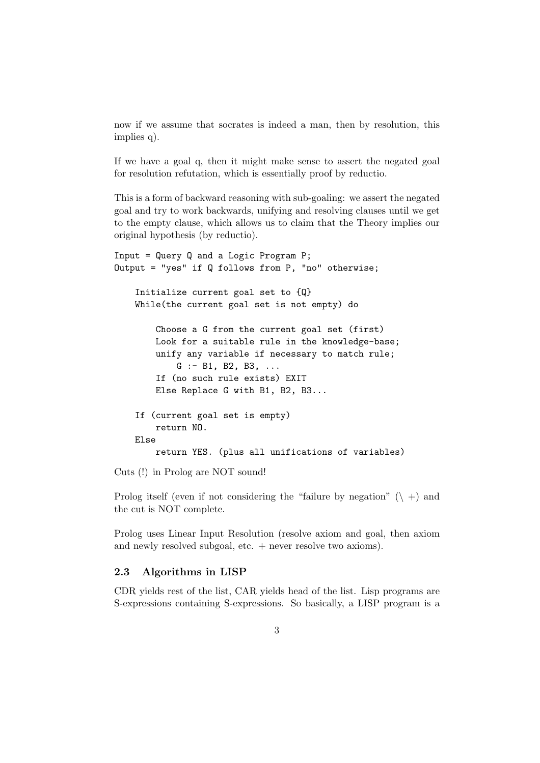now if we assume that socrates is indeed a man, then by resolution, this implies q).

If we have a goal q, then it might make sense to assert the negated goal for resolution refutation, which is essentially proof by reductio.

This is a form of backward reasoning with sub-goaling: we assert the negated goal and try to work backwards, unifying and resolving clauses until we get to the empty clause, which allows us to claim that the Theory implies our original hypothesis (by reductio).

```
Input = Query Q and a Logic Program P;
Output = "yes" if Q follows from P, "no" otherwise;
    Initialize current goal set to {Q}
    While(the current goal set is not empty) do
        Choose a G from the current goal set (first)
        Look for a suitable rule in the knowledge-base;
        unify any variable if necessary to match rule;
            G := B1, B2, B3, ...If (no such rule exists) EXIT
        Else Replace G with B1, B2, B3...
    If (current goal set is empty)
        return NO.
    Else
        return YES. (plus all unifications of variables)
```
Cuts (!) in Prolog are NOT sound!

Prolog itself (even if not considering the "failure by negation"  $(\n\cdot)$  +) and the cut is NOT complete.

Prolog uses Linear Input Resolution (resolve axiom and goal, then axiom and newly resolved subgoal, etc. + never resolve two axioms).

# 2.3 Algorithms in LISP

CDR yields rest of the list, CAR yields head of the list. Lisp programs are S-expressions containing S-expressions. So basically, a LISP program is a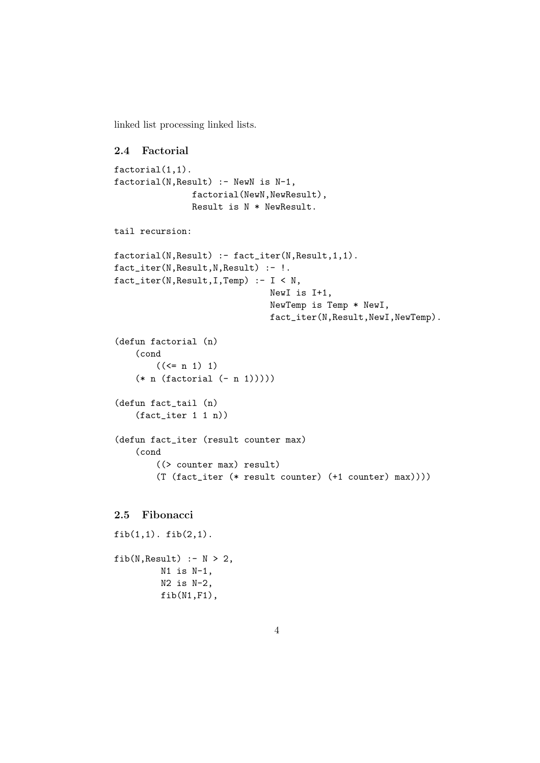linked list processing linked lists.

#### 2.4 Factorial

```
factorial(1,1).
factorial(N,Result) :- NewN is N-1,
               factorial(NewN,NewResult),
               Result is N * NewResult.
tail recursion:
factorial(N, Result) :- fact_iter(N, Result, 1, 1).
fact_iter(N,Result,N,Result) :- !.
fact_iter(N,Result,I,Temp) :- I < N,
                              NewI is I+1,
                               NewTemp is Temp * NewI,
                               fact_iter(N,Result,NewI,NewTemp).
(defun factorial (n)
    (cond
        ((\le n 1) 1)(* n (factorial (- n 1)))))
(defun fact_tail (n)
    (fact_iter 1 1 n))
(defun fact_iter (result counter max)
    (cond
        ((> counter max) result)
        (T (fact_iter (* result counter) (+1 counter) max))))
```
# 2.5 Fibonacci

```
fib(1,1). fib(2,1).
fib(N,Result) :- N > 2,N1 is N-1,
         N2 is N-2,
         fib(N1,F1),
```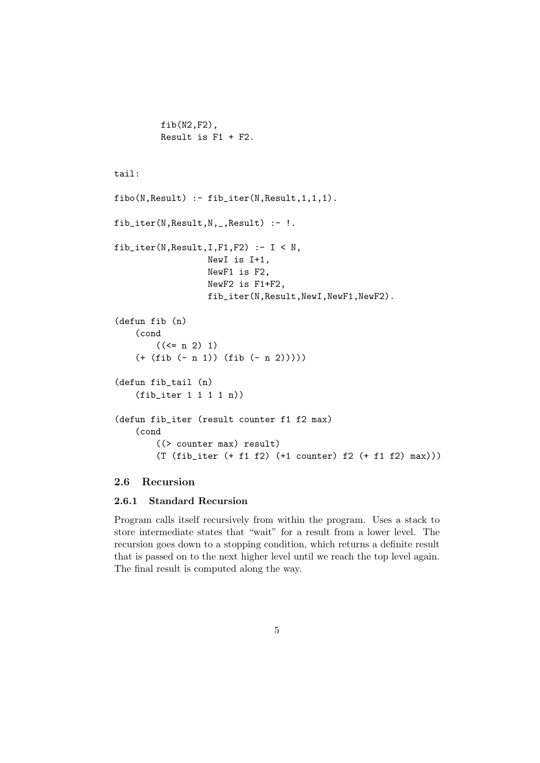```
fib(N2,F2),
Result is F1 + F2.
```
# tail:

```
fibo(N,Result) :- fib_iter(N,Result,1,1,1).
fib_iter(N,Result,N,_,Result) :- !.
fib_iter(N,Result,I,F1,F2) :- I < N,
                  NewI is I+1,
                  NewF1 is F2,
                  NewF2 is F1+F2,
                  fib_iter(N,Result,NewI,NewF1,NewF2).
(defun fib (n)
    (cond
        ((\leq n 2) 1)(+ (fib (- n 1)) (fib (- n 2))))(defun fib_tail (n)
    (fib_iter 1 1 1 1 n))
(defun fib_iter (result counter f1 f2 max)
    (cond
        ((> counter max) result)
        (T (fib_iter (+ f1 f2) (+1 counter) f2 (+ f1 f2) max)))
```
# 2.6 Recursion

### 2.6.1 Standard Recursion

Program calls itself recursively from within the program. Uses a stack to store intermediate states that "wait" for a result from a lower level. The recursion goes down to a stopping condition, which returns a definite result that is passed on to the next higher level until we reach the top level again. The final result is computed along the way.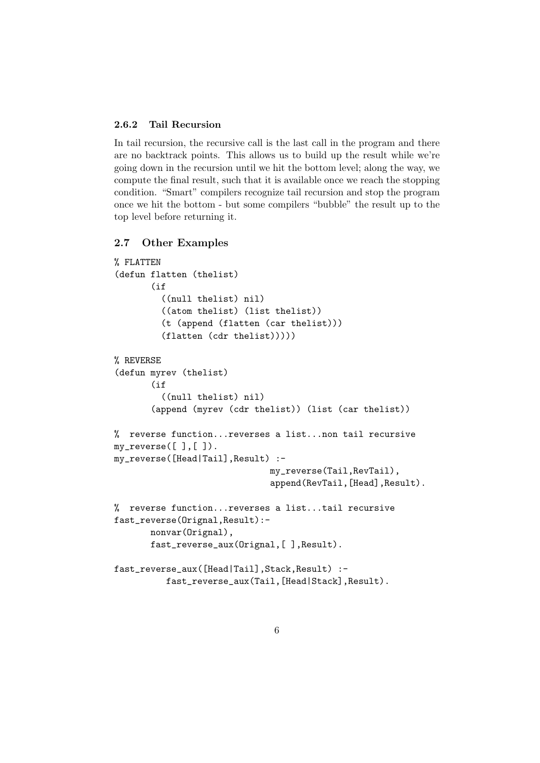### 2.6.2 Tail Recursion

In tail recursion, the recursive call is the last call in the program and there are no backtrack points. This allows us to build up the result while we're going down in the recursion until we hit the bottom level; along the way, we compute the final result, such that it is available once we reach the stopping condition. "Smart" compilers recognize tail recursion and stop the program once we hit the bottom - but some compilers "bubble" the result up to the top level before returning it.

## 2.7 Other Examples

```
% FLATTEN
(defun flatten (thelist)
       (i)((null thelist) nil)
         ((atom thelist) (list thelist))
         (t (append (flatten (car thelist)))
         (flatten (cdr thelist)))))
% REVERSE
(defun myrev (thelist)
       (iif((null thelist) nil)
       (append (myrev (cdr thelist)) (list (car thelist))
% reverse function...reverses a list...non tail recursive
my\_reverse([ ], [ ]).my_reverse([Head|Tail],Result) :-
                              my_reverse(Tail,RevTail),
                              append(RevTail,[Head],Result).
% reverse function...reverses a list...tail recursive
fast_reverse(Orignal,Result):-
       nonvar(Orignal),
       fast_reverse_aux(Orignal,[ ],Result).
fast_reverse_aux([Head|Tail],Stack,Result) :-
          fast_reverse_aux(Tail,[Head|Stack],Result).
```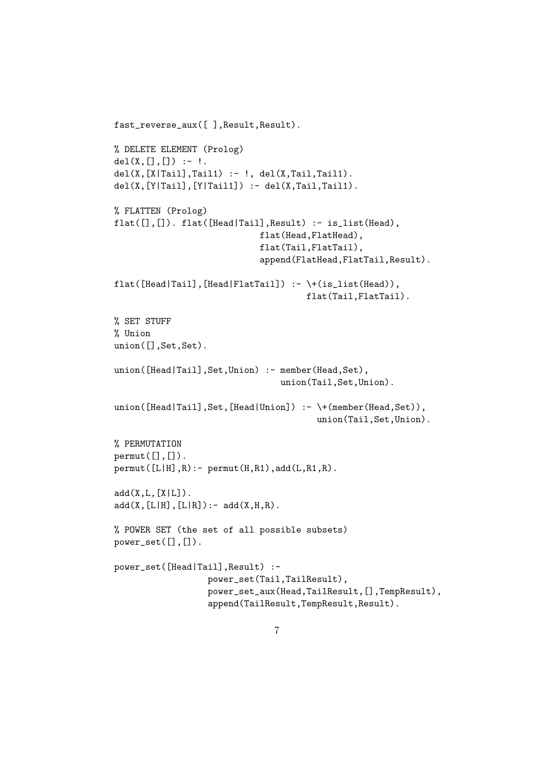```
fast_reverse_aux([ ],Result,Result).
% DELETE ELEMENT (Prolog)
del(X, [] , [] ) :- !.
del(X, [X|Tail], Tail1) :- !, del(X, Tail1).
del(X, [Y|Tail], [Y|Tail]) :- del(X, Tail, Tail).% FLATTEN (Prolog)
flat([],[]). flat([Head|Tail], Result) :- is_list(Head),
                             flat(Head,FlatHead),
                             flat(Tail,FlatTail),
                             append(FlatHead,FlatTail,Result).
flat([Head|Tail],[Head|FlatTail]) :- \+(is_list(Head)),
                                      flat(Tail,FlatTail).
% SET STUFF
% Union
union([],Set,Set).
union([Head|Tail],Set,Union) :- member(Head,Set),
                                 union(Tail,Set,Union).
union([Head|Tail],Set,[Head|Union]) :- \+(member(Head,Set)),
                                        union(Tail,Set,Union).
% PERMUTATION
permut([], []).
permut([L|H], R):- permut(H, R1),add(L, R1, R).
add(X, L, [X|L]).
add(X, [L|H], [L|R]) :- add(X,H,R).
% POWER SET (the set of all possible subsets)
power_set([],[]).
power_set([Head|Tail],Result) :-
                  power_set(Tail,TailResult),
                  power_set_aux(Head,TailResult,[],TempResult),
                  append(TailResult,TempResult,Result).
```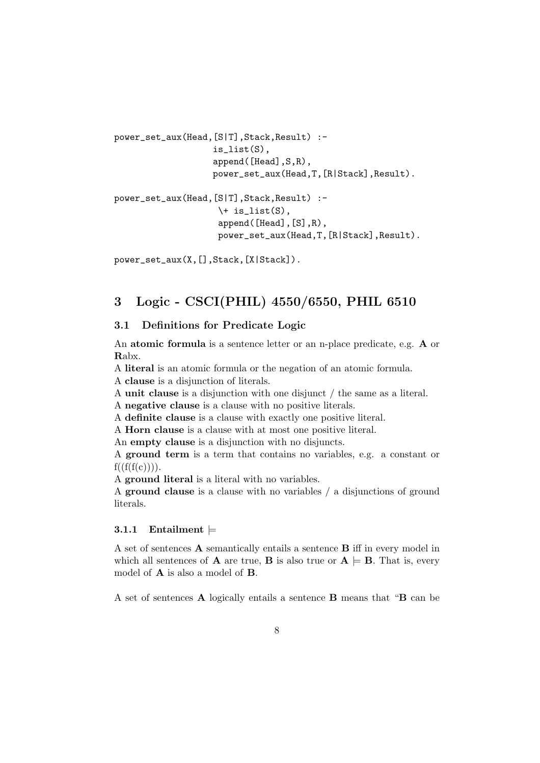```
power_set_aux(Head,[S|T],Stack,Result) :-
                   is_list(S),
                   append([Head],S,R),
                   power_set_aux(Head,T,[R|Stack],Result).
power_set_aux(Head,[S|T],Stack,Result) :-
                    \iota is_list(S),
                    append([Head],[S],R),
                    power_set_aux(Head,T,[R|Stack],Result).
```
power\_set\_aux(X,[],Stack,[X|Stack]).

# 3 Logic - CSCI(PHIL) 4550/6550, PHIL 6510

# 3.1 Definitions for Predicate Logic

An atomic formula is a sentence letter or an n-place predicate, e.g. A or Rabx.

A literal is an atomic formula or the negation of an atomic formula. A clause is a disjunction of literals.

A unit clause is a disjunction with one disjunct / the same as a literal.

A negative clause is a clause with no positive literals.

A definite clause is a clause with exactly one positive literal.

A Horn clause is a clause with at most one positive literal.

An empty clause is a disjunction with no disjuncts.

A ground term is a term that contains no variables, e.g. a constant or  $f(f(f(c))))$ .

A ground literal is a literal with no variables.

A ground clause is a clause with no variables / a disjunctions of ground literals.

# 3.1.1 Entailment  $\models$

A set of sentences A semantically entails a sentence B iff in every model in which all sentences of **A** are true, **B** is also true or  $A \models B$ . That is, every model of A is also a model of B.

A set of sentences A logically entails a sentence B means that "B can be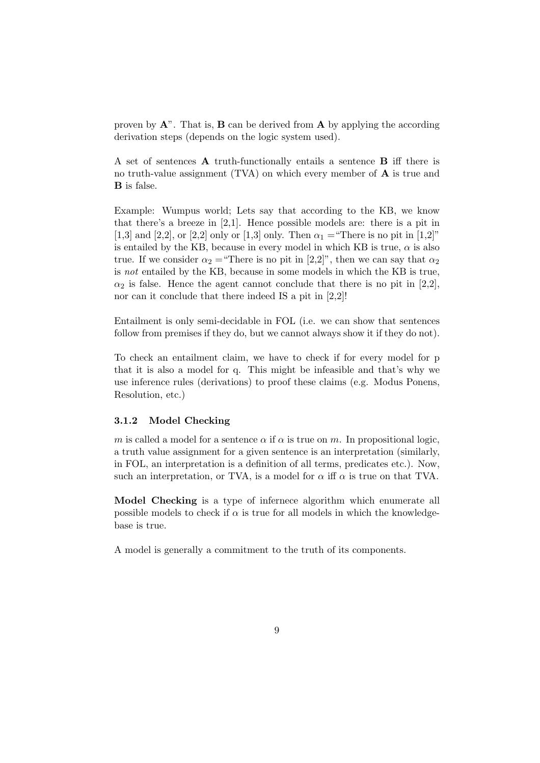proven by  $\mathbf{A}^n$ . That is,  $\mathbf{B}$  can be derived from  $\mathbf{A}$  by applying the according derivation steps (depends on the logic system used).

A set of sentences A truth-functionally entails a sentence B iff there is no truth-value assignment (TVA) on which every member of A is true and B is false.

Example: Wumpus world; Lets say that according to the KB, we know that there's a breeze in [2,1]. Hence possible models are: there is a pit in [1,3] and [2,2], or [2,2] only or [1,3] only. Then  $\alpha_1$  = "There is no pit in [1,2]" is entailed by the KB, because in every model in which KB is true,  $\alpha$  is also true. If we consider  $\alpha_2$  = "There is no pit in [2,2]", then we can say that  $\alpha_2$ is not entailed by the KB, because in some models in which the KB is true,  $\alpha_2$  is false. Hence the agent cannot conclude that there is no pit in [2,2], nor can it conclude that there indeed IS a pit in [2,2]!

Entailment is only semi-decidable in FOL (i.e. we can show that sentences follow from premises if they do, but we cannot always show it if they do not).

To check an entailment claim, we have to check if for every model for p that it is also a model for q. This might be infeasible and that's why we use inference rules (derivations) to proof these claims (e.g. Modus Ponens, Resolution, etc.)

#### 3.1.2 Model Checking

m is called a model for a sentence  $\alpha$  if  $\alpha$  is true on m. In propositional logic, a truth value assignment for a given sentence is an interpretation (similarly, in FOL, an interpretation is a definition of all terms, predicates etc.). Now, such an interpretation, or TVA, is a model for  $\alpha$  iff  $\alpha$  is true on that TVA.

Model Checking is a type of infernece algorithm which enumerate all possible models to check if  $\alpha$  is true for all models in which the knowledgebase is true.

A model is generally a commitment to the truth of its components.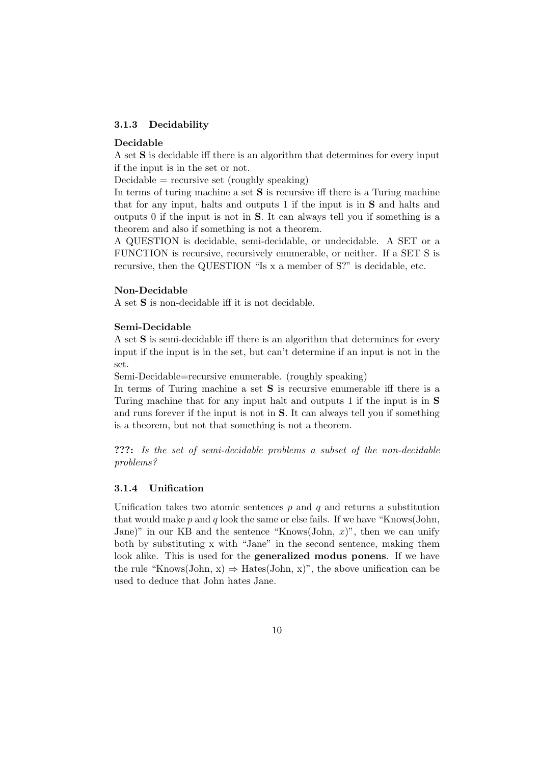#### 3.1.3 Decidability

#### Decidable

A set S is decidable iff there is an algorithm that determines for every input if the input is in the set or not.

 $Decidable = recursive set (roughly speaking)$ 

In terms of turing machine a set S is recursive iff there is a Turing machine that for any input, halts and outputs 1 if the input is in S and halts and outputs 0 if the input is not in S. It can always tell you if something is a theorem and also if something is not a theorem.

A QUESTION is decidable, semi-decidable, or undecidable. A SET or a FUNCTION is recursive, recursively enumerable, or neither. If a SET S is recursive, then the QUESTION "Is x a member of S?" is decidable, etc.

#### Non-Decidable

A set S is non-decidable iff it is not decidable.

#### Semi-Decidable

A set S is semi-decidable iff there is an algorithm that determines for every input if the input is in the set, but can't determine if an input is not in the set.

Semi-Decidable=recursive enumerable. (roughly speaking)

In terms of Turing machine a set S is recursive enumerable iff there is a Turing machine that for any input halt and outputs 1 if the input is in S and runs forever if the input is not in S. It can always tell you if something is a theorem, but not that something is not a theorem.

???: Is the set of semi-decidable problems a subset of the non-decidable problems?

#### 3.1.4 Unification

Unification takes two atomic sentences  $p$  and  $q$  and returns a substitution that would make  $p$  and  $q$  look the same or else fails. If we have "Knows(John, Jane)" in our KB and the sentence "Knows(John, x)", then we can unify both by substituting x with "Jane" in the second sentence, making them look alike. This is used for the **generalized modus ponens**. If we have the rule "Knows(John, x)  $\Rightarrow$  Hates(John, x)", the above unification can be used to deduce that John hates Jane.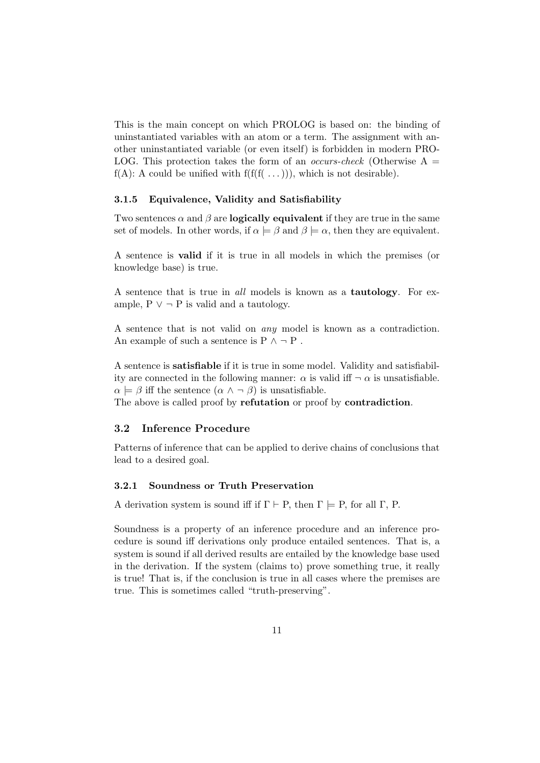This is the main concept on which PROLOG is based on: the binding of uninstantiated variables with an atom or a term. The assignment with another uninstantiated variable (or even itself) is forbidden in modern PRO-LOG. This protection takes the form of an *occurs-check* (Otherwise  $A =$  $f(A)$ : A could be unified with  $f(f(f(\ldots)))$ , which is not desirable).

#### 3.1.5 Equivalence, Validity and Satisfiability

Two sentences  $\alpha$  and  $\beta$  are **logically equivalent** if they are true in the same set of models. In other words, if  $\alpha \models \beta$  and  $\beta \models \alpha$ , then they are equivalent.

A sentence is valid if it is true in all models in which the premises (or knowledge base) is true.

A sentence that is true in all models is known as a tautology. For example,  $P \vee \neg P$  is valid and a tautology.

A sentence that is not valid on any model is known as a contradiction. An example of such a sentence is P  $\land \neg P$ .

A sentence is satisfiable if it is true in some model. Validity and satisfiability are connected in the following manner:  $\alpha$  is valid iff  $\neg \alpha$  is unsatisfiable.  $\alpha \models \beta$  iff the sentence  $(\alpha \land \neg \beta)$  is unsatisfiable.

The above is called proof by refutation or proof by contradiction.

#### 3.2 Inference Procedure

Patterns of inference that can be applied to derive chains of conclusions that lead to a desired goal.

#### 3.2.1 Soundness or Truth Preservation

A derivation system is sound iff if  $\Gamma \vdash P$ , then  $\Gamma \models P$ , for all  $\Gamma$ , P.

Soundness is a property of an inference procedure and an inference procedure is sound iff derivations only produce entailed sentences. That is, a system is sound if all derived results are entailed by the knowledge base used in the derivation. If the system (claims to) prove something true, it really is true! That is, if the conclusion is true in all cases where the premises are true. This is sometimes called "truth-preserving".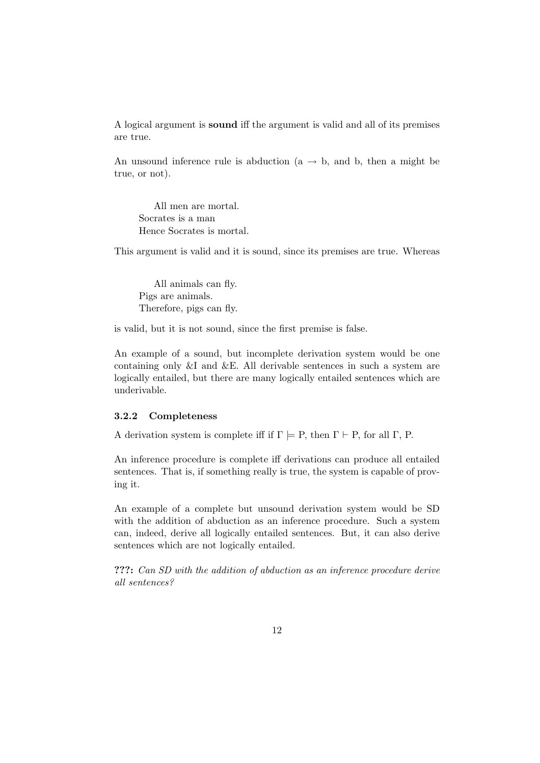A logical argument is sound iff the argument is valid and all of its premises are true.

An unsound inference rule is abduction  $(a \rightarrow b, a]$ , then a might be true, or not).

All men are mortal. Socrates is a man Hence Socrates is mortal.

This argument is valid and it is sound, since its premises are true. Whereas

All animals can fly. Pigs are animals. Therefore, pigs can fly.

is valid, but it is not sound, since the first premise is false.

An example of a sound, but incomplete derivation system would be one containing only &I and &E. All derivable sentences in such a system are logically entailed, but there are many logically entailed sentences which are underivable.

# 3.2.2 Completeness

A derivation system is complete iff if  $\Gamma \models P$ , then  $\Gamma \vdash P$ , for all  $\Gamma$ , P.

An inference procedure is complete iff derivations can produce all entailed sentences. That is, if something really is true, the system is capable of proving it.

An example of a complete but unsound derivation system would be SD with the addition of abduction as an inference procedure. Such a system can, indeed, derive all logically entailed sentences. But, it can also derive sentences which are not logically entailed.

???: Can SD with the addition of abduction as an inference procedure derive all sentences?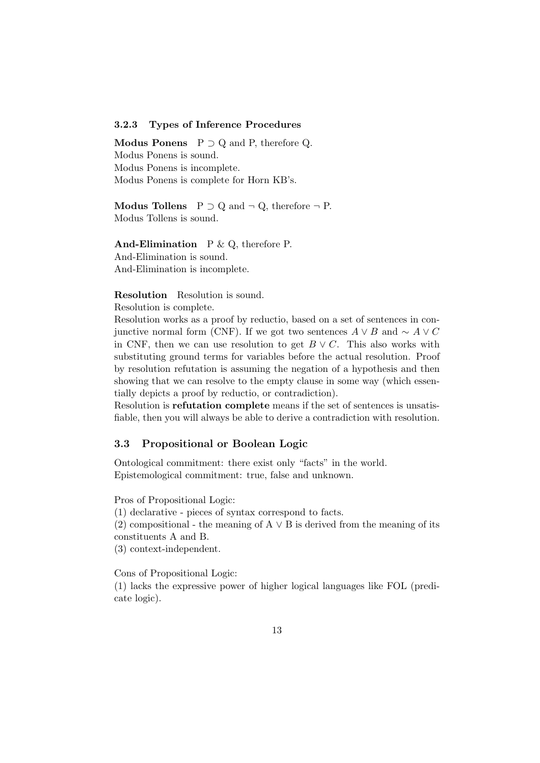# 3.2.3 Types of Inference Procedures

Modus Ponens  $P \supset Q$  and P, therefore Q. Modus Ponens is sound. Modus Ponens is incomplete. Modus Ponens is complete for Horn KB's.

Modus Tollens  $P \supset Q$  and  $\neg Q$ , therefore  $\neg P$ . Modus Tollens is sound.

And-Elimination  $P \& Q$ , therefore P. And-Elimination is sound. And-Elimination is incomplete.

#### Resolution Resolution is sound.

Resolution is complete.

Resolution works as a proof by reductio, based on a set of sentences in conjunctive normal form (CNF). If we got two sentences  $A \vee B$  and  $\sim A \vee C$ in CNF, then we can use resolution to get  $B \vee C$ . This also works with substituting ground terms for variables before the actual resolution. Proof by resolution refutation is assuming the negation of a hypothesis and then showing that we can resolve to the empty clause in some way (which essentially depicts a proof by reductio, or contradiction).

Resolution is refutation complete means if the set of sentences is unsatisfiable, then you will always be able to derive a contradiction with resolution.

# 3.3 Propositional or Boolean Logic

Ontological commitment: there exist only "facts" in the world. Epistemological commitment: true, false and unknown.

Pros of Propositional Logic:

(1) declarative - pieces of syntax correspond to facts.

(2) compositional - the meaning of  $A \vee B$  is derived from the meaning of its constituents A and B.

(3) context-independent.

Cons of Propositional Logic:

(1) lacks the expressive power of higher logical languages like FOL (predicate logic).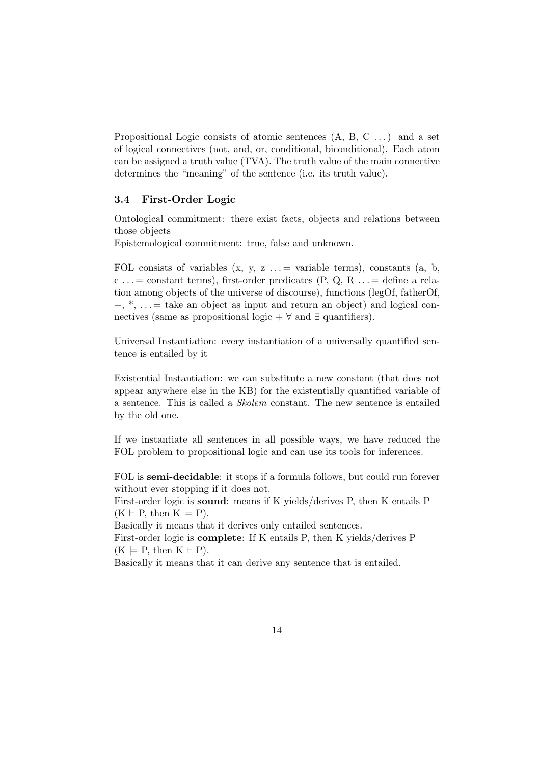Propositional Logic consists of atomic sentences  $(A, B, C, \ldots)$  and a set of logical connectives (not, and, or, conditional, biconditional). Each atom can be assigned a truth value (TVA). The truth value of the main connective determines the "meaning" of the sentence (i.e. its truth value).

# 3.4 First-Order Logic

Ontological commitment: there exist facts, objects and relations between those objects

Epistemological commitment: true, false and unknown.

FOL consists of variables  $(x, y, z ... = x^{\text{triangle}})$ , constants  $(a, b, z)$ c ...= constant terms), first-order predicates  $(P, Q, R ... =$  define a relation among objects of the universe of discourse), functions (legOf, fatherOf,  $+, *$ ,  $\ldots =$  take an object as input and return an object) and logical connectives (same as propositional logic +  $\forall$  and  $\exists$  quantifiers).

Universal Instantiation: every instantiation of a universally quantified sentence is entailed by it

Existential Instantiation: we can substitute a new constant (that does not appear anywhere else in the KB) for the existentially quantified variable of a sentence. This is called a Skolem constant. The new sentence is entailed by the old one.

If we instantiate all sentences in all possible ways, we have reduced the FOL problem to propositional logic and can use its tools for inferences.

FOL is semi-decidable: it stops if a formula follows, but could run forever without ever stopping if it does not.

First-order logic is sound: means if K yields/derives P, then K entails P  $(K \vdash P, \text{ then } K \models P).$ 

Basically it means that it derives only entailed sentences.

First-order logic is complete: If K entails P, then K yields/derives P  $(K \models P, \text{ then } K \vdash P).$ 

Basically it means that it can derive any sentence that is entailed.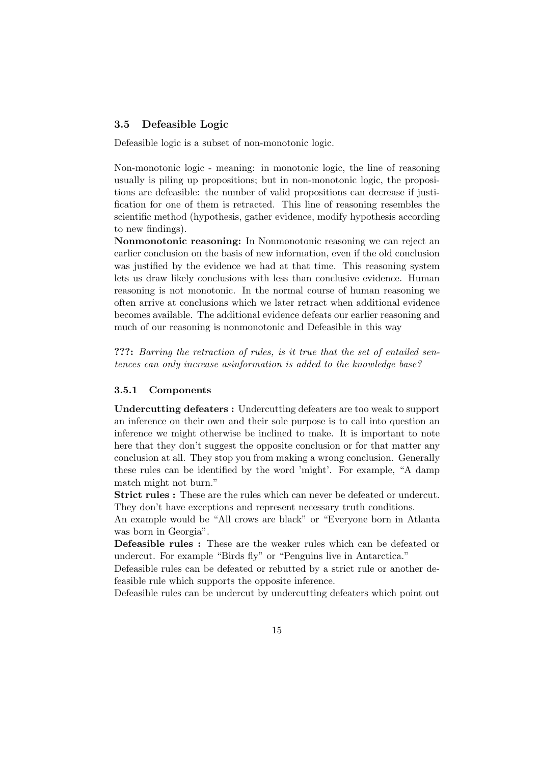# 3.5 Defeasible Logic

Defeasible logic is a subset of non-monotonic logic.

Non-monotonic logic - meaning: in monotonic logic, the line of reasoning usually is piling up propositions; but in non-monotonic logic, the propositions are defeasible: the number of valid propositions can decrease if justification for one of them is retracted. This line of reasoning resembles the scientific method (hypothesis, gather evidence, modify hypothesis according to new findings).

Nonmonotonic reasoning: In Nonmonotonic reasoning we can reject an earlier conclusion on the basis of new information, even if the old conclusion was justified by the evidence we had at that time. This reasoning system lets us draw likely conclusions with less than conclusive evidence. Human reasoning is not monotonic. In the normal course of human reasoning we often arrive at conclusions which we later retract when additional evidence becomes available. The additional evidence defeats our earlier reasoning and much of our reasoning is nonmonotonic and Defeasible in this way

???: Barring the retraction of rules, is it true that the set of entailed sentences can only increase asinformation is added to the knowledge base?

#### 3.5.1 Components

Undercutting defeaters : Undercutting defeaters are too weak to support an inference on their own and their sole purpose is to call into question an inference we might otherwise be inclined to make. It is important to note here that they don't suggest the opposite conclusion or for that matter any conclusion at all. They stop you from making a wrong conclusion. Generally these rules can be identified by the word 'might'. For example, "A damp match might not burn."

Strict rules : These are the rules which can never be defeated or undercut. They don't have exceptions and represent necessary truth conditions.

An example would be "All crows are black" or "Everyone born in Atlanta was born in Georgia".

Defeasible rules : These are the weaker rules which can be defeated or undercut. For example "Birds fly" or "Penguins live in Antarctica."

Defeasible rules can be defeated or rebutted by a strict rule or another defeasible rule which supports the opposite inference.

Defeasible rules can be undercut by undercutting defeaters which point out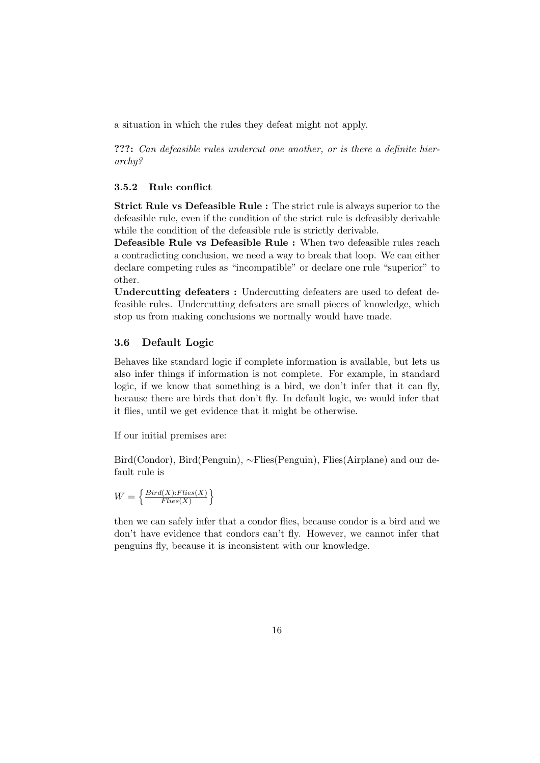a situation in which the rules they defeat might not apply.

???: Can defeasible rules undercut one another, or is there a definite hierarchy?

#### 3.5.2 Rule conflict

Strict Rule vs Defeasible Rule : The strict rule is always superior to the defeasible rule, even if the condition of the strict rule is defeasibly derivable while the condition of the defeasible rule is strictly derivable.

Defeasible Rule vs Defeasible Rule : When two defeasible rules reach a contradicting conclusion, we need a way to break that loop. We can either declare competing rules as "incompatible" or declare one rule "superior" to other.

Undercutting defeaters : Undercutting defeaters are used to defeat defeasible rules. Undercutting defeaters are small pieces of knowledge, which stop us from making conclusions we normally would have made.

### 3.6 Default Logic

Behaves like standard logic if complete information is available, but lets us also infer things if information is not complete. For example, in standard logic, if we know that something is a bird, we don't infer that it can fly, because there are birds that don't fly. In default logic, we would infer that it flies, until we get evidence that it might be otherwise.

If our initial premises are:

Bird(Condor), Bird(Penguin), ∼Flies(Penguin), Flies(Airplane) and our default rule is

$$
W = \left\{ \frac{Bird(X). Flies(X)}{Flies(X)} \right\}
$$

then we can safely infer that a condor flies, because condor is a bird and we don't have evidence that condors can't fly. However, we cannot infer that penguins fly, because it is inconsistent with our knowledge.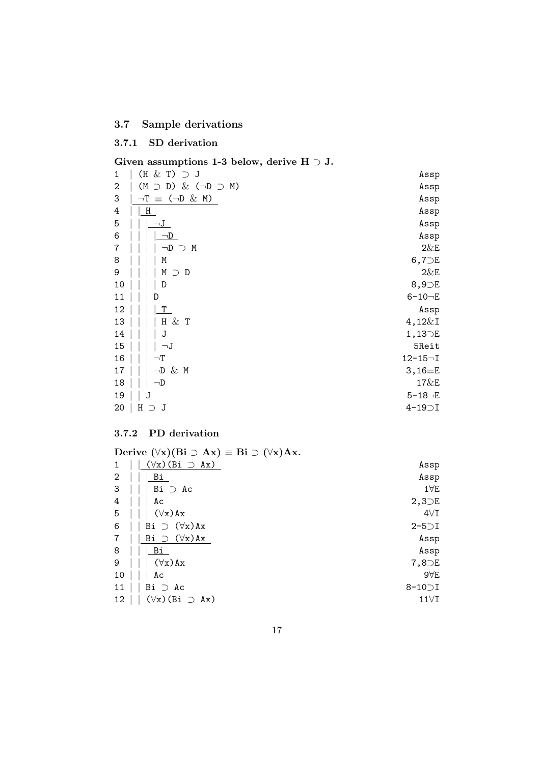# 3.7 Sample derivations

# 3.7.1 SD derivation

# Given assumptions 1-3 below, derive H  $\supset$  J.

| $(H & T) \supset J$                          | Assp                  |
|----------------------------------------------|-----------------------|
| $\supset$ D) & ( $\neg$ D $\supset$ M)<br>(M | Assp                  |
| $\equiv$ ( $\neg$ D & M)<br>$\neg T$         | Assp                  |
| $H_{\parallel}$                              | Assp                  |
| $\neg J$                                     | Assp                  |
| $\neg D$                                     | Assp                  |
| $\neg D$<br>М<br>$\bigcap$                   | $2\&E$                |
| Μ                                            | $6,7$ DE              |
| М<br>$\supset$ D                             | $2\&E$                |
| D                                            | $8,9$ <sub>D</sub> E  |
|                                              | $6 - 10 - E$          |
| Т                                            | Assp                  |
| $\&$ T<br>Н                                  | $4,12\&1$             |
| J                                            | $1,13$ <sub>D</sub> E |
| —J                                           | 5Reit                 |
| $\neg$ T                                     | $12 - 15 - I$         |
| $\neg D \& M$                                | $3,16 = E$            |
| ⊣D                                           | 17&E                  |
| J                                            | $5 - 18 - E$          |
| Η<br>J<br>⊃                                  | $4-19$ $\supset$ I    |
|                                              |                       |

# 3.7.2 PD derivation

|    | Derive $(\forall x)(Bi \supset Ax) \equiv Bi \supset (\forall x)Ax$ . |                    |
|----|-----------------------------------------------------------------------|--------------------|
|    | $(\forall x)$ (Bi $\supset$ Ax)                                       | Assp               |
| 2  | Вi                                                                    | Assp               |
| 3  | $Bi \supset Ac$                                                       | $1\forall E$       |
| 4  | Aс                                                                    | $2,3$ DE           |
| 5  | $(\forall x)$ Ax                                                      | $4\forall I$       |
| 6  | Bi $\supset (\forall x)$ Ax                                           | $2-5$ $\ni$ I      |
| 7  | Bi $\supset (\forall x)$ Ax                                           | Assp               |
| 8  | Bi                                                                    | Assp               |
| 9  | $(\forall x)$ Ax                                                      | $7,8$ DE           |
| 10 | Aс                                                                    | $9\forall E$       |
| 11 | $Bi \supset Ac$                                                       | $8-10$ $\supset$ I |
| 12 | $(\forall x)$ (Bi $\supset$ Ax)                                       | $11\forall$ I      |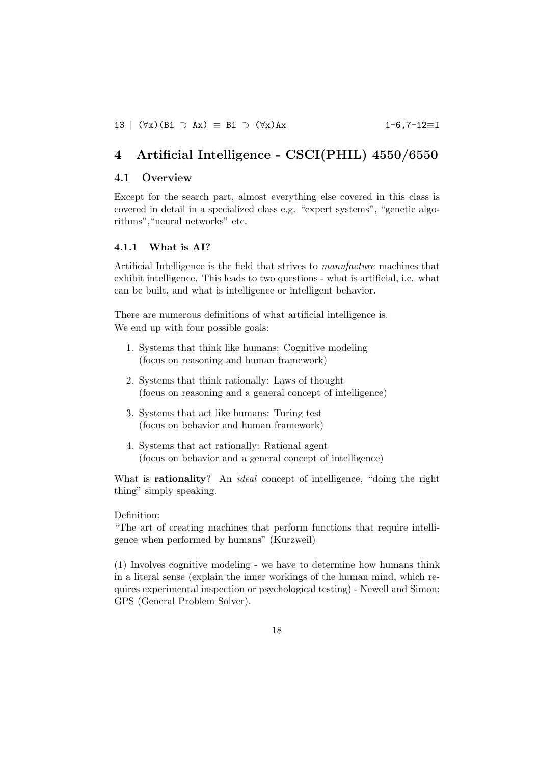# 4 Artificial Intelligence - CSCI(PHIL) 4550/6550

# 4.1 Overview

Except for the search part, almost everything else covered in this class is covered in detail in a specialized class e.g. "expert systems", "genetic algorithms","neural networks" etc.

#### 4.1.1 What is AI?

Artificial Intelligence is the field that strives to manufacture machines that exhibit intelligence. This leads to two questions - what is artificial, i.e. what can be built, and what is intelligence or intelligent behavior.

There are numerous definitions of what artificial intelligence is. We end up with four possible goals:

- 1. Systems that think like humans: Cognitive modeling (focus on reasoning and human framework)
- 2. Systems that think rationally: Laws of thought (focus on reasoning and a general concept of intelligence)
- 3. Systems that act like humans: Turing test (focus on behavior and human framework)
- 4. Systems that act rationally: Rational agent (focus on behavior and a general concept of intelligence)

What is **rationality**? An *ideal* concept of intelligence, "doing the right thing" simply speaking.

### Definition:

"The art of creating machines that perform functions that require intelligence when performed by humans" (Kurzweil)

(1) Involves cognitive modeling - we have to determine how humans think in a literal sense (explain the inner workings of the human mind, which requires experimental inspection or psychological testing) - Newell and Simon: GPS (General Problem Solver).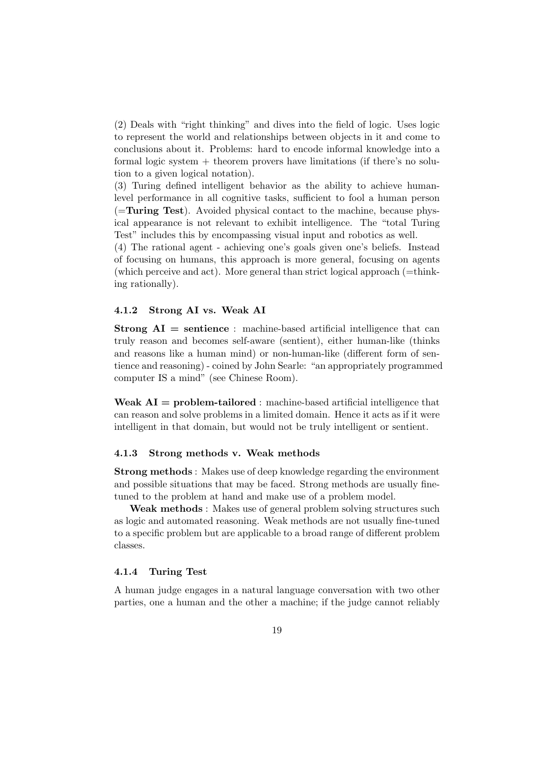(2) Deals with "right thinking" and dives into the field of logic. Uses logic to represent the world and relationships between objects in it and come to conclusions about it. Problems: hard to encode informal knowledge into a formal logic system  $+$  theorem provers have limitations (if there's no solution to a given logical notation).

(3) Turing defined intelligent behavior as the ability to achieve humanlevel performance in all cognitive tasks, sufficient to fool a human person  $($ =**Turing Test** $)$ . Avoided physical contact to the machine, because physical appearance is not relevant to exhibit intelligence. The "total Turing Test" includes this by encompassing visual input and robotics as well.

(4) The rational agent - achieving one's goals given one's beliefs. Instead of focusing on humans, this approach is more general, focusing on agents (which perceive and act). More general than strict logical approach  $(=\text{think}$ ing rationally).

#### 4.1.2 Strong AI vs. Weak AI

**Strong AI** = sentience: machine-based artificial intelligence that can truly reason and becomes self-aware (sentient), either human-like (thinks and reasons like a human mind) or non-human-like (different form of sentience and reasoning) - coined by John Searle: "an appropriately programmed computer IS a mind" (see Chinese Room).

Weak  $AI = problem$ -tailored : machine-based artificial intelligence that can reason and solve problems in a limited domain. Hence it acts as if it were intelligent in that domain, but would not be truly intelligent or sentient.

#### 4.1.3 Strong methods v. Weak methods

Strong methods : Makes use of deep knowledge regarding the environment and possible situations that may be faced. Strong methods are usually finetuned to the problem at hand and make use of a problem model.

Weak methods : Makes use of general problem solving structures such as logic and automated reasoning. Weak methods are not usually fine-tuned to a specific problem but are applicable to a broad range of different problem classes.

#### 4.1.4 Turing Test

A human judge engages in a natural language conversation with two other parties, one a human and the other a machine; if the judge cannot reliably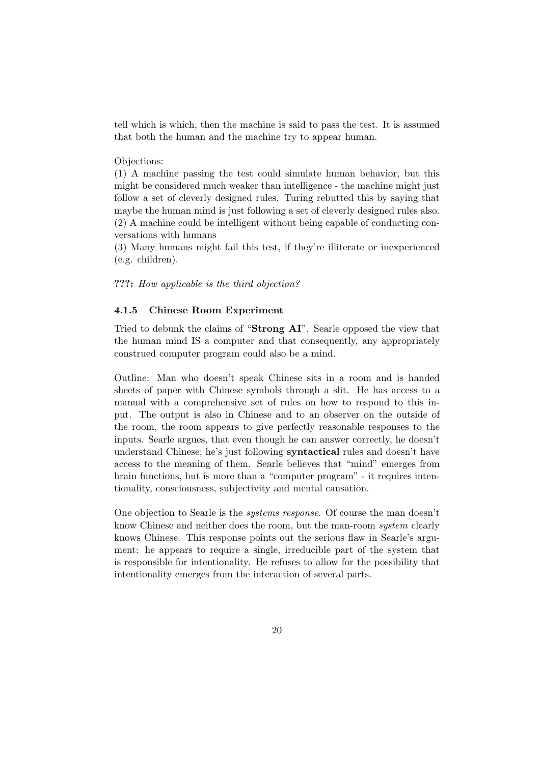tell which is which, then the machine is said to pass the test. It is assumed that both the human and the machine try to appear human.

Objections:

(1) A machine passing the test could simulate human behavior, but this might be considered much weaker than intelligence - the machine might just follow a set of cleverly designed rules. Turing rebutted this by saying that maybe the human mind is just following a set of cleverly designed rules also. (2) A machine could be intelligent without being capable of conducting conversations with humans

(3) Many humans might fail this test, if they're illiterate or inexperienced (e.g. children).

#### ???: How applicable is the third objection?

#### 4.1.5 Chinese Room Experiment

Tried to debunk the claims of "Strong AI". Searle opposed the view that the human mind IS a computer and that consequently, any appropriately construed computer program could also be a mind.

Outline: Man who doesn't speak Chinese sits in a room and is handed sheets of paper with Chinese symbols through a slit. He has access to a manual with a comprehensive set of rules on how to respond to this input. The output is also in Chinese and to an observer on the outside of the room, the room appears to give perfectly reasonable responses to the inputs. Searle argues, that even though he can answer correctly, he doesn't understand Chinese; he's just following syntactical rules and doesn't have access to the meaning of them. Searle believes that "mind" emerges from brain functions, but is more than a "computer program" - it requires intentionality, consciousness, subjectivity and mental causation.

One objection to Searle is the systems response. Of course the man doesn't know Chinese and neither does the room, but the man-room system clearly knows Chinese. This response points out the serious flaw in Searle's argument: he appears to require a single, irreducible part of the system that is responsible for intentionality. He refuses to allow for the possibility that intentionality emerges from the interaction of several parts.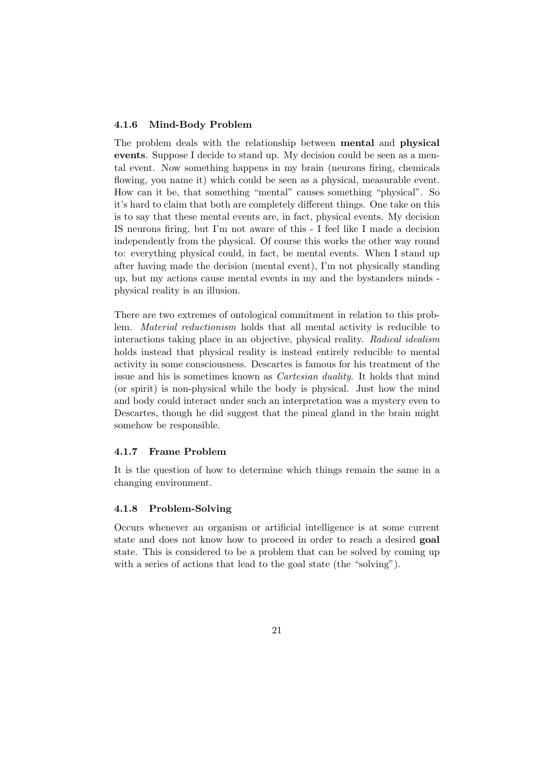# 4.1.6 Mind-Body Problem

The problem deals with the relationship between mental and physical events. Suppose I decide to stand up. My decision could be seen as a mental event. Now something happens in my brain (neurons firing, chemicals flowing, you name it) which could be seen as a physical, measurable event. How can it be, that something "mental" causes something "physical". So it's hard to claim that both are completely different things. One take on this is to say that these mental events are, in fact, physical events. My decision IS neurons firing, but I'm not aware of this - I feel like I made a decision independently from the physical. Of course this works the other way round to: everything physical could, in fact, be mental events. When I stand up after having made the decision (mental event), I'm not physically standing up, but my actions cause mental events in my and the bystanders minds physical reality is an illusion.

There are two extremes of ontological commitment in relation to this problem. Material reductionism holds that all mental activity is reducible to interactions taking place in an objective, physical reality. Radical idealism holds instead that physical reality is instead entirely reducible to mental activity in some consciousness. Descartes is famous for his treatment of the issue and his is sometimes known as Cartesian duality. It holds that mind (or spirit) is non-physical while the body is physical. Just how the mind and body could interact under such an interpretation was a mystery even to Descartes, though he did suggest that the pineal gland in the brain might somehow be responsible.

# 4.1.7 Frame Problem

It is the question of how to determine which things remain the same in a changing environment.

#### 4.1.8 Problem-Solving

Occurs whenever an organism or artificial intelligence is at some current state and does not know how to proceed in order to reach a desired goal state. This is considered to be a problem that can be solved by coming up with a series of actions that lead to the goal state (the "solving").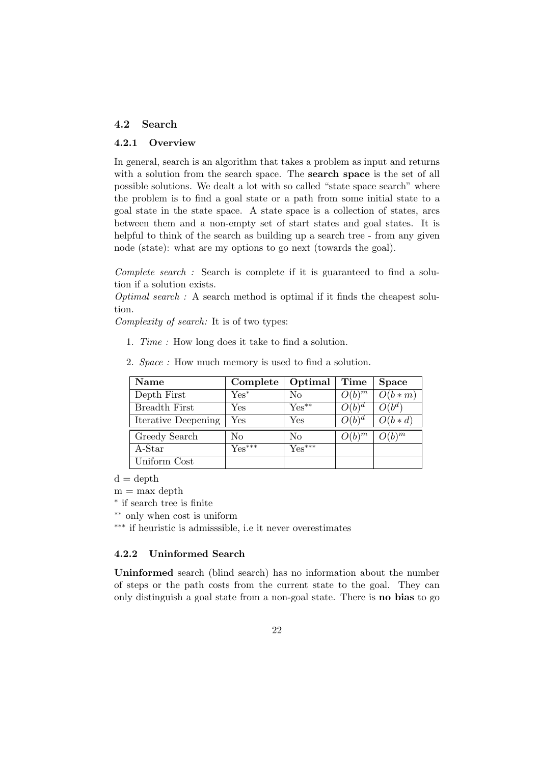# 4.2 Search

### 4.2.1 Overview

In general, search is an algorithm that takes a problem as input and returns with a solution from the search space. The search space is the set of all possible solutions. We dealt a lot with so called "state space search" where the problem is to find a goal state or a path from some initial state to a goal state in the state space. A state space is a collection of states, arcs between them and a non-empty set of start states and goal states. It is helpful to think of the search as building up a search tree - from any given node (state): what are my options to go next (towards the goal).

Complete search : Search is complete if it is guaranteed to find a solution if a solution exists.

Optimal search: A search method is optimal if it finds the cheapest solution.

Complexity of search: It is of two types:

1. Time : How long does it take to find a solution.

| <b>Name</b>          | Complete | Optimal              | Time                           | <b>Space</b>                       |
|----------------------|----------|----------------------|--------------------------------|------------------------------------|
| Depth First          | $Yes^*$  | $\rm No$             | $O(b)^m$                       | $O(b*m)$                           |
| <b>Breadth First</b> | Yes      | $Yes^{**}$           | $O(b)^d$                       | $O(\tilde{b}^{d})$                 |
| Iterative Deepening  | Yes      | $\operatorname{Yes}$ | $O(b)^d$                       | $O(b*d)$                           |
| Greedy Search        | No       | No                   | $\cdot$ ) $(b)^{\overline{m}}$ | $\cdot$ )( $b$ ) $^{\overline{m}}$ |
| $A-Star$             | $Yes***$ | $Yes***$             |                                |                                    |
| Uniform Cost         |          |                      |                                |                                    |

2. Space : How much memory is used to find a solution.

 $d = depth$ 

 $m = max$  depth

∗ if search tree is finite

∗∗ only when cost is uniform

∗∗∗ if heuristic is admisssible, i.e it never overestimates

# 4.2.2 Uninformed Search

Uninformed search (blind search) has no information about the number of steps or the path costs from the current state to the goal. They can only distinguish a goal state from a non-goal state. There is no bias to go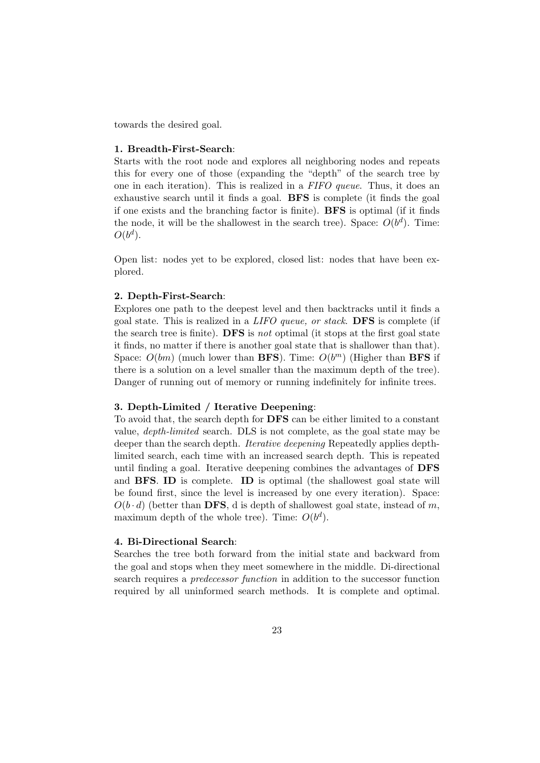towards the desired goal.

#### 1. Breadth-First-Search:

Starts with the root node and explores all neighboring nodes and repeats this for every one of those (expanding the "depth" of the search tree by one in each iteration). This is realized in a FIFO queue. Thus, it does an exhaustive search until it finds a goal. BFS is complete (it finds the goal if one exists and the branching factor is finite). BFS is optimal (if it finds the node, it will be the shallowest in the search tree). Space:  $O(b^d)$ . Time:  $O(b^d)$ .

Open list: nodes yet to be explored, closed list: nodes that have been explored.

#### 2. Depth-First-Search:

Explores one path to the deepest level and then backtracks until it finds a goal state. This is realized in a LIFO queue, or stack. DFS is complete (if the search tree is finite). **DFS** is not optimal (it stops at the first goal state it finds, no matter if there is another goal state that is shallower than that). Space:  $O(bm)$  (much lower than **BFS**). Time:  $O(b^m)$  (Higher than **BFS** if there is a solution on a level smaller than the maximum depth of the tree). Danger of running out of memory or running indefinitely for infinite trees.

#### 3. Depth-Limited / Iterative Deepening:

To avoid that, the search depth for DFS can be either limited to a constant value, depth-limited search. DLS is not complete, as the goal state may be deeper than the search depth. Iterative deepening Repeatedly applies depthlimited search, each time with an increased search depth. This is repeated until finding a goal. Iterative deepening combines the advantages of DFS and BFS. ID is complete. ID is optimal (the shallowest goal state will be found first, since the level is increased by one every iteration). Space:  $O(b \cdot d)$  (better than DFS, d is depth of shallowest goal state, instead of m, maximum depth of the whole tree). Time:  $O(b^d)$ .

#### 4. Bi-Directional Search:

Searches the tree both forward from the initial state and backward from the goal and stops when they meet somewhere in the middle. Di-directional search requires a predecessor function in addition to the successor function required by all uninformed search methods. It is complete and optimal.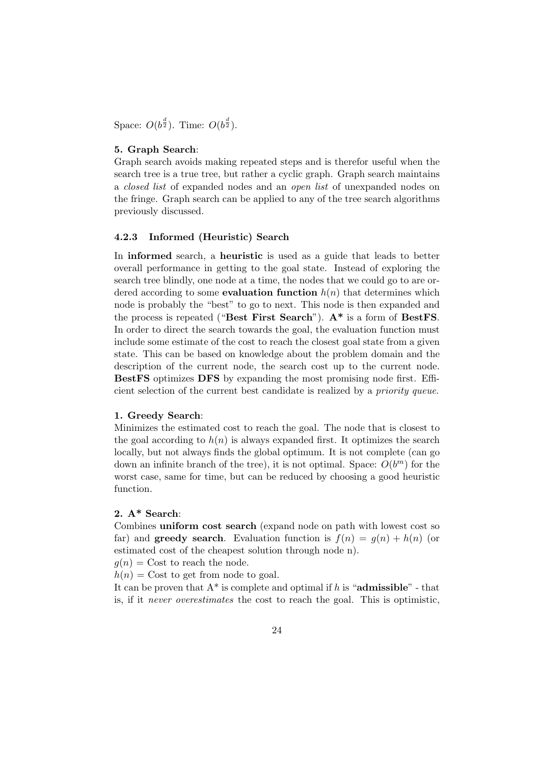Space:  $O(b^{\frac{d}{2}})$ . Time:  $O(b^{\frac{d}{2}})$ .

#### 5. Graph Search:

Graph search avoids making repeated steps and is therefor useful when the search tree is a true tree, but rather a cyclic graph. Graph search maintains a closed list of expanded nodes and an open list of unexpanded nodes on the fringe. Graph search can be applied to any of the tree search algorithms previously discussed.

### 4.2.3 Informed (Heuristic) Search

In informed search, a heuristic is used as a guide that leads to better overall performance in getting to the goal state. Instead of exploring the search tree blindly, one node at a time, the nodes that we could go to are ordered according to some **evaluation function**  $h(n)$  that determines which node is probably the "best" to go to next. This node is then expanded and the process is repeated ("Best First Search"). A\* is a form of BestFS. In order to direct the search towards the goal, the evaluation function must include some estimate of the cost to reach the closest goal state from a given state. This can be based on knowledge about the problem domain and the description of the current node, the search cost up to the current node. BestFS optimizes DFS by expanding the most promising node first. Efficient selection of the current best candidate is realized by a priority queue.

#### 1. Greedy Search:

Minimizes the estimated cost to reach the goal. The node that is closest to the goal according to  $h(n)$  is always expanded first. It optimizes the search locally, but not always finds the global optimum. It is not complete (can go down an infinite branch of the tree), it is not optimal. Space:  $O(b^m)$  for the worst case, same for time, but can be reduced by choosing a good heuristic function.

# 2. A\* Search:

Combines uniform cost search (expand node on path with lowest cost so far) and **greedy search**. Evaluation function is  $f(n) = g(n) + h(n)$  (or estimated cost of the cheapest solution through node n).

 $g(n) = \text{Cost}$  to reach the node.

 $h(n) = \text{Cost}$  to get from node to goal.

It can be proven that  $A^*$  is complete and optimal if h is "**admissible**" - that is, if it never overestimates the cost to reach the goal. This is optimistic,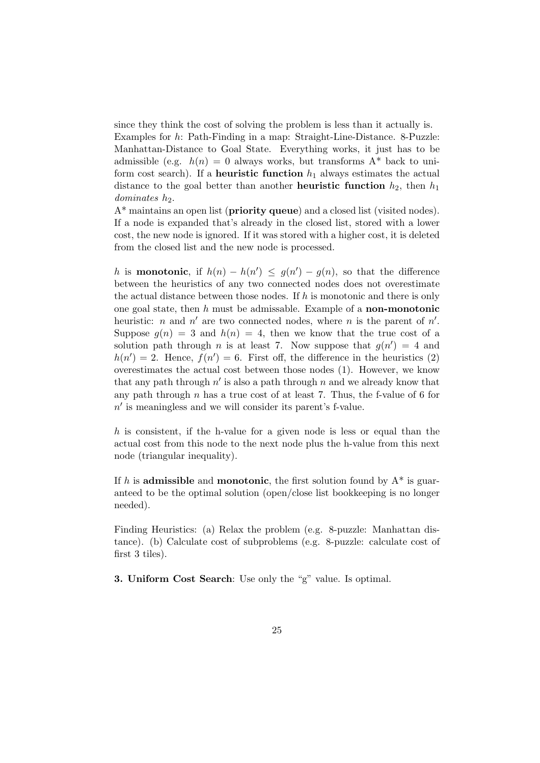since they think the cost of solving the problem is less than it actually is. Examples for h: Path-Finding in a map: Straight-Line-Distance. 8-Puzzle: Manhattan-Distance to Goal State. Everything works, it just has to be admissible (e.g.  $h(n) = 0$  always works, but transforms  $A^*$  back to uniform cost search). If a **heuristic function**  $h_1$  always estimates the actual distance to the goal better than another **heuristic function**  $h_2$ , then  $h_1$  $dominates$  h.

 $A^*$  maintains an open list (**priority queue**) and a closed list (visited nodes). If a node is expanded that's already in the closed list, stored with a lower cost, the new node is ignored. If it was stored with a higher cost, it is deleted from the closed list and the new node is processed.

h is **monotonic**, if  $h(n) - h(n') \leq g(n') - g(n)$ , so that the difference between the heuristics of any two connected nodes does not overestimate the actual distance between those nodes. If h is monotonic and there is only one goal state, then  $h$  must be admissable. Example of a **non-monotonic** heuristic: *n* and  $n'$  are two connected nodes, where *n* is the parent of  $n'$ . Suppose  $g(n) = 3$  and  $h(n) = 4$ , then we know that the true cost of a solution path through *n* is at least 7. Now suppose that  $g(n') = 4$  and  $h(n') = 2$ . Hence,  $f(n') = 6$ . First off, the difference in the heuristics (2) overestimates the actual cost between those nodes (1). However, we know that any path through  $n'$  is also a path through n and we already know that any path through  $n$  has a true cost of at least 7. Thus, the f-value of 6 for  $n'$  is meaningless and we will consider its parent's f-value.

h is consistent, if the h-value for a given node is less or equal than the actual cost from this node to the next node plus the h-value from this next node (triangular inequality).

If h is **admissible** and **monotonic**, the first solution found by  $A^*$  is guaranteed to be the optimal solution (open/close list bookkeeping is no longer needed).

Finding Heuristics: (a) Relax the problem (e.g. 8-puzzle: Manhattan distance). (b) Calculate cost of subproblems (e.g. 8-puzzle: calculate cost of first 3 tiles).

3. Uniform Cost Search: Use only the "g" value. Is optimal.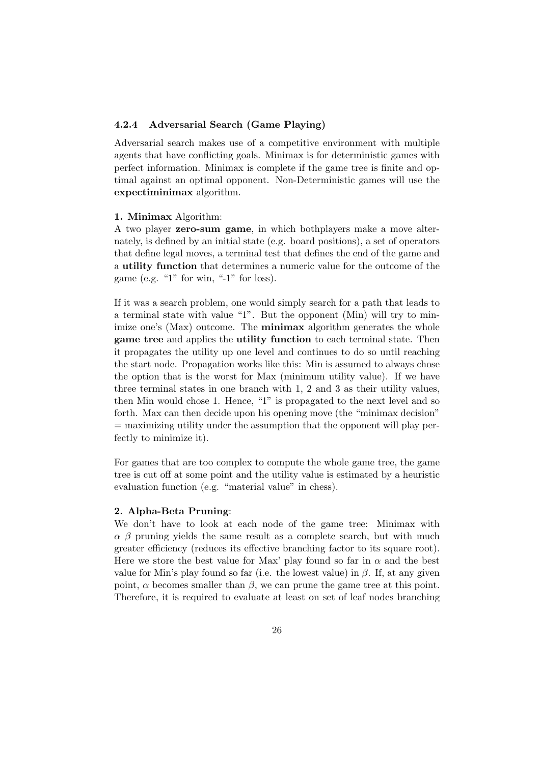# 4.2.4 Adversarial Search (Game Playing)

Adversarial search makes use of a competitive environment with multiple agents that have conflicting goals. Minimax is for deterministic games with perfect information. Minimax is complete if the game tree is finite and optimal against an optimal opponent. Non-Deterministic games will use the expectiminimax algorithm.

#### 1. Minimax Algorithm:

A two player zero-sum game, in which bothplayers make a move alternately, is defined by an initial state (e.g. board positions), a set of operators that define legal moves, a terminal test that defines the end of the game and a utility function that determines a numeric value for the outcome of the game (e.g. "1" for win, "-1" for loss).

If it was a search problem, one would simply search for a path that leads to a terminal state with value "1". But the opponent (Min) will try to minimize one's (Max) outcome. The **minimax** algorithm generates the whole game tree and applies the utility function to each terminal state. Then it propagates the utility up one level and continues to do so until reaching the start node. Propagation works like this: Min is assumed to always chose the option that is the worst for Max (minimum utility value). If we have three terminal states in one branch with 1, 2 and 3 as their utility values, then Min would chose 1. Hence, "1" is propagated to the next level and so forth. Max can then decide upon his opening move (the "minimax decision"  $=$  maximizing utility under the assumption that the opponent will play perfectly to minimize it).

For games that are too complex to compute the whole game tree, the game tree is cut off at some point and the utility value is estimated by a heuristic evaluation function (e.g. "material value" in chess).

#### 2. Alpha-Beta Pruning:

We don't have to look at each node of the game tree: Minimax with  $\alpha$  β pruning yields the same result as a complete search, but with much greater efficiency (reduces its effective branching factor to its square root). Here we store the best value for Max' play found so far in  $\alpha$  and the best value for Min's play found so far (i.e. the lowest value) in  $\beta$ . If, at any given point,  $\alpha$  becomes smaller than  $\beta$ , we can prune the game tree at this point. Therefore, it is required to evaluate at least on set of leaf nodes branching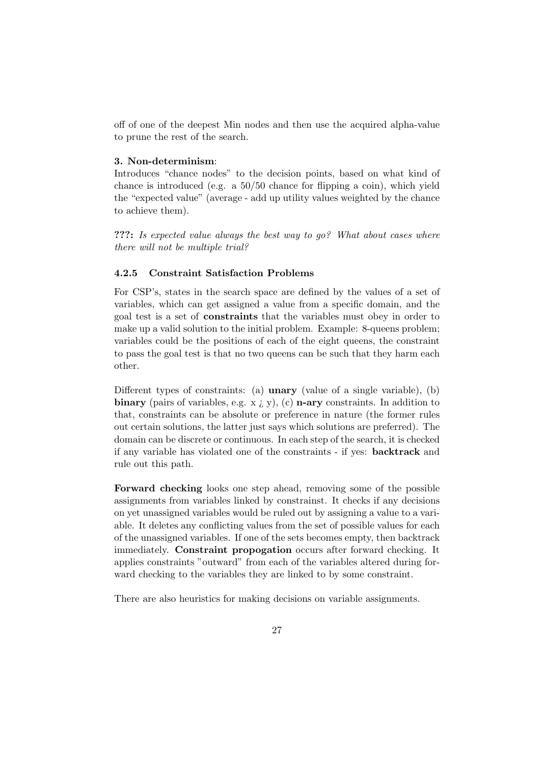off of one of the deepest Min nodes and then use the acquired alpha-value to prune the rest of the search.

#### 3. Non-determinism:

Introduces "chance nodes" to the decision points, based on what kind of chance is introduced (e.g. a  $50/50$  chance for flipping a coin), which yield the "expected value" (average - add up utility values weighted by the chance to achieve them).

???: Is expected value always the best way to go? What about cases where there will not be multiple trial?

### 4.2.5 Constraint Satisfaction Problems

For CSP's, states in the search space are defined by the values of a set of variables, which can get assigned a value from a specific domain, and the goal test is a set of constraints that the variables must obey in order to make up a valid solution to the initial problem. Example: 8-queens problem; variables could be the positions of each of the eight queens, the constraint to pass the goal test is that no two queens can be such that they harm each other.

Different types of constraints: (a) **unary** (value of a single variable), (b) binary (pairs of variables, e.g. x  $\chi$ , y), (c) n-ary constraints. In addition to that, constraints can be absolute or preference in nature (the former rules out certain solutions, the latter just says which solutions are preferred). The domain can be discrete or continuous. In each step of the search, it is checked if any variable has violated one of the constraints - if yes: backtrack and rule out this path.

Forward checking looks one step ahead, removing some of the possible assignments from variables linked by constrainst. It checks if any decisions on yet unassigned variables would be ruled out by assigning a value to a variable. It deletes any conflicting values from the set of possible values for each of the unassigned variables. If one of the sets becomes empty, then backtrack immediately. Constraint propogation occurs after forward checking. It applies constraints "outward" from each of the variables altered during forward checking to the variables they are linked to by some constraint.

There are also heuristics for making decisions on variable assignments.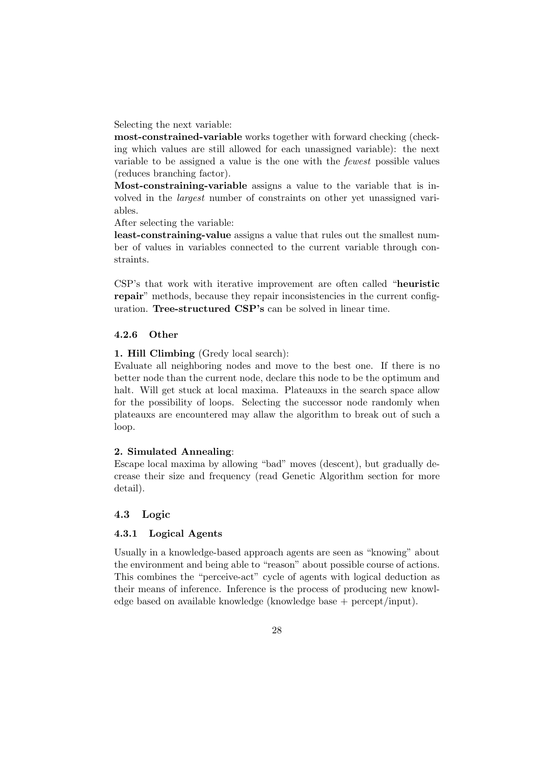Selecting the next variable:

most-constrained-variable works together with forward checking (checking which values are still allowed for each unassigned variable): the next variable to be assigned a value is the one with the fewest possible values (reduces branching factor).

Most-constraining-variable assigns a value to the variable that is involved in the largest number of constraints on other yet unassigned variables.

After selecting the variable:

least-constraining-value assigns a value that rules out the smallest number of values in variables connected to the current variable through constraints.

CSP's that work with iterative improvement are often called "heuristic repair" methods, because they repair inconsistencies in the current configuration. Tree-structured CSP's can be solved in linear time.

# 4.2.6 Other

1. Hill Climbing (Gredy local search):

Evaluate all neighboring nodes and move to the best one. If there is no better node than the current node, declare this node to be the optimum and halt. Will get stuck at local maxima. Plateauxs in the search space allow for the possibility of loops. Selecting the successor node randomly when plateauxs are encountered may allaw the algorithm to break out of such a loop.

# 2. Simulated Annealing:

Escape local maxima by allowing "bad" moves (descent), but gradually decrease their size and frequency (read Genetic Algorithm section for more detail).

#### 4.3 Logic

#### 4.3.1 Logical Agents

Usually in a knowledge-based approach agents are seen as "knowing" about the environment and being able to "reason" about possible course of actions. This combines the "perceive-act" cycle of agents with logical deduction as their means of inference. Inference is the process of producing new knowledge based on available knowledge (knowledge base + percept/input).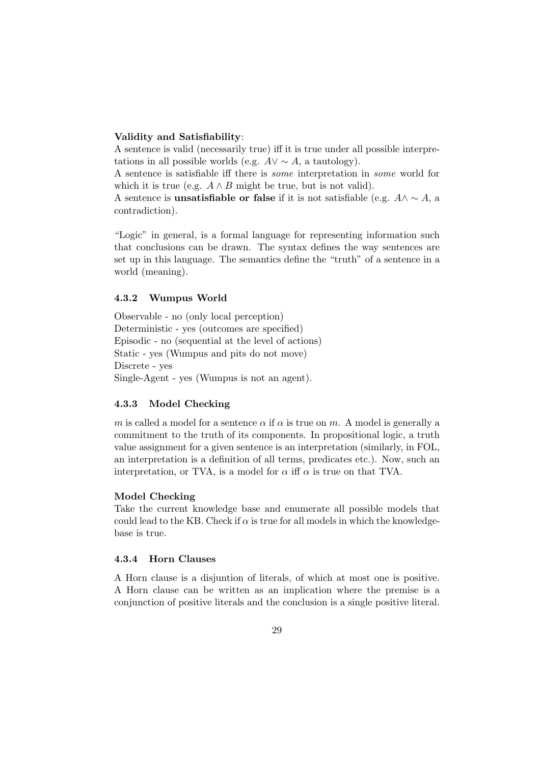#### Validity and Satisfiability:

A sentence is valid (necessarily true) iff it is true under all possible interpretations in all possible worlds (e.g.  $A \vee \sim A$ , a tautology).

A sentence is satisfiable iff there is some interpretation in some world for which it is true (e.g.  $A \wedge B$  might be true, but is not valid).

A sentence is **unsatisfiable or false** if it is not satisfiable (e.g.  $A \wedge \sim A$ , a contradiction).

"Logic" in general, is a formal language for representing information such that conclusions can be drawn. The syntax defines the way sentences are set up in this language. The semantics define the "truth" of a sentence in a world (meaning).

#### 4.3.2 Wumpus World

Observable - no (only local perception) Deterministic - yes (outcomes are specified) Episodic - no (sequential at the level of actions) Static - yes (Wumpus and pits do not move) Discrete - yes Single-Agent - yes (Wumpus is not an agent).

#### 4.3.3 Model Checking

m is called a model for a sentence  $\alpha$  if  $\alpha$  is true on m. A model is generally a commitment to the truth of its components. In propositional logic, a truth value assignment for a given sentence is an interpretation (similarly, in FOL, an interpretation is a definition of all terms, predicates etc.). Now, such an interpretation, or TVA, is a model for  $\alpha$  iff  $\alpha$  is true on that TVA.

### Model Checking

Take the current knowledge base and enumerate all possible models that could lead to the KB. Check if  $\alpha$  is true for all models in which the knowledgebase is true.

#### 4.3.4 Horn Clauses

A Horn clause is a disjuntion of literals, of which at most one is positive. A Horn clause can be written as an implication where the premise is a conjunction of positive literals and the conclusion is a single positive literal.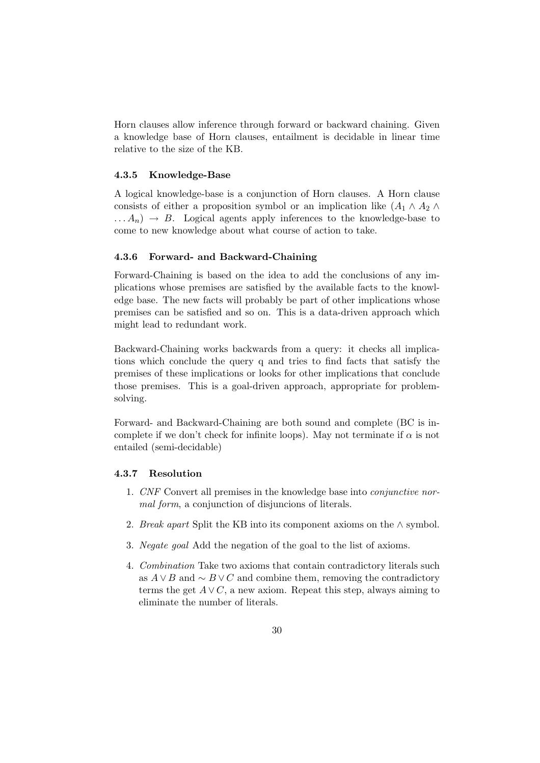Horn clauses allow inference through forward or backward chaining. Given a knowledge base of Horn clauses, entailment is decidable in linear time relative to the size of the KB.

#### 4.3.5 Knowledge-Base

A logical knowledge-base is a conjunction of Horn clauses. A Horn clause consists of either a proposition symbol or an implication like  $(A_1 \wedge A_2 \wedge$  $\ldots A_n$   $\rightarrow$  B. Logical agents apply inferences to the knowledge-base to come to new knowledge about what course of action to take.

#### 4.3.6 Forward- and Backward-Chaining

Forward-Chaining is based on the idea to add the conclusions of any implications whose premises are satisfied by the available facts to the knowledge base. The new facts will probably be part of other implications whose premises can be satisfied and so on. This is a data-driven approach which might lead to redundant work.

Backward-Chaining works backwards from a query: it checks all implications which conclude the query q and tries to find facts that satisfy the premises of these implications or looks for other implications that conclude those premises. This is a goal-driven approach, appropriate for problemsolving.

Forward- and Backward-Chaining are both sound and complete (BC is incomplete if we don't check for infinite loops). May not terminate if  $\alpha$  is not entailed (semi-decidable)

#### 4.3.7 Resolution

- 1. CNF Convert all premises in the knowledge base into conjunctive normal form, a conjunction of disjuncions of literals.
- 2. Break apart Split the KB into its component axioms on the  $\land$  symbol.
- 3. Negate goal Add the negation of the goal to the list of axioms.
- 4. Combination Take two axioms that contain contradictory literals such as  $A \vee B$  and  $\sim B \vee C$  and combine them, removing the contradictory terms the get  $A \vee C$ , a new axiom. Repeat this step, always aiming to eliminate the number of literals.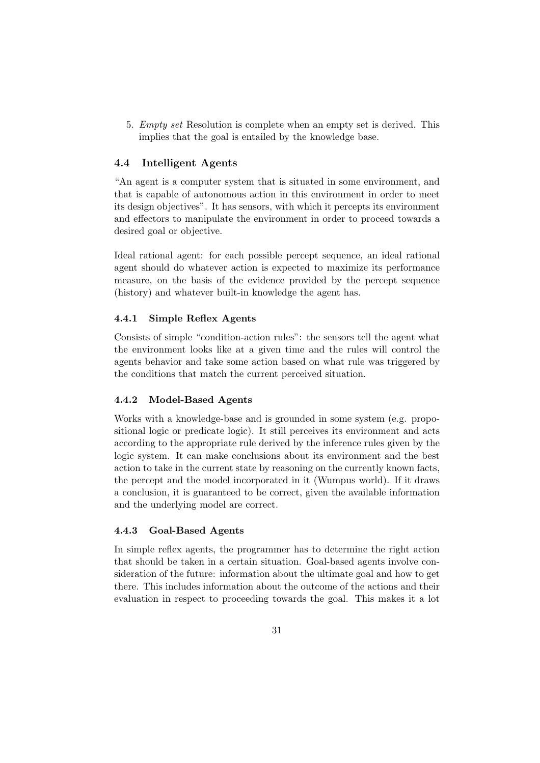5. Empty set Resolution is complete when an empty set is derived. This implies that the goal is entailed by the knowledge base.

# 4.4 Intelligent Agents

"An agent is a computer system that is situated in some environment, and that is capable of autonomous action in this environment in order to meet its design objectives". It has sensors, with which it percepts its environment and effectors to manipulate the environment in order to proceed towards a desired goal or objective.

Ideal rational agent: for each possible percept sequence, an ideal rational agent should do whatever action is expected to maximize its performance measure, on the basis of the evidence provided by the percept sequence (history) and whatever built-in knowledge the agent has.

#### 4.4.1 Simple Reflex Agents

Consists of simple "condition-action rules": the sensors tell the agent what the environment looks like at a given time and the rules will control the agents behavior and take some action based on what rule was triggered by the conditions that match the current perceived situation.

#### 4.4.2 Model-Based Agents

Works with a knowledge-base and is grounded in some system (e.g. propositional logic or predicate logic). It still perceives its environment and acts according to the appropriate rule derived by the inference rules given by the logic system. It can make conclusions about its environment and the best action to take in the current state by reasoning on the currently known facts, the percept and the model incorporated in it (Wumpus world). If it draws a conclusion, it is guaranteed to be correct, given the available information and the underlying model are correct.

#### 4.4.3 Goal-Based Agents

In simple reflex agents, the programmer has to determine the right action that should be taken in a certain situation. Goal-based agents involve consideration of the future: information about the ultimate goal and how to get there. This includes information about the outcome of the actions and their evaluation in respect to proceeding towards the goal. This makes it a lot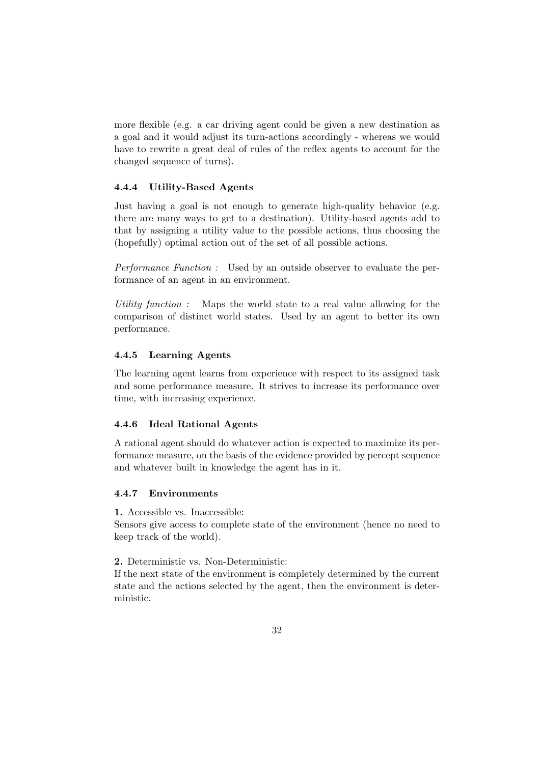more flexible (e.g. a car driving agent could be given a new destination as a goal and it would adjust its turn-actions accordingly - whereas we would have to rewrite a great deal of rules of the reflex agents to account for the changed sequence of turns).

#### 4.4.4 Utility-Based Agents

Just having a goal is not enough to generate high-quality behavior (e.g. there are many ways to get to a destination). Utility-based agents add to that by assigning a utility value to the possible actions, thus choosing the (hopefully) optimal action out of the set of all possible actions.

Performance Function : Used by an outside observer to evaluate the performance of an agent in an environment.

Utility function : Maps the world state to a real value allowing for the comparison of distinct world states. Used by an agent to better its own performance.

#### 4.4.5 Learning Agents

The learning agent learns from experience with respect to its assigned task and some performance measure. It strives to increase its performance over time, with increasing experience.

## 4.4.6 Ideal Rational Agents

A rational agent should do whatever action is expected to maximize its performance measure, on the basis of the evidence provided by percept sequence and whatever built in knowledge the agent has in it.

## 4.4.7 Environments

1. Accessible vs. Inaccessible:

Sensors give access to complete state of the environment (hence no need to keep track of the world).

2. Deterministic vs. Non-Deterministic:

If the next state of the environment is completely determined by the current state and the actions selected by the agent, then the environment is deterministic.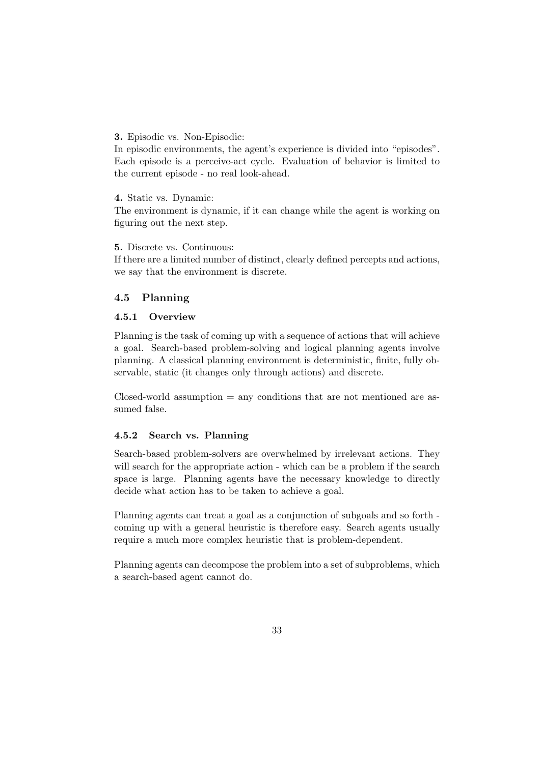3. Episodic vs. Non-Episodic:

In episodic environments, the agent's experience is divided into "episodes". Each episode is a perceive-act cycle. Evaluation of behavior is limited to the current episode - no real look-ahead.

4. Static vs. Dynamic:

The environment is dynamic, if it can change while the agent is working on figuring out the next step.

5. Discrete vs. Continuous:

If there are a limited number of distinct, clearly defined percepts and actions, we say that the environment is discrete.

# 4.5 Planning

## 4.5.1 Overview

Planning is the task of coming up with a sequence of actions that will achieve a goal. Search-based problem-solving and logical planning agents involve planning. A classical planning environment is deterministic, finite, fully observable, static (it changes only through actions) and discrete.

 $Closed$ -world assumption  $=$  any conditions that are not mentioned are assumed false.

## 4.5.2 Search vs. Planning

Search-based problem-solvers are overwhelmed by irrelevant actions. They will search for the appropriate action - which can be a problem if the search space is large. Planning agents have the necessary knowledge to directly decide what action has to be taken to achieve a goal.

Planning agents can treat a goal as a conjunction of subgoals and so forth coming up with a general heuristic is therefore easy. Search agents usually require a much more complex heuristic that is problem-dependent.

Planning agents can decompose the problem into a set of subproblems, which a search-based agent cannot do.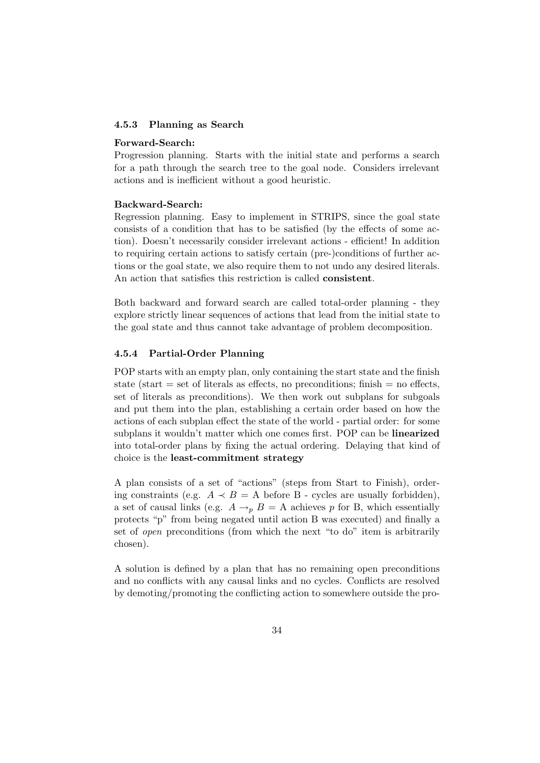#### 4.5.3 Planning as Search

#### Forward-Search:

Progression planning. Starts with the initial state and performs a search for a path through the search tree to the goal node. Considers irrelevant actions and is inefficient without a good heuristic.

## Backward-Search:

Regression planning. Easy to implement in STRIPS, since the goal state consists of a condition that has to be satisfied (by the effects of some action). Doesn't necessarily consider irrelevant actions - efficient! In addition to requiring certain actions to satisfy certain (pre-)conditions of further actions or the goal state, we also require them to not undo any desired literals. An action that satisfies this restriction is called consistent.

Both backward and forward search are called total-order planning - they explore strictly linear sequences of actions that lead from the initial state to the goal state and thus cannot take advantage of problem decomposition.

## 4.5.4 Partial-Order Planning

POP starts with an empty plan, only containing the start state and the finish state (start  $=$  set of literals as effects, no preconditions; finish  $=$  no effects, set of literals as preconditions). We then work out subplans for subgoals and put them into the plan, establishing a certain order based on how the actions of each subplan effect the state of the world - partial order: for some subplans it wouldn't matter which one comes first. POP can be linearized into total-order plans by fixing the actual ordering. Delaying that kind of choice is the least-commitment strategy

A plan consists of a set of "actions" (steps from Start to Finish), ordering constraints (e.g.  $A \prec B = A$  before B - cycles are usually forbidden), a set of causal links (e.g.  $A \rightarrow_{p} B = A$  achieves p for B, which essentially protects "p" from being negated until action B was executed) and finally a set of open preconditions (from which the next "to do" item is arbitrarily chosen).

A solution is defined by a plan that has no remaining open preconditions and no conflicts with any causal links and no cycles. Conflicts are resolved by demoting/promoting the conflicting action to somewhere outside the pro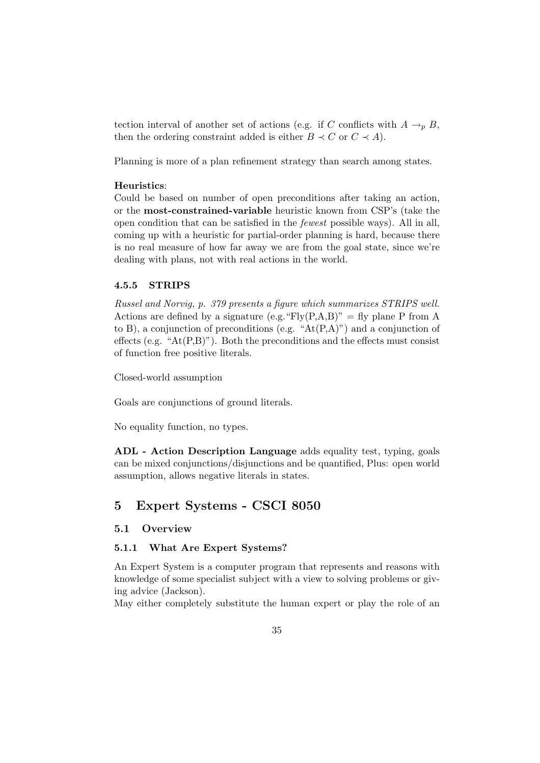tection interval of another set of actions (e.g. if C conflicts with  $A \rightarrow_{p} B$ , then the ordering constraint added is either  $B \prec C$  or  $C \prec A$ ).

Planning is more of a plan refinement strategy than search among states.

#### Heuristics:

Could be based on number of open preconditions after taking an action, or the most-constrained-variable heuristic known from CSP's (take the open condition that can be satisfied in the fewest possible ways). All in all, coming up with a heuristic for partial-order planning is hard, because there is no real measure of how far away we are from the goal state, since we're dealing with plans, not with real actions in the world.

#### 4.5.5 STRIPS

Russel and Norvig, p. 379 presents a figure which summarizes STRIPS well. Actions are defined by a signature (e.g. "Fly $(P,A,B)$ " = fly plane P from A to B), a conjunction of preconditions (e.g. " $At(P,A)$ ") and a conjunction of effects (e.g. " $At(P,B)$ "). Both the preconditions and the effects must consist of function free positive literals.

Closed-world assumption

Goals are conjunctions of ground literals.

No equality function, no types.

ADL - Action Description Language adds equality test, typing, goals can be mixed conjunctions/disjunctions and be quantified, Plus: open world assumption, allows negative literals in states.

# 5 Expert Systems - CSCI 8050

#### 5.1 Overview

#### 5.1.1 What Are Expert Systems?

An Expert System is a computer program that represents and reasons with knowledge of some specialist subject with a view to solving problems or giving advice (Jackson).

May either completely substitute the human expert or play the role of an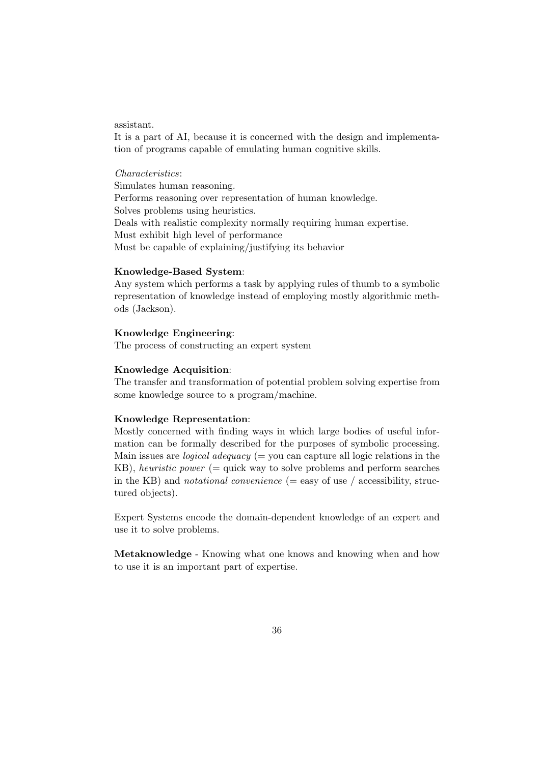#### assistant.

It is a part of AI, because it is concerned with the design and implementation of programs capable of emulating human cognitive skills.

## Characteristics:

Simulates human reasoning. Performs reasoning over representation of human knowledge. Solves problems using heuristics. Deals with realistic complexity normally requiring human expertise. Must exhibit high level of performance Must be capable of explaining/justifying its behavior

#### Knowledge-Based System:

Any system which performs a task by applying rules of thumb to a symbolic representation of knowledge instead of employing mostly algorithmic methods (Jackson).

## Knowledge Engineering:

The process of constructing an expert system

#### Knowledge Acquisition:

The transfer and transformation of potential problem solving expertise from some knowledge source to a program/machine.

#### Knowledge Representation:

Mostly concerned with finding ways in which large bodies of useful information can be formally described for the purposes of symbolic processing. Main issues are *logical adequacy* (= you can capture all logic relations in the KB), heuristic power (= quick way to solve problems and perform searches in the KB) and *notational convenience* ( $=$  easy of use / accessibility, structured objects).

Expert Systems encode the domain-dependent knowledge of an expert and use it to solve problems.

Metaknowledge - Knowing what one knows and knowing when and how to use it is an important part of expertise.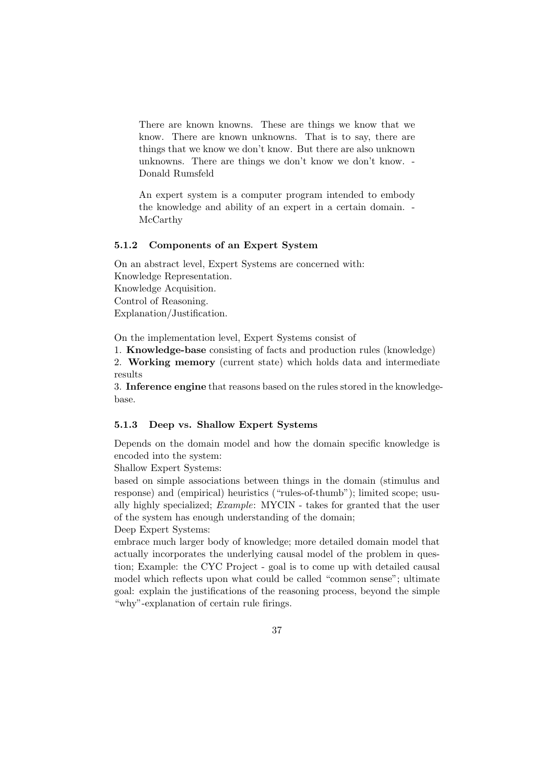There are known knowns. These are things we know that we know. There are known unknowns. That is to say, there are things that we know we don't know. But there are also unknown unknowns. There are things we don't know we don't know. - Donald Rumsfeld

An expert system is a computer program intended to embody the knowledge and ability of an expert in a certain domain. - McCarthy

## 5.1.2 Components of an Expert System

On an abstract level, Expert Systems are concerned with: Knowledge Representation. Knowledge Acquisition. Control of Reasoning. Explanation/Justification.

On the implementation level, Expert Systems consist of

1. Knowledge-base consisting of facts and production rules (knowledge)

2. Working memory (current state) which holds data and intermediate results

3. Inference engine that reasons based on the rules stored in the knowledgebase.

## 5.1.3 Deep vs. Shallow Expert Systems

Depends on the domain model and how the domain specific knowledge is encoded into the system:

Shallow Expert Systems:

based on simple associations between things in the domain (stimulus and response) and (empirical) heuristics ("rules-of-thumb"); limited scope; usually highly specialized; Example: MYCIN - takes for granted that the user of the system has enough understanding of the domain;

Deep Expert Systems:

embrace much larger body of knowledge; more detailed domain model that actually incorporates the underlying causal model of the problem in question; Example: the CYC Project - goal is to come up with detailed causal model which reflects upon what could be called "common sense"; ultimate goal: explain the justifications of the reasoning process, beyond the simple "why"-explanation of certain rule firings.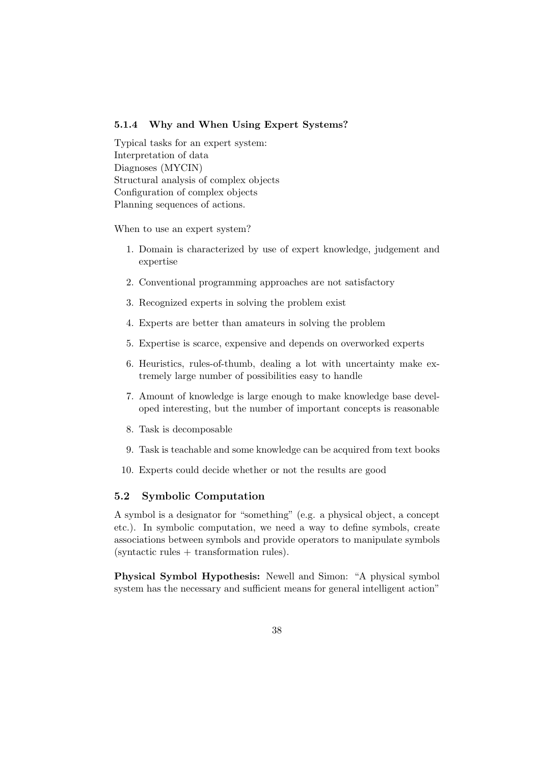## 5.1.4 Why and When Using Expert Systems?

Typical tasks for an expert system: Interpretation of data Diagnoses (MYCIN) Structural analysis of complex objects Configuration of complex objects Planning sequences of actions.

When to use an expert system?

- 1. Domain is characterized by use of expert knowledge, judgement and expertise
- 2. Conventional programming approaches are not satisfactory
- 3. Recognized experts in solving the problem exist
- 4. Experts are better than amateurs in solving the problem
- 5. Expertise is scarce, expensive and depends on overworked experts
- 6. Heuristics, rules-of-thumb, dealing a lot with uncertainty make extremely large number of possibilities easy to handle
- 7. Amount of knowledge is large enough to make knowledge base developed interesting, but the number of important concepts is reasonable
- 8. Task is decomposable
- 9. Task is teachable and some knowledge can be acquired from text books
- 10. Experts could decide whether or not the results are good

## 5.2 Symbolic Computation

A symbol is a designator for "something" (e.g. a physical object, a concept etc.). In symbolic computation, we need a way to define symbols, create associations between symbols and provide operators to manipulate symbols  $(s)$ yntactic rules  $+$  transformation rules).

Physical Symbol Hypothesis: Newell and Simon: "A physical symbol system has the necessary and sufficient means for general intelligent action"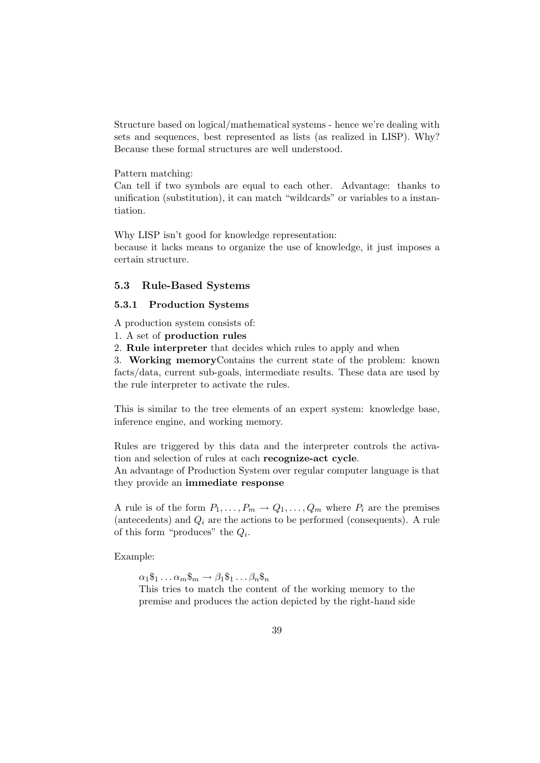Structure based on logical/mathematical systems - hence we're dealing with sets and sequences, best represented as lists (as realized in LISP). Why? Because these formal structures are well understood.

#### Pattern matching:

Can tell if two symbols are equal to each other. Advantage: thanks to unification (substitution), it can match "wildcards" or variables to a instantiation.

Why LISP isn't good for knowledge representation:

because it lacks means to organize the use of knowledge, it just imposes a certain structure.

#### 5.3 Rule-Based Systems

#### 5.3.1 Production Systems

A production system consists of:

1. A set of production rules

2. Rule interpreter that decides which rules to apply and when

3. Working memoryContains the current state of the problem: known facts/data, current sub-goals, intermediate results. These data are used by the rule interpreter to activate the rules.

This is similar to the tree elements of an expert system: knowledge base, inference engine, and working memory.

Rules are triggered by this data and the interpreter controls the activation and selection of rules at each recognize-act cycle.

An advantage of Production System over regular computer language is that they provide an immediate response

A rule is of the form  $P_1, \ldots, P_m \to Q_1, \ldots, Q_m$  where  $P_i$  are the premises (antecedents) and  $Q_i$  are the actions to be performed (consequents). A rule of this form "produces" the  $Q_i$ .

Example:

 $\alpha_1\$_1 \ldots \alpha_m\$_m \to \beta_1\$_1 \ldots \beta_n\$_n$ 

This tries to match the content of the working memory to the premise and produces the action depicted by the right-hand side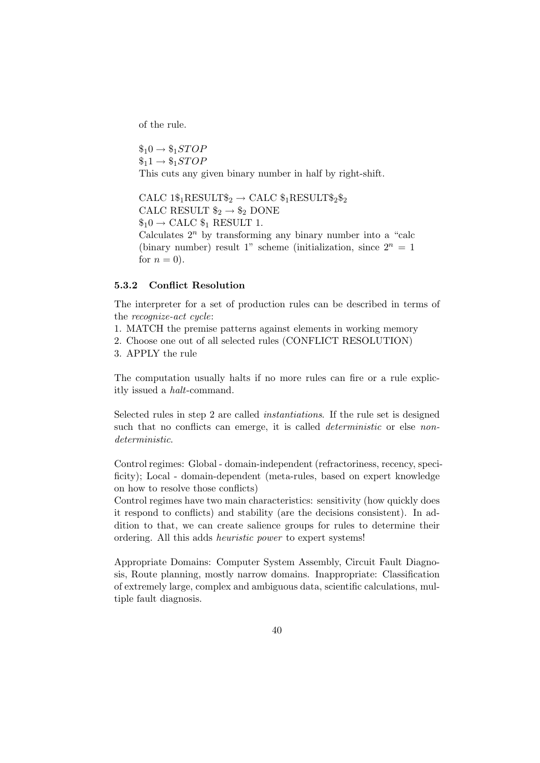of the rule.

 $\$_10 \rightarrow \$_1STOP$  $\$_11 \rightarrow \$_1STOP$ This cuts any given binary number in half by right-shift.

CALC  $1\$_1$ RESULT $\$_2 \rightarrow$  CALC  $\$_1$ RESULT $\$_2\$_2$ CALC RESULT  $\$_2 \rightarrow \$_2$  DONE  $\$_10 \rightarrow$  CALC  $\$_1$  RESULT 1. Calculates  $2^n$  by transforming any binary number into a "calc (binary number) result 1" scheme (initialization, since  $2^n = 1$ for  $n = 0$ ).

## 5.3.2 Conflict Resolution

The interpreter for a set of production rules can be described in terms of the recognize-act cycle:

- 1. MATCH the premise patterns against elements in working memory
- 2. Choose one out of all selected rules (CONFLICT RESOLUTION)
- 3. APPLY the rule

The computation usually halts if no more rules can fire or a rule explicitly issued a halt-command.

Selected rules in step 2 are called instantiations. If the rule set is designed such that no conflicts can emerge, it is called *deterministic* or else *non*deterministic.

Control regimes: Global - domain-independent (refractoriness, recency, specificity); Local - domain-dependent (meta-rules, based on expert knowledge on how to resolve those conflicts)

Control regimes have two main characteristics: sensitivity (how quickly does it respond to conflicts) and stability (are the decisions consistent). In addition to that, we can create salience groups for rules to determine their ordering. All this adds heuristic power to expert systems!

Appropriate Domains: Computer System Assembly, Circuit Fault Diagnosis, Route planning, mostly narrow domains. Inappropriate: Classification of extremely large, complex and ambiguous data, scientific calculations, multiple fault diagnosis.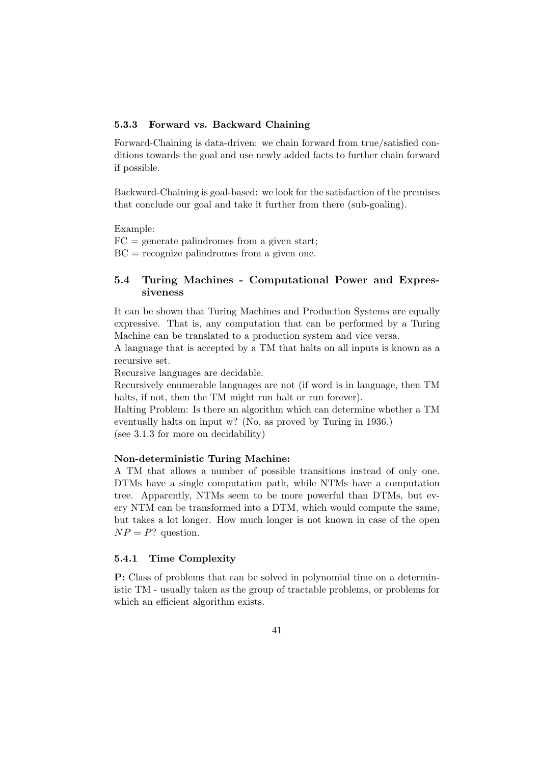## 5.3.3 Forward vs. Backward Chaining

Forward-Chaining is data-driven: we chain forward from true/satisfied conditions towards the goal and use newly added facts to further chain forward if possible.

Backward-Chaining is goal-based: we look for the satisfaction of the premises that conclude our goal and take it further from there (sub-goaling).

Example:

 $FC =$  generate palindromes from a given start;

 $BC = recognize$  palindromes from a given one.

# 5.4 Turing Machines - Computational Power and Expressiveness

It can be shown that Turing Machines and Production Systems are equally expressive. That is, any computation that can be performed by a Turing Machine can be translated to a production system and vice versa.

A language that is accepted by a TM that halts on all inputs is known as a recursive set.

Recursive languages are decidable.

Recursively enumerable languages are not (if word is in language, then TM halts, if not, then the TM might run halt or run forever).

Halting Problem: Is there an algorithm which can determine whether a TM eventually halts on input w? (No, as proved by Turing in 1936.) (see 3.1.3 for more on decidability)

#### Non-deterministic Turing Machine:

A TM that allows a number of possible transitions instead of only one. DTMs have a single computation path, while NTMs have a computation tree. Apparently, NTMs seem to be more powerful than DTMs, but every NTM can be transformed into a DTM, which would compute the same, but takes a lot longer. How much longer is not known in case of the open  $NP = P$ ? question.

## 5.4.1 Time Complexity

P: Class of problems that can be solved in polynomial time on a deterministic TM - usually taken as the group of tractable problems, or problems for which an efficient algorithm exists.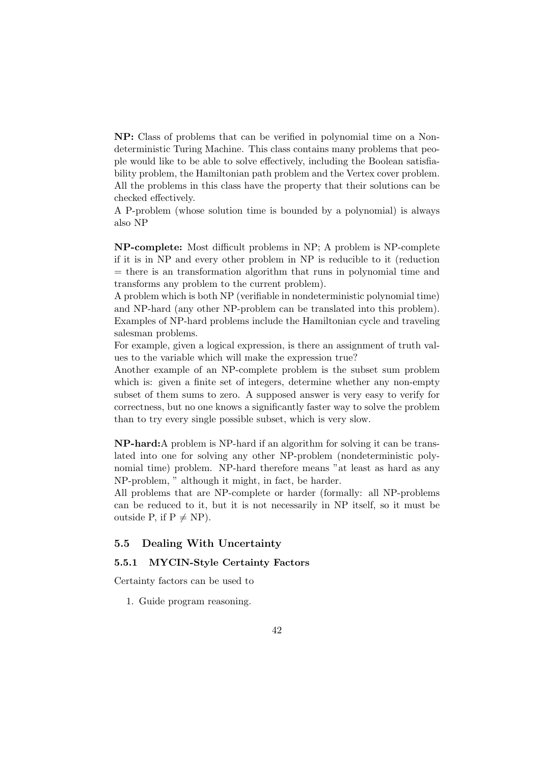NP: Class of problems that can be verified in polynomial time on a Nondeterministic Turing Machine. This class contains many problems that people would like to be able to solve effectively, including the Boolean satisfiability problem, the Hamiltonian path problem and the Vertex cover problem. All the problems in this class have the property that their solutions can be checked effectively.

A P-problem (whose solution time is bounded by a polynomial) is always also NP

NP-complete: Most difficult problems in NP; A problem is NP-complete if it is in NP and every other problem in NP is reducible to it (reduction  $=$  there is an transformation algorithm that runs in polynomial time and transforms any problem to the current problem).

A problem which is both NP (verifiable in nondeterministic polynomial time) and NP-hard (any other NP-problem can be translated into this problem). Examples of NP-hard problems include the Hamiltonian cycle and traveling salesman problems.

For example, given a logical expression, is there an assignment of truth values to the variable which will make the expression true?

Another example of an NP-complete problem is the subset sum problem which is: given a finite set of integers, determine whether any non-empty subset of them sums to zero. A supposed answer is very easy to verify for correctness, but no one knows a significantly faster way to solve the problem than to try every single possible subset, which is very slow.

NP-hard:A problem is NP-hard if an algorithm for solving it can be translated into one for solving any other NP-problem (nondeterministic polynomial time) problem. NP-hard therefore means "at least as hard as any NP-problem, " although it might, in fact, be harder.

All problems that are NP-complete or harder (formally: all NP-problems can be reduced to it, but it is not necessarily in NP itself, so it must be outside P, if  $P \neq NP$ ).

#### 5.5 Dealing With Uncertainty

# 5.5.1 MYCIN-Style Certainty Factors

Certainty factors can be used to

1. Guide program reasoning.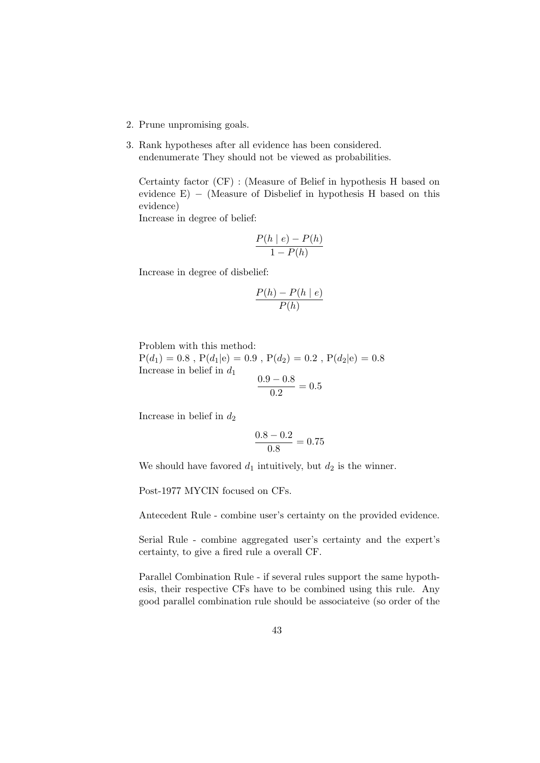- 2. Prune unpromising goals.
- 3. Rank hypotheses after all evidence has been considered. endenumerate They should not be viewed as probabilities.

Certainty factor (CF) : (Measure of Belief in hypothesis H based on evidence  $E$ ) – (Measure of Disbelief in hypothesis H based on this evidence)

Increase in degree of belief:

$$
\frac{P(h \mid e) - P(h)}{1 - P(h)}
$$

Increase in degree of disbelief:

$$
\frac{P(h) - P(h \mid e)}{P(h)}
$$

Problem with this method:

 $P(d_1) = 0.8$ ,  $P(d_1|e) = 0.9$ ,  $P(d_2) = 0.2$ ,  $P(d_2|e) = 0.8$ Increase in belief in  $d_1$  $0.9 - 0.8$ 

$$
\frac{0.9 - 0.8}{0.2} = 0.5
$$

Increase in belief in  $d_2$ 

$$
\frac{0.8 - 0.2}{0.8} = 0.75
$$

We should have favored  $d_1$  intuitively, but  $d_2$  is the winner.

Post-1977 MYCIN focused on CFs.

Antecedent Rule - combine user's certainty on the provided evidence.

Serial Rule - combine aggregated user's certainty and the expert's certainty, to give a fired rule a overall CF.

Parallel Combination Rule - if several rules support the same hypothesis, their respective CFs have to be combined using this rule. Any good parallel combination rule should be associateive (so order of the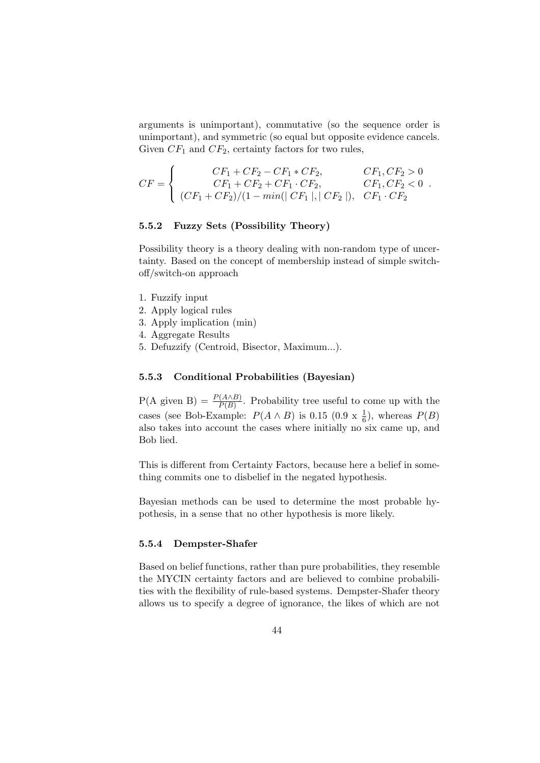arguments is unimportant), commutative (so the sequence order is unimportant), and symmetric (so equal but opposite evidence cancels. Given  $CF_1$  and  $CF_2$ , certainty factors for two rules,

$$
CF = \begin{cases} CF_1 + CF_2 - CF_1 * CF_2, & CF_1, CF_2 > 0 \\ CF_1 + CF_2 + CF_1 \cdot CF_2, & CF_1, CF_2 < 0 \\ (CF_1 + CF_2)/(1 - min(|CF_1|, |CF_2|), & CF_1 \cdot CF_2 \end{cases}.
$$

## 5.5.2 Fuzzy Sets (Possibility Theory)

Possibility theory is a theory dealing with non-random type of uncertainty. Based on the concept of membership instead of simple switchoff/switch-on approach

- 1. Fuzzify input
- 2. Apply logical rules
- 3. Apply implication (min)
- 4. Aggregate Results
- 5. Defuzzify (Centroid, Bisector, Maximum...).

#### 5.5.3 Conditional Probabilities (Bayesian)

 $P(A \text{ given } B) = \frac{P(A \wedge B)}{P(B)}$ . Probability tree useful to come up with the cases (see Bob-Example:  $P(A \wedge B)$  is 0.15 (0.9 x  $\frac{1}{6}$ ), whereas  $P(B)$ also takes into account the cases where initially no six came up, and Bob lied.

This is different from Certainty Factors, because here a belief in something commits one to disbelief in the negated hypothesis.

Bayesian methods can be used to determine the most probable hypothesis, in a sense that no other hypothesis is more likely.

#### 5.5.4 Dempster-Shafer

Based on belief functions, rather than pure probabilities, they resemble the MYCIN certainty factors and are believed to combine probabilities with the flexibility of rule-based systems. Dempster-Shafer theory allows us to specify a degree of ignorance, the likes of which are not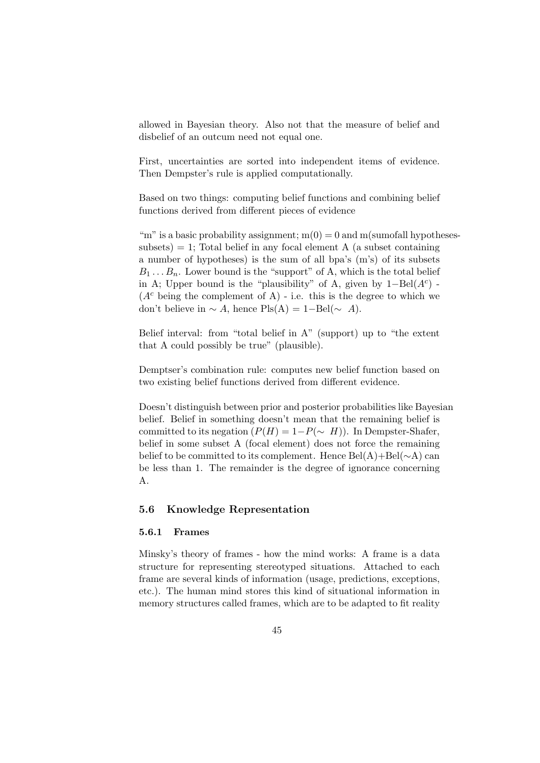allowed in Bayesian theory. Also not that the measure of belief and disbelief of an outcum need not equal one.

First, uncertainties are sorted into independent items of evidence. Then Dempster's rule is applied computationally.

Based on two things: computing belief functions and combining belief functions derived from different pieces of evidence

"m" is a basic probability assignment;  $m(0) = 0$  and m(sumofall hypotheses $subsets) = 1$ ; Total belief in any focal element A (a subset containing a number of hypotheses) is the sum of all bpa's (m's) of its subsets  $B_1 \ldots B_n$ . Lower bound is the "support" of A, which is the total belief in A; Upper bound is the "plausibility" of A, given by  $1-\text{Bel}(A^c)$  - $(A<sup>c</sup>$  being the complement of A) - i.e. this is the degree to which we don't believe in  $\sim A$ , hence Pls(A) = 1–Bel( $\sim A$ ).

Belief interval: from "total belief in A" (support) up to "the extent that A could possibly be true" (plausible).

Demptser's combination rule: computes new belief function based on two existing belief functions derived from different evidence.

Doesn't distinguish between prior and posterior probabilities like Bayesian belief. Belief in something doesn't mean that the remaining belief is committed to its negation  $(P(H) = 1-P(\sim H))$ . In Dempster-Shafer, belief in some subset A (focal element) does not force the remaining belief to be committed to its complement. Hence Bel(A)+Bel(∼A) can be less than 1. The remainder is the degree of ignorance concerning A.

# 5.6 Knowledge Representation

#### 5.6.1 Frames

Minsky's theory of frames - how the mind works: A frame is a data structure for representing stereotyped situations. Attached to each frame are several kinds of information (usage, predictions, exceptions, etc.). The human mind stores this kind of situational information in memory structures called frames, which are to be adapted to fit reality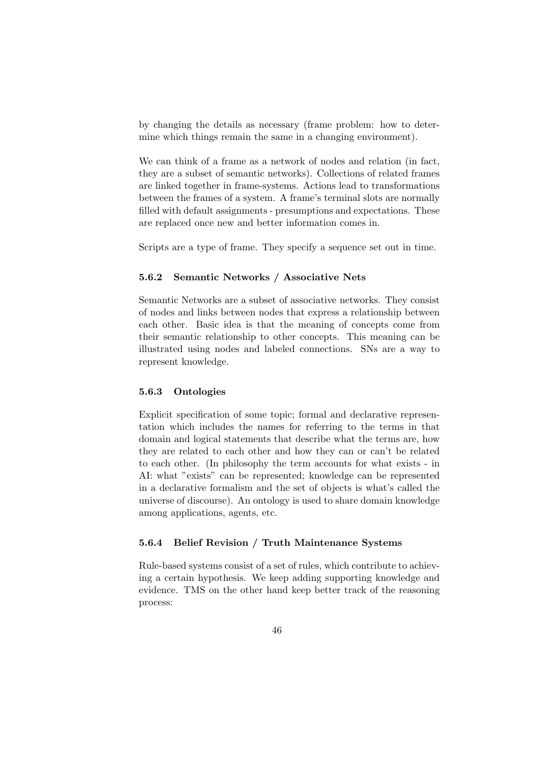by changing the details as necessary (frame problem: how to determine which things remain the same in a changing environment).

We can think of a frame as a network of nodes and relation (in fact, they are a subset of semantic networks). Collections of related frames are linked together in frame-systems. Actions lead to transformations between the frames of a system. A frame's terminal slots are normally filled with default assignments - presumptions and expectations. These are replaced once new and better information comes in.

Scripts are a type of frame. They specify a sequence set out in time.

# 5.6.2 Semantic Networks / Associative Nets

Semantic Networks are a subset of associative networks. They consist of nodes and links between nodes that express a relationship between each other. Basic idea is that the meaning of concepts come from their semantic relationship to other concepts. This meaning can be illustrated using nodes and labeled connections. SNs are a way to represent knowledge.

## 5.6.3 Ontologies

Explicit specification of some topic; formal and declarative representation which includes the names for referring to the terms in that domain and logical statements that describe what the terms are, how they are related to each other and how they can or can't be related to each other. (In philosophy the term accounts for what exists - in AI: what "exists" can be represented; knowledge can be represented in a declarative formalism and the set of objects is what's called the universe of discourse). An ontology is used to share domain knowledge among applications, agents, etc.

## 5.6.4 Belief Revision / Truth Maintenance Systems

Rule-based systems consist of a set of rules, which contribute to achieving a certain hypothesis. We keep adding supporting knowledge and evidence. TMS on the other hand keep better track of the reasoning process: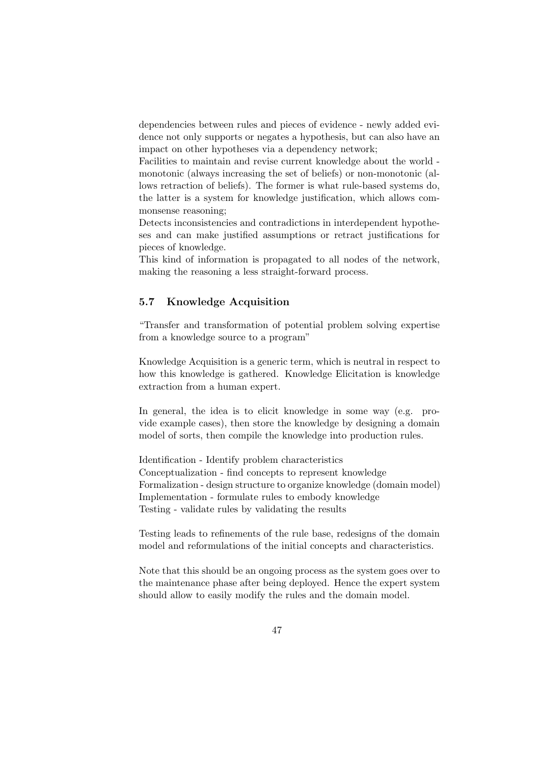dependencies between rules and pieces of evidence - newly added evidence not only supports or negates a hypothesis, but can also have an impact on other hypotheses via a dependency network;

Facilities to maintain and revise current knowledge about the world monotonic (always increasing the set of beliefs) or non-monotonic (allows retraction of beliefs). The former is what rule-based systems do, the latter is a system for knowledge justification, which allows commonsense reasoning;

Detects inconsistencies and contradictions in interdependent hypotheses and can make justified assumptions or retract justifications for pieces of knowledge.

This kind of information is propagated to all nodes of the network, making the reasoning a less straight-forward process.

# 5.7 Knowledge Acquisition

"Transfer and transformation of potential problem solving expertise from a knowledge source to a program"

Knowledge Acquisition is a generic term, which is neutral in respect to how this knowledge is gathered. Knowledge Elicitation is knowledge extraction from a human expert.

In general, the idea is to elicit knowledge in some way (e.g. provide example cases), then store the knowledge by designing a domain model of sorts, then compile the knowledge into production rules.

Identification - Identify problem characteristics Conceptualization - find concepts to represent knowledge Formalization - design structure to organize knowledge (domain model) Implementation - formulate rules to embody knowledge Testing - validate rules by validating the results

Testing leads to refinements of the rule base, redesigns of the domain model and reformulations of the initial concepts and characteristics.

Note that this should be an ongoing process as the system goes over to the maintenance phase after being deployed. Hence the expert system should allow to easily modify the rules and the domain model.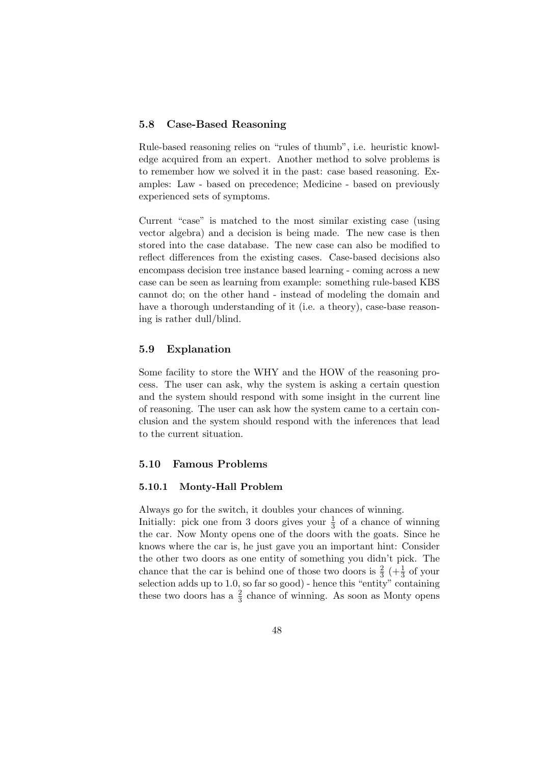# 5.8 Case-Based Reasoning

Rule-based reasoning relies on "rules of thumb", i.e. heuristic knowledge acquired from an expert. Another method to solve problems is to remember how we solved it in the past: case based reasoning. Examples: Law - based on precedence; Medicine - based on previously experienced sets of symptoms.

Current "case" is matched to the most similar existing case (using vector algebra) and a decision is being made. The new case is then stored into the case database. The new case can also be modified to reflect differences from the existing cases. Case-based decisions also encompass decision tree instance based learning - coming across a new case can be seen as learning from example: something rule-based KBS cannot do; on the other hand - instead of modeling the domain and have a thorough understanding of it (i.e. a theory), case-base reasoning is rather dull/blind.

## 5.9 Explanation

Some facility to store the WHY and the HOW of the reasoning process. The user can ask, why the system is asking a certain question and the system should respond with some insight in the current line of reasoning. The user can ask how the system came to a certain conclusion and the system should respond with the inferences that lead to the current situation.

# 5.10 Famous Problems

#### 5.10.1 Monty-Hall Problem

Always go for the switch, it doubles your chances of winning. Initially: pick one from 3 doors gives your  $\frac{1}{3}$  of a chance of winning the car. Now Monty opens one of the doors with the goats. Since he knows where the car is, he just gave you an important hint: Consider the other two doors as one entity of something you didn't pick. The chance that the car is behind one of those two doors is  $\frac{2}{3}$  ( $+\frac{1}{3}$  of your selection adds up to 1.0, so far so good) - hence this "entity" containing these two doors has a  $\frac{2}{3}$  chance of winning. As soon as Monty opens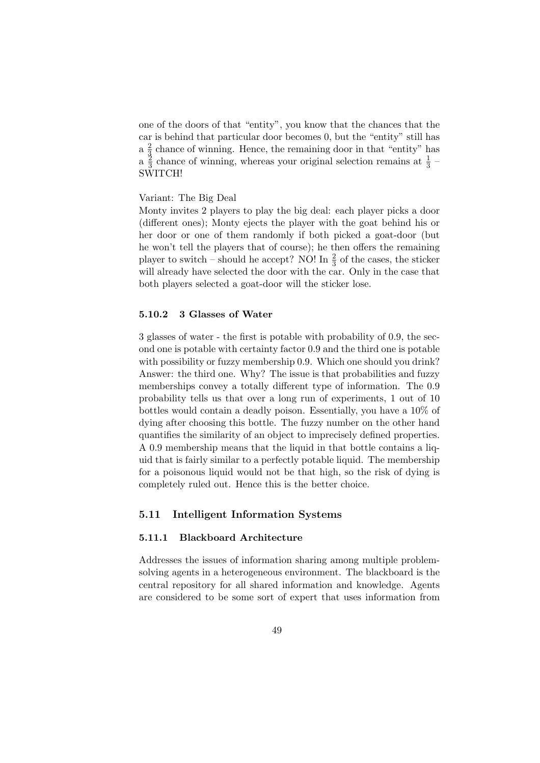one of the doors of that "entity", you know that the chances that the car is behind that particular door becomes 0, but the "entity" still has  $a \frac{2}{3}$  $\frac{2}{3}$  chance of winning. Hence, the remaining door in that "entity" has  $a \frac{2}{3}$  $\frac{3}{3}$  chance of winning, whereas your original selection remains at  $\frac{1}{3}$  – SWITCH!

#### Variant: The Big Deal

Monty invites 2 players to play the big deal: each player picks a door (different ones); Monty ejects the player with the goat behind his or her door or one of them randomly if both picked a goat-door (but he won't tell the players that of course); he then offers the remaining player to switch – should he accept? NO! In  $\frac{2}{3}$  of the cases, the sticker will already have selected the door with the car. Only in the case that both players selected a goat-door will the sticker lose.

#### 5.10.2 3 Glasses of Water

3 glasses of water - the first is potable with probability of 0.9, the second one is potable with certainty factor 0.9 and the third one is potable with possibility or fuzzy membership 0.9. Which one should you drink? Answer: the third one. Why? The issue is that probabilities and fuzzy memberships convey a totally different type of information. The 0.9 probability tells us that over a long run of experiments, 1 out of 10 bottles would contain a deadly poison. Essentially, you have a 10% of dying after choosing this bottle. The fuzzy number on the other hand quantifies the similarity of an object to imprecisely defined properties. A 0.9 membership means that the liquid in that bottle contains a liquid that is fairly similar to a perfectly potable liquid. The membership for a poisonous liquid would not be that high, so the risk of dying is completely ruled out. Hence this is the better choice.

## 5.11 Intelligent Information Systems

#### 5.11.1 Blackboard Architecture

Addresses the issues of information sharing among multiple problemsolving agents in a heterogeneous environment. The blackboard is the central repository for all shared information and knowledge. Agents are considered to be some sort of expert that uses information from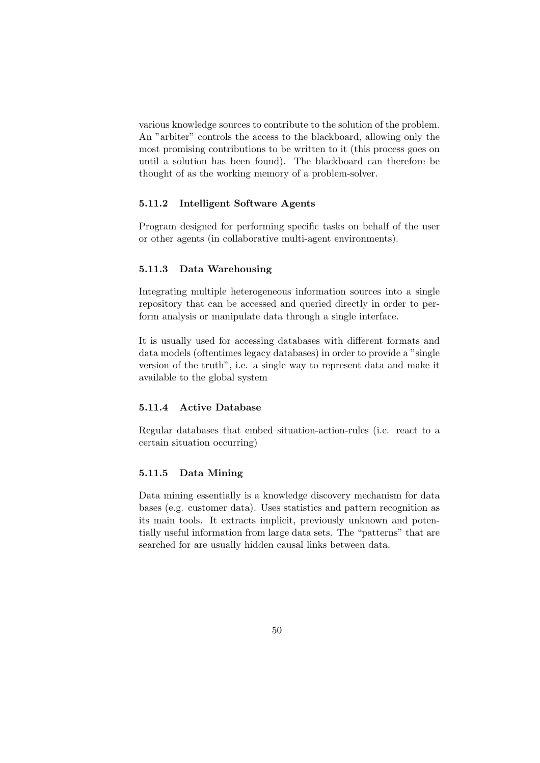various knowledge sources to contribute to the solution of the problem. An "arbiter" controls the access to the blackboard, allowing only the most promising contributions to be written to it (this process goes on until a solution has been found). The blackboard can therefore be thought of as the working memory of a problem-solver.

#### 5.11.2 Intelligent Software Agents

Program designed for performing specific tasks on behalf of the user or other agents (in collaborative multi-agent environments).

#### 5.11.3 Data Warehousing

Integrating multiple heterogeneous information sources into a single repository that can be accessed and queried directly in order to perform analysis or manipulate data through a single interface.

It is usually used for accessing databases with different formats and data models (oftentimes legacy databases) in order to provide a "single version of the truth", i.e. a single way to represent data and make it available to the global system

## 5.11.4 Active Database

Regular databases that embed situation-action-rules (i.e. react to a certain situation occurring)

## 5.11.5 Data Mining

Data mining essentially is a knowledge discovery mechanism for data bases (e.g. customer data). Uses statistics and pattern recognition as its main tools. It extracts implicit, previously unknown and potentially useful information from large data sets. The "patterns" that are searched for are usually hidden causal links between data.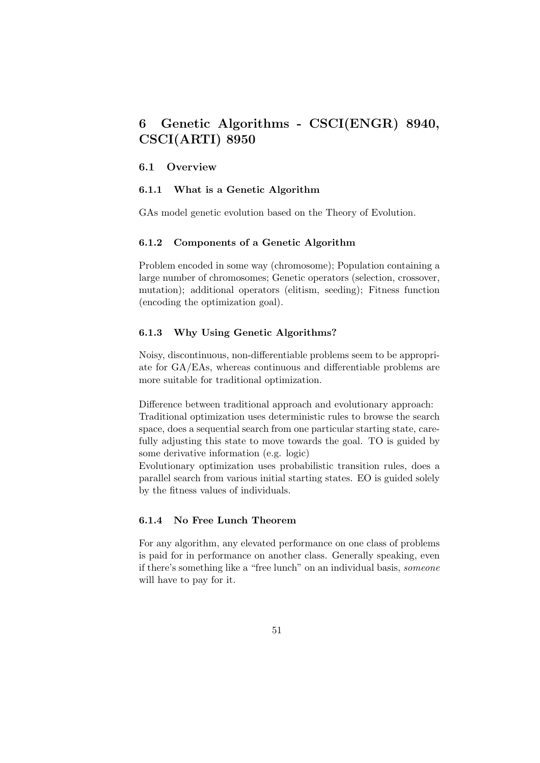# 6 Genetic Algorithms - CSCI(ENGR) 8940, CSCI(ARTI) 8950

#### 6.1 Overview

#### 6.1.1 What is a Genetic Algorithm

GAs model genetic evolution based on the Theory of Evolution.

## 6.1.2 Components of a Genetic Algorithm

Problem encoded in some way (chromosome); Population containing a large number of chromosomes; Genetic operators (selection, crossover, mutation); additional operators (elitism, seeding); Fitness function (encoding the optimization goal).

## 6.1.3 Why Using Genetic Algorithms?

Noisy, discontinuous, non-differentiable problems seem to be appropriate for GA/EAs, whereas continuous and differentiable problems are more suitable for traditional optimization.

Difference between traditional approach and evolutionary approach: Traditional optimization uses deterministic rules to browse the search space, does a sequential search from one particular starting state, carefully adjusting this state to move towards the goal. TO is guided by some derivative information (e.g. logic)

Evolutionary optimization uses probabilistic transition rules, does a parallel search from various initial starting states. EO is guided solely by the fitness values of individuals.

#### 6.1.4 No Free Lunch Theorem

For any algorithm, any elevated performance on one class of problems is paid for in performance on another class. Generally speaking, even if there's something like a "free lunch" on an individual basis, someone will have to pay for it.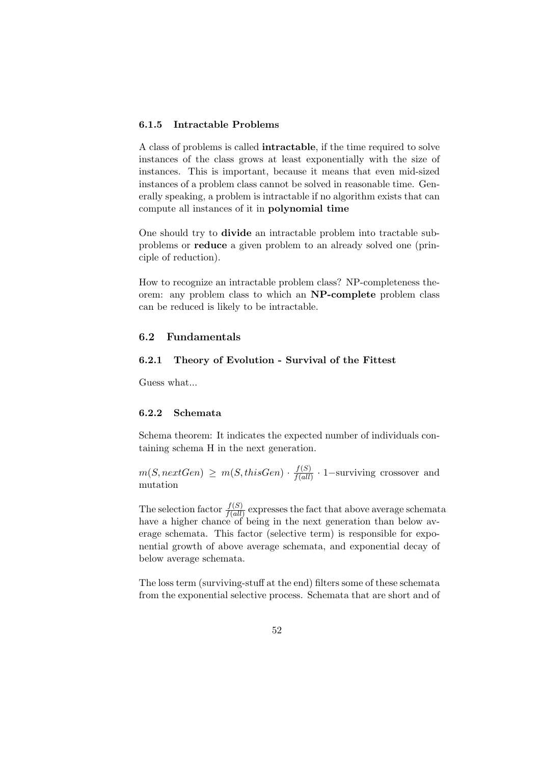## 6.1.5 Intractable Problems

A class of problems is called intractable, if the time required to solve instances of the class grows at least exponentially with the size of instances. This is important, because it means that even mid-sized instances of a problem class cannot be solved in reasonable time. Generally speaking, a problem is intractable if no algorithm exists that can compute all instances of it in polynomial time

One should try to divide an intractable problem into tractable subproblems or reduce a given problem to an already solved one (principle of reduction).

How to recognize an intractable problem class? NP-completeness theorem: any problem class to which an NP-complete problem class can be reduced is likely to be intractable.

# 6.2 Fundamentals

#### 6.2.1 Theory of Evolution - Survival of the Fittest

Guess what...

# 6.2.2 Schemata

Schema theorem: It indicates the expected number of individuals containing schema H in the next generation.

 $m(S, nextGen) \geq m(S, thisGen) \cdot \frac{f(S)}{f(\text{all})}$  $\frac{f(S)}{f(all)} \cdot 1$ -surviving crossover and mutation

The selection factor  $\frac{f(S)}{f(all)}$  expresses the fact that above average schemata have a higher chance of being in the next generation than below average schemata. This factor (selective term) is responsible for exponential growth of above average schemata, and exponential decay of below average schemata.

The loss term (surviving-stuff at the end) filters some of these schemata from the exponential selective process. Schemata that are short and of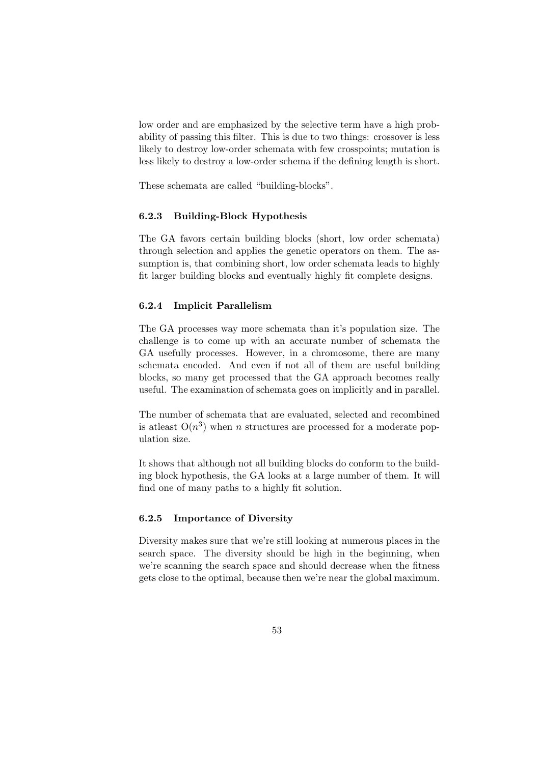low order and are emphasized by the selective term have a high probability of passing this filter. This is due to two things: crossover is less likely to destroy low-order schemata with few crosspoints; mutation is less likely to destroy a low-order schema if the defining length is short.

These schemata are called "building-blocks".

## 6.2.3 Building-Block Hypothesis

The GA favors certain building blocks (short, low order schemata) through selection and applies the genetic operators on them. The assumption is, that combining short, low order schemata leads to highly fit larger building blocks and eventually highly fit complete designs.

#### 6.2.4 Implicit Parallelism

The GA processes way more schemata than it's population size. The challenge is to come up with an accurate number of schemata the GA usefully processes. However, in a chromosome, there are many schemata encoded. And even if not all of them are useful building blocks, so many get processed that the GA approach becomes really useful. The examination of schemata goes on implicitly and in parallel.

The number of schemata that are evaluated, selected and recombined is at least  $O(n^3)$  when n structures are processed for a moderate population size.

It shows that although not all building blocks do conform to the building block hypothesis, the GA looks at a large number of them. It will find one of many paths to a highly fit solution.

#### 6.2.5 Importance of Diversity

Diversity makes sure that we're still looking at numerous places in the search space. The diversity should be high in the beginning, when we're scanning the search space and should decrease when the fitness gets close to the optimal, because then we're near the global maximum.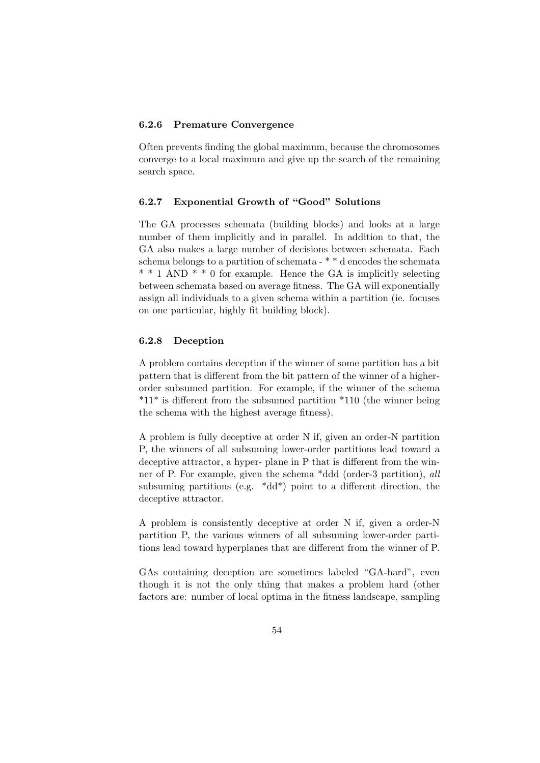## 6.2.6 Premature Convergence

Often prevents finding the global maximum, because the chromosomes converge to a local maximum and give up the search of the remaining search space.

#### 6.2.7 Exponential Growth of "Good" Solutions

The GA processes schemata (building blocks) and looks at a large number of them implicitly and in parallel. In addition to that, the GA also makes a large number of decisions between schemata. Each schema belongs to a partition of schemata - \* \* d encodes the schemata  $* * 1$  AND  $* * 0$  for example. Hence the GA is implicitly selecting between schemata based on average fitness. The GA will exponentially assign all individuals to a given schema within a partition (ie. focuses on one particular, highly fit building block).

## 6.2.8 Deception

A problem contains deception if the winner of some partition has a bit pattern that is different from the bit pattern of the winner of a higherorder subsumed partition. For example, if the winner of the schema  $*11*$  is different from the subsumed partition  $*110$  (the winner being the schema with the highest average fitness).

A problem is fully deceptive at order N if, given an order-N partition P, the winners of all subsuming lower-order partitions lead toward a deceptive attractor, a hyper- plane in P that is different from the winner of P. For example, given the schema \*ddd (order-3 partition), all subsuming partitions (e.g.  $*dd*$ ) point to a different direction, the deceptive attractor.

A problem is consistently deceptive at order N if, given a order-N partition P, the various winners of all subsuming lower-order partitions lead toward hyperplanes that are different from the winner of P.

GAs containing deception are sometimes labeled "GA-hard", even though it is not the only thing that makes a problem hard (other factors are: number of local optima in the fitness landscape, sampling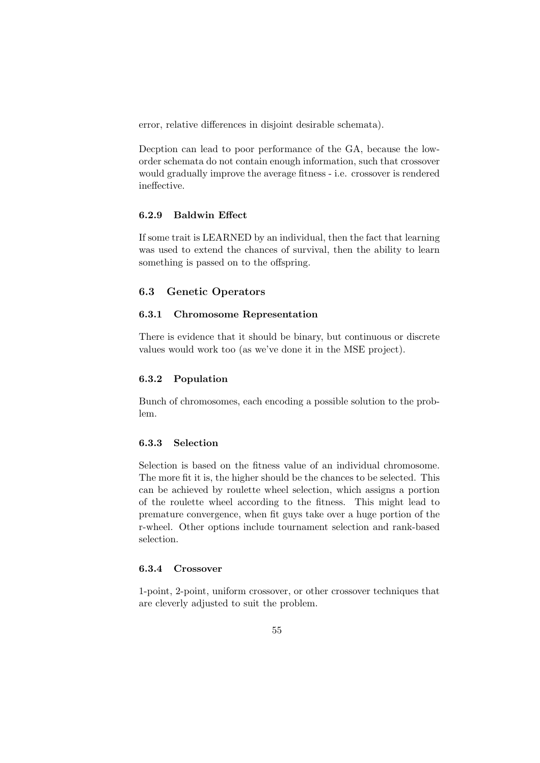error, relative differences in disjoint desirable schemata).

Decption can lead to poor performance of the GA, because the loworder schemata do not contain enough information, such that crossover would gradually improve the average fitness - i.e. crossover is rendered ineffective.

#### 6.2.9 Baldwin Effect

If some trait is LEARNED by an individual, then the fact that learning was used to extend the chances of survival, then the ability to learn something is passed on to the offspring.

## 6.3 Genetic Operators

## 6.3.1 Chromosome Representation

There is evidence that it should be binary, but continuous or discrete values would work too (as we've done it in the MSE project).

#### 6.3.2 Population

Bunch of chromosomes, each encoding a possible solution to the problem.

# 6.3.3 Selection

Selection is based on the fitness value of an individual chromosome. The more fit it is, the higher should be the chances to be selected. This can be achieved by roulette wheel selection, which assigns a portion of the roulette wheel according to the fitness. This might lead to premature convergence, when fit guys take over a huge portion of the r-wheel. Other options include tournament selection and rank-based selection.

## 6.3.4 Crossover

1-point, 2-point, uniform crossover, or other crossover techniques that are cleverly adjusted to suit the problem.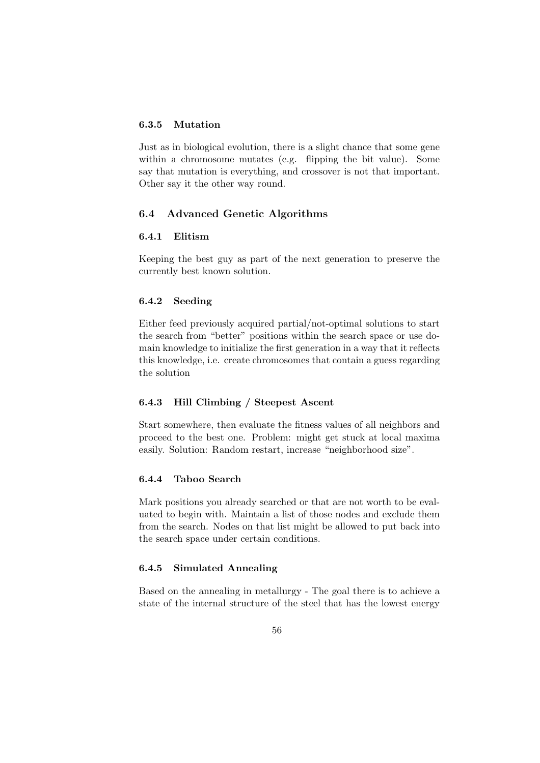## 6.3.5 Mutation

Just as in biological evolution, there is a slight chance that some gene within a chromosome mutates (e.g. flipping the bit value). Some say that mutation is everything, and crossover is not that important. Other say it the other way round.

# 6.4 Advanced Genetic Algorithms

# 6.4.1 Elitism

Keeping the best guy as part of the next generation to preserve the currently best known solution.

# 6.4.2 Seeding

Either feed previously acquired partial/not-optimal solutions to start the search from "better" positions within the search space or use domain knowledge to initialize the first generation in a way that it reflects this knowledge, i.e. create chromosomes that contain a guess regarding the solution

#### 6.4.3 Hill Climbing / Steepest Ascent

Start somewhere, then evaluate the fitness values of all neighbors and proceed to the best one. Problem: might get stuck at local maxima easily. Solution: Random restart, increase "neighborhood size".

#### 6.4.4 Taboo Search

Mark positions you already searched or that are not worth to be evaluated to begin with. Maintain a list of those nodes and exclude them from the search. Nodes on that list might be allowed to put back into the search space under certain conditions.

#### 6.4.5 Simulated Annealing

Based on the annealing in metallurgy - The goal there is to achieve a state of the internal structure of the steel that has the lowest energy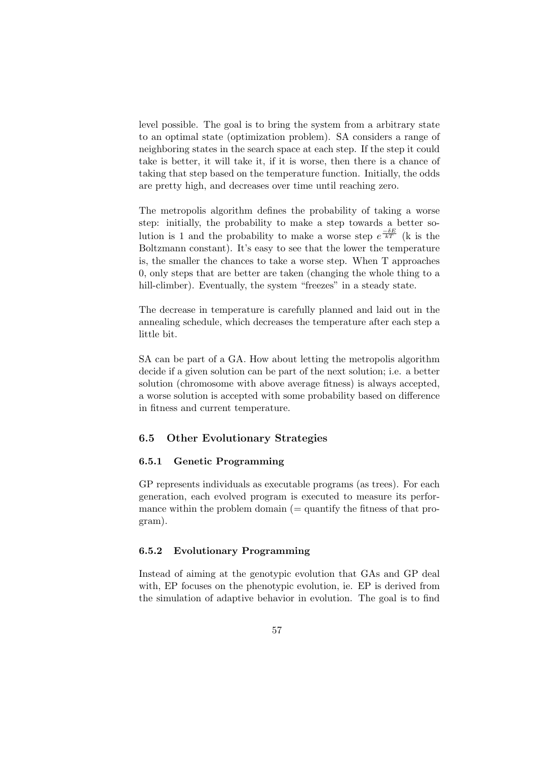level possible. The goal is to bring the system from a arbitrary state to an optimal state (optimization problem). SA considers a range of neighboring states in the search space at each step. If the step it could take is better, it will take it, if it is worse, then there is a chance of taking that step based on the temperature function. Initially, the odds are pretty high, and decreases over time until reaching zero.

The metropolis algorithm defines the probability of taking a worse step: initially, the probability to make a step towards a better solution is 1 and the probability to make a worse step  $e^{\frac{-\delta E}{kT}}$  (k is the Boltzmann constant). It's easy to see that the lower the temperature is, the smaller the chances to take a worse step. When T approaches 0, only steps that are better are taken (changing the whole thing to a hill-climber). Eventually, the system "freezes" in a steady state.

The decrease in temperature is carefully planned and laid out in the annealing schedule, which decreases the temperature after each step a little bit.

SA can be part of a GA. How about letting the metropolis algorithm decide if a given solution can be part of the next solution; i.e. a better solution (chromosome with above average fitness) is always accepted, a worse solution is accepted with some probability based on difference in fitness and current temperature.

## 6.5 Other Evolutionary Strategies

# 6.5.1 Genetic Programming

GP represents individuals as executable programs (as trees). For each generation, each evolved program is executed to measure its performance within the problem domain  $(=$  quantify the fitness of that program).

#### 6.5.2 Evolutionary Programming

Instead of aiming at the genotypic evolution that GAs and GP deal with, EP focuses on the phenotypic evolution, ie. EP is derived from the simulation of adaptive behavior in evolution. The goal is to find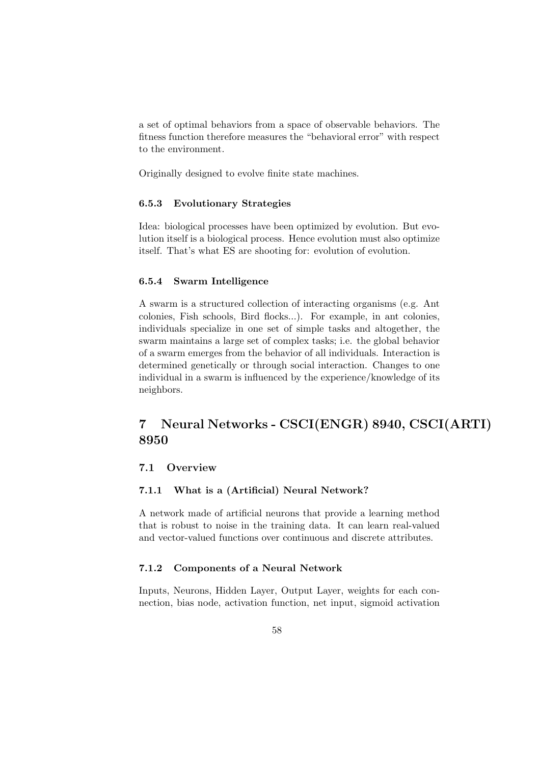a set of optimal behaviors from a space of observable behaviors. The fitness function therefore measures the "behavioral error" with respect to the environment.

Originally designed to evolve finite state machines.

## 6.5.3 Evolutionary Strategies

Idea: biological processes have been optimized by evolution. But evolution itself is a biological process. Hence evolution must also optimize itself. That's what ES are shooting for: evolution of evolution.

#### 6.5.4 Swarm Intelligence

A swarm is a structured collection of interacting organisms (e.g. Ant colonies, Fish schools, Bird flocks...). For example, in ant colonies, individuals specialize in one set of simple tasks and altogether, the swarm maintains a large set of complex tasks; i.e. the global behavior of a swarm emerges from the behavior of all individuals. Interaction is determined genetically or through social interaction. Changes to one individual in a swarm is influenced by the experience/knowledge of its neighbors.

# 7 Neural Networks - CSCI(ENGR) 8940, CSCI(ARTI) 8950

# 7.1 Overview

#### 7.1.1 What is a (Artificial) Neural Network?

A network made of artificial neurons that provide a learning method that is robust to noise in the training data. It can learn real-valued and vector-valued functions over continuous and discrete attributes.

#### 7.1.2 Components of a Neural Network

Inputs, Neurons, Hidden Layer, Output Layer, weights for each connection, bias node, activation function, net input, sigmoid activation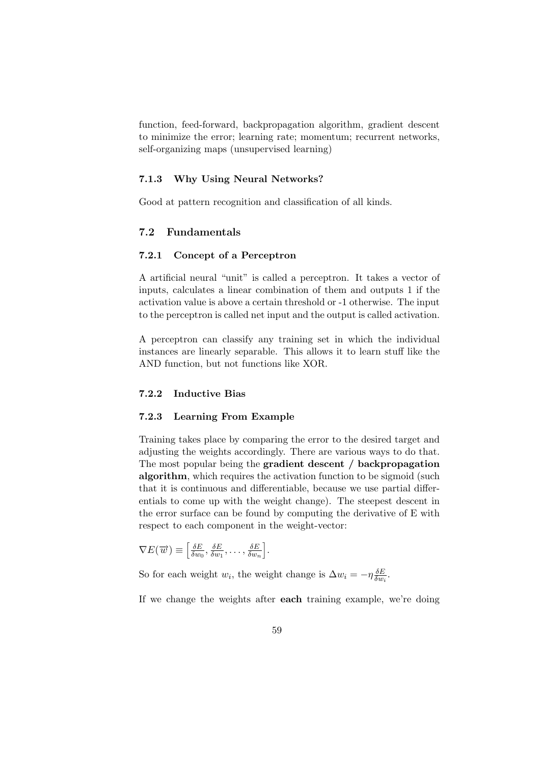function, feed-forward, backpropagation algorithm, gradient descent to minimize the error; learning rate; momentum; recurrent networks, self-organizing maps (unsupervised learning)

#### 7.1.3 Why Using Neural Networks?

Good at pattern recognition and classification of all kinds.

# 7.2 Fundamentals

#### 7.2.1 Concept of a Perceptron

A artificial neural "unit" is called a perceptron. It takes a vector of inputs, calculates a linear combination of them and outputs 1 if the activation value is above a certain threshold or -1 otherwise. The input to the perceptron is called net input and the output is called activation.

A perceptron can classify any training set in which the individual instances are linearly separable. This allows it to learn stuff like the AND function, but not functions like XOR.

#### 7.2.2 Inductive Bias

#### 7.2.3 Learning From Example

Training takes place by comparing the error to the desired target and adjusting the weights accordingly. There are various ways to do that. The most popular being the gradient descent / backpropagation algorithm, which requires the activation function to be sigmoid (such that it is continuous and differentiable, because we use partial differentials to come up with the weight change). The steepest descent in the error surface can be found by computing the derivative of E with respect to each component in the weight-vector:

$$
\nabla E(\overrightarrow{w}) \equiv \left[\frac{\delta E}{\delta w_0}, \frac{\delta E}{\delta w_1}, \dots, \frac{\delta E}{\delta w_n}\right].
$$

So for each weight  $w_i$ , the weight change is  $\Delta w_i = -\eta \frac{\delta E}{\delta w_i}$  $\frac{\delta E}{\delta w_i}$ .

If we change the weights after each training example, we're doing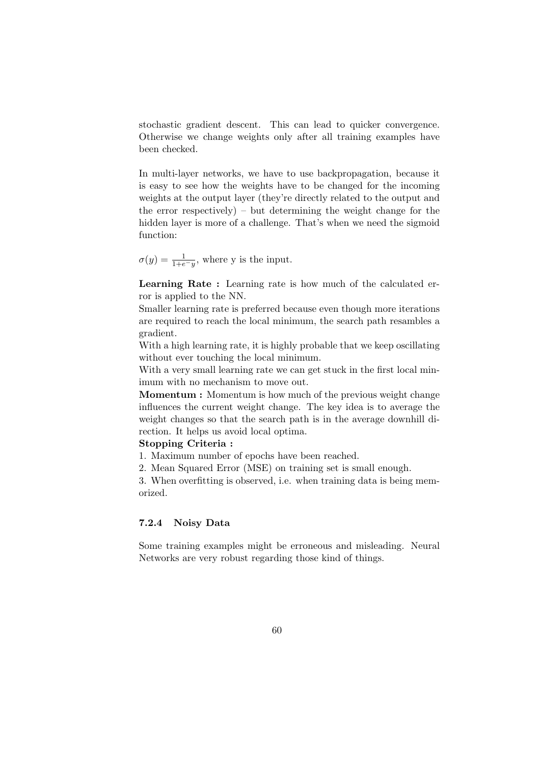stochastic gradient descent. This can lead to quicker convergence. Otherwise we change weights only after all training examples have been checked.

In multi-layer networks, we have to use backpropagation, because it is easy to see how the weights have to be changed for the incoming weights at the output layer (they're directly related to the output and the error respectively) – but determining the weight change for the hidden layer is more of a challenge. That's when we need the sigmoid function:

 $\sigma(y) = \frac{1}{1+e^{-y}}$ , where y is the input.

Learning Rate : Learning rate is how much of the calculated error is applied to the NN.

Smaller learning rate is preferred because even though more iterations are required to reach the local minimum, the search path resambles a gradient.

With a high learning rate, it is highly probable that we keep oscillating without ever touching the local minimum.

With a very small learning rate we can get stuck in the first local minimum with no mechanism to move out.

Momentum : Momentum is how much of the previous weight change influences the current weight change. The key idea is to average the weight changes so that the search path is in the average downhill direction. It helps us avoid local optima.

#### Stopping Criteria :

1. Maximum number of epochs have been reached.

2. Mean Squared Error (MSE) on training set is small enough.

3. When overfitting is observed, i.e. when training data is being memorized.

# 7.2.4 Noisy Data

Some training examples might be erroneous and misleading. Neural Networks are very robust regarding those kind of things.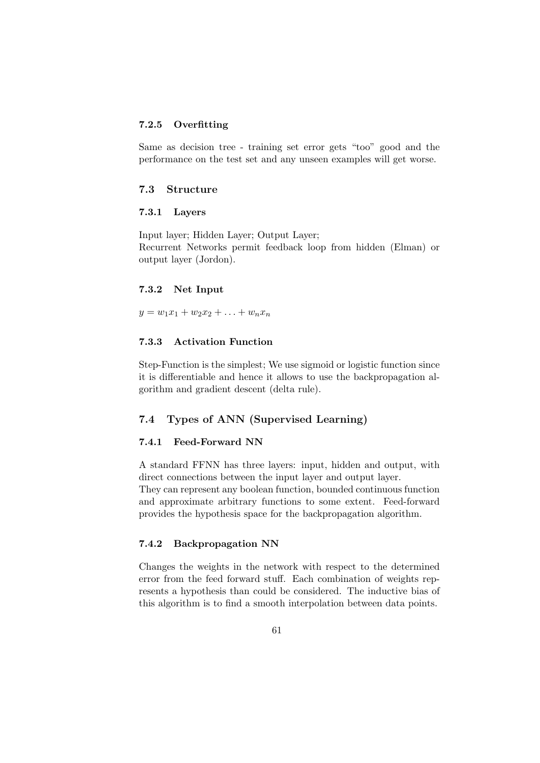# 7.2.5 Overfitting

Same as decision tree - training set error gets "too" good and the performance on the test set and any unseen examples will get worse.

# 7.3 Structure

#### 7.3.1 Layers

Input layer; Hidden Layer; Output Layer; Recurrent Networks permit feedback loop from hidden (Elman) or output layer (Jordon).

#### 7.3.2 Net Input

 $y = w_1x_1 + w_2x_2 + \ldots + w_nx_n$ 

# 7.3.3 Activation Function

Step-Function is the simplest; We use sigmoid or logistic function since it is differentiable and hence it allows to use the backpropagation algorithm and gradient descent (delta rule).

# 7.4 Types of ANN (Supervised Learning)

## 7.4.1 Feed-Forward NN

A standard FFNN has three layers: input, hidden and output, with direct connections between the input layer and output layer. They can represent any boolean function, bounded continuous function and approximate arbitrary functions to some extent. Feed-forward provides the hypothesis space for the backpropagation algorithm.

#### 7.4.2 Backpropagation NN

Changes the weights in the network with respect to the determined error from the feed forward stuff. Each combination of weights represents a hypothesis than could be considered. The inductive bias of this algorithm is to find a smooth interpolation between data points.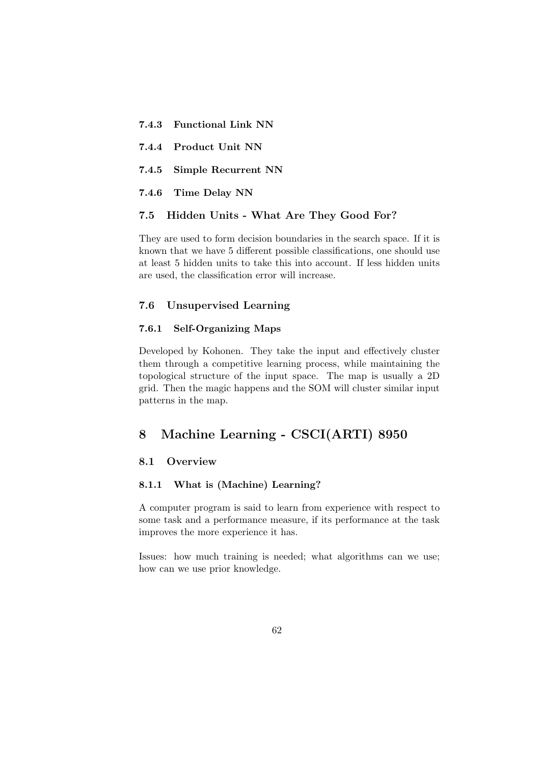| 7.4.3 Functional Link NN  |
|---------------------------|
| 7.4.4 Product Unit NN     |
| 7.4.5 Simple Recurrent NN |
| 7.4.6 Time Delay NN       |
|                           |

# 7.5 Hidden Units - What Are They Good For?

They are used to form decision boundaries in the search space. If it is known that we have 5 different possible classifications, one should use at least 5 hidden units to take this into account. If less hidden units are used, the classification error will increase.

# 7.6 Unsupervised Learning

## 7.6.1 Self-Organizing Maps

Developed by Kohonen. They take the input and effectively cluster them through a competitive learning process, while maintaining the topological structure of the input space. The map is usually a 2D grid. Then the magic happens and the SOM will cluster similar input patterns in the map.

# 8 Machine Learning - CSCI(ARTI) 8950

# 8.1 Overview

# 8.1.1 What is (Machine) Learning?

A computer program is said to learn from experience with respect to some task and a performance measure, if its performance at the task improves the more experience it has.

Issues: how much training is needed; what algorithms can we use; how can we use prior knowledge.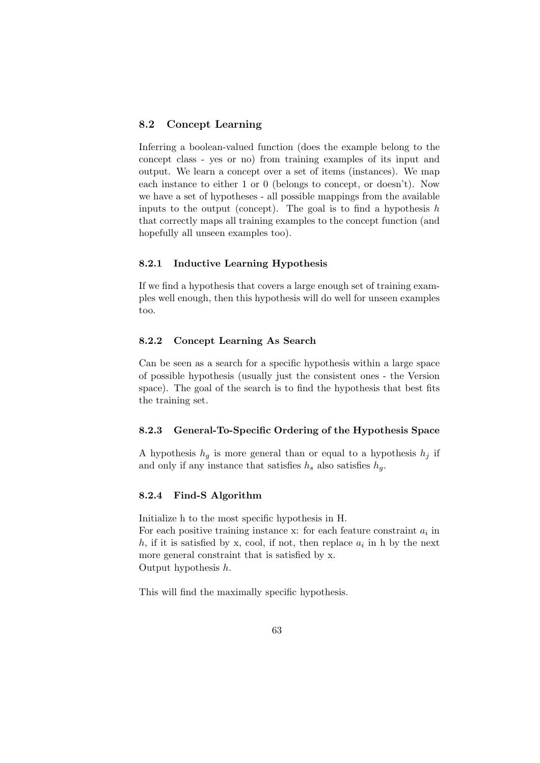# 8.2 Concept Learning

Inferring a boolean-valued function (does the example belong to the concept class - yes or no) from training examples of its input and output. We learn a concept over a set of items (instances). We map each instance to either 1 or 0 (belongs to concept, or doesn't). Now we have a set of hypotheses - all possible mappings from the available inputs to the output (concept). The goal is to find a hypothesis  $h$ that correctly maps all training examples to the concept function (and hopefully all unseen examples too).

#### 8.2.1 Inductive Learning Hypothesis

If we find a hypothesis that covers a large enough set of training examples well enough, then this hypothesis will do well for unseen examples too.

# 8.2.2 Concept Learning As Search

Can be seen as a search for a specific hypothesis within a large space of possible hypothesis (usually just the consistent ones - the Version space). The goal of the search is to find the hypothesis that best fits the training set.

## 8.2.3 General-To-Specific Ordering of the Hypothesis Space

A hypothesis  $h_q$  is more general than or equal to a hypothesis  $h_i$  if and only if any instance that satisfies  $h_s$  also satisfies  $h_g$ .

#### 8.2.4 Find-S Algorithm

Initialize h to the most specific hypothesis in H. For each positive training instance  $x$ : for each feature constraint  $a_i$  in h, if it is satisfied by x, cool, if not, then replace  $a_i$  in h by the next more general constraint that is satisfied by x. Output hypothesis h.

This will find the maximally specific hypothesis.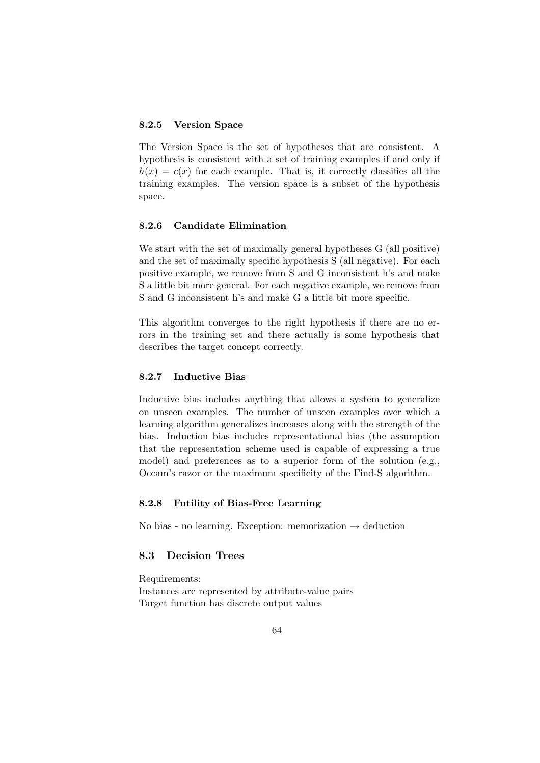# 8.2.5 Version Space

The Version Space is the set of hypotheses that are consistent. A hypothesis is consistent with a set of training examples if and only if  $h(x) = c(x)$  for each example. That is, it correctly classifies all the training examples. The version space is a subset of the hypothesis space.

#### 8.2.6 Candidate Elimination

We start with the set of maximally general hypotheses G (all positive) and the set of maximally specific hypothesis S (all negative). For each positive example, we remove from S and G inconsistent h's and make S a little bit more general. For each negative example, we remove from S and G inconsistent h's and make G a little bit more specific.

This algorithm converges to the right hypothesis if there are no errors in the training set and there actually is some hypothesis that describes the target concept correctly.

## 8.2.7 Inductive Bias

Inductive bias includes anything that allows a system to generalize on unseen examples. The number of unseen examples over which a learning algorithm generalizes increases along with the strength of the bias. Induction bias includes representational bias (the assumption that the representation scheme used is capable of expressing a true model) and preferences as to a superior form of the solution (e.g., Occam's razor or the maximum specificity of the Find-S algorithm.

### 8.2.8 Futility of Bias-Free Learning

No bias - no learning. Exception: memorization  $\rightarrow$  deduction

# 8.3 Decision Trees

Requirements: Instances are represented by attribute-value pairs Target function has discrete output values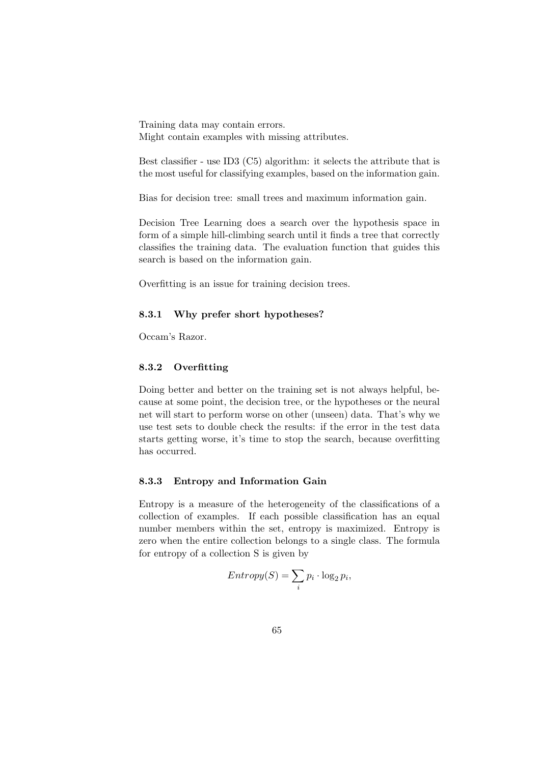Training data may contain errors. Might contain examples with missing attributes.

Best classifier - use ID3 (C5) algorithm: it selects the attribute that is the most useful for classifying examples, based on the information gain.

Bias for decision tree: small trees and maximum information gain.

Decision Tree Learning does a search over the hypothesis space in form of a simple hill-climbing search until it finds a tree that correctly classifies the training data. The evaluation function that guides this search is based on the information gain.

Overfitting is an issue for training decision trees.

#### 8.3.1 Why prefer short hypotheses?

Occam's Razor.

# 8.3.2 Overfitting

Doing better and better on the training set is not always helpful, because at some point, the decision tree, or the hypotheses or the neural net will start to perform worse on other (unseen) data. That's why we use test sets to double check the results: if the error in the test data starts getting worse, it's time to stop the search, because overfitting has occurred.

#### 8.3.3 Entropy and Information Gain

Entropy is a measure of the heterogeneity of the classifications of a collection of examples. If each possible classification has an equal number members within the set, entropy is maximized. Entropy is zero when the entire collection belongs to a single class. The formula for entropy of a collection S is given by

$$
Entropy(S) = \sum_{i} p_i \cdot \log_2 p_i,
$$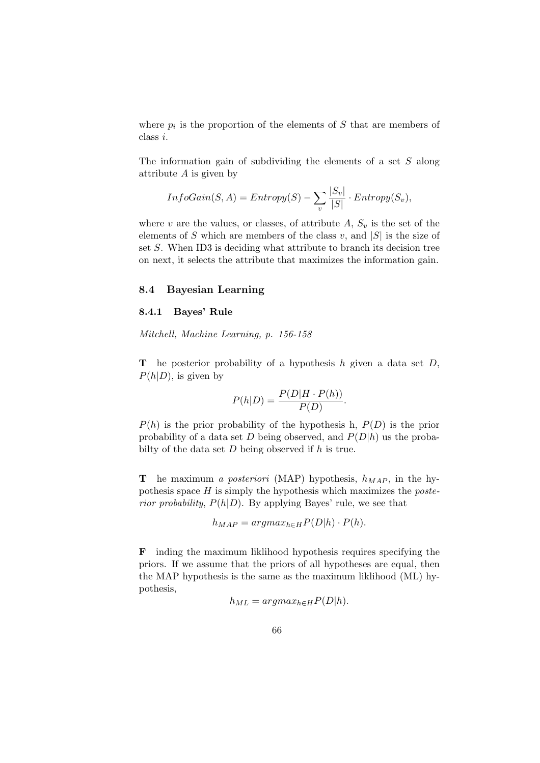where  $p_i$  is the proportion of the elements of S that are members of class i.

The information gain of subdividing the elements of a set S along attribute  $A$  is given by

$$
InfoGain(S, A) = Entropy(S) - \sum_{v} \frac{|S_v|}{|S|} \cdot Entropy(S_v),
$$

where v are the values, or classes, of attribute  $A, S_v$  is the set of the elements of S which are members of the class  $v$ , and  $|S|$  is the size of set S. When ID3 is deciding what attribute to branch its decision tree on next, it selects the attribute that maximizes the information gain.

## 8.4 Bayesian Learning

## 8.4.1 Bayes' Rule

Mitchell, Machine Learning, p. 156-158

**T** he posterior probability of a hypothesis h given a data set  $D$ ,  $P(h|D)$ , is given by

$$
P(h|D) = \frac{P(D|H \cdot P(h))}{P(D)}.
$$

 $P(h)$  is the prior probability of the hypothesis h,  $P(D)$  is the prior probability of a data set D being observed, and  $P(D|h)$  us the probabilty of the data set  $D$  being observed if  $h$  is true.

**T** he maximum a posteriori (MAP) hypothesis,  $h_{MAP}$ , in the hypothesis space  $H$  is simply the hypothesis which maximizes the *poste*rior probability,  $P(h|D)$ . By applying Bayes' rule, we see that

$$
h_{MAP} = argmax_{h \in H} P(D|h) \cdot P(h).
$$

F inding the maximum liklihood hypothesis requires specifying the priors. If we assume that the priors of all hypotheses are equal, then the MAP hypothesis is the same as the maximum liklihood (ML) hypothesis,

$$
h_{ML} = argmax_{h \in H} P(D|h).
$$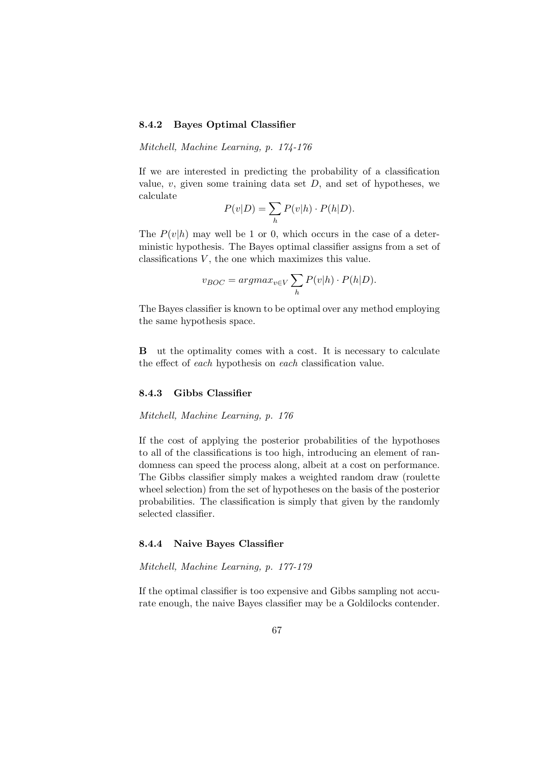## 8.4.2 Bayes Optimal Classifier

Mitchell, Machine Learning, p. 174-176

If we are interested in predicting the probability of a classification value,  $v$ , given some training data set  $D$ , and set of hypotheses, we calculate

$$
P(v|D) = \sum_{h} P(v|h) \cdot P(h|D).
$$

The  $P(v|h)$  may well be 1 or 0, which occurs in the case of a deterministic hypothesis. The Bayes optimal classifier assigns from a set of classifications  $V$ , the one which maximizes this value.

$$
v_{BOC} = argmax_{v \in V} \sum_{h} P(v|h) \cdot P(h|D).
$$

The Bayes classifier is known to be optimal over any method employing the same hypothesis space.

B ut the optimality comes with a cost. It is necessary to calculate the effect of each hypothesis on each classification value.

#### 8.4.3 Gibbs Classifier

#### Mitchell, Machine Learning, p. 176

If the cost of applying the posterior probabilities of the hypothoses to all of the classifications is too high, introducing an element of randomness can speed the process along, albeit at a cost on performance. The Gibbs classifier simply makes a weighted random draw (roulette wheel selection) from the set of hypotheses on the basis of the posterior probabilities. The classification is simply that given by the randomly selected classifier.

## 8.4.4 Naive Bayes Classifier

#### Mitchell, Machine Learning, p. 177-179

If the optimal classifier is too expensive and Gibbs sampling not accurate enough, the naive Bayes classifier may be a Goldilocks contender.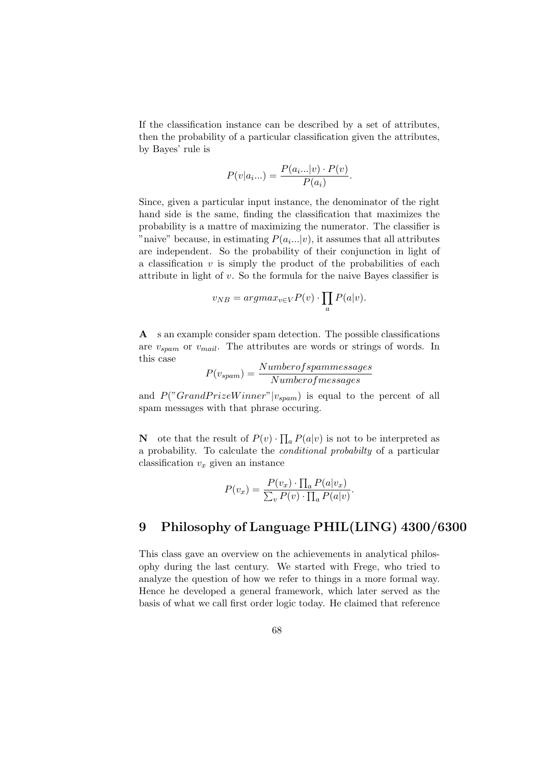If the classification instance can be described by a set of attributes, then the probability of a particular classification given the attributes, by Bayes' rule is

$$
P(v|a_i...)=\frac{P(a_i...|v)\cdot P(v)}{P(a_i)}.
$$

Since, given a particular input instance, the denominator of the right hand side is the same, finding the classification that maximizes the probability is a mattre of maximizing the numerator. The classifier is "naive" because, in estimating  $P(a_i...|v)$ , it assumes that all attributes are independent. So the probability of their conjunction in light of a classification  $v$  is simply the product of the probabilities of each attribute in light of v. So the formula for the naive Bayes classifier is

$$
v_{NB} = argmax_{v \in V} P(v) \cdot \prod_{a} P(a|v).
$$

A s an example consider spam detection. The possible classifications are  $v_{spam}$  or  $v_{mail}$ . The attributes are words or strings of words. In this case

$$
P(v_{spam}) = \frac{Number of spammersages}{Number of messages}
$$

and  $P("Grand PrizeWinner" | v_{spam})$  is equal to the percent of all spam messages with that phrase occuring.

**N** ote that the result of  $P(v) \cdot \prod_a P(a|v)$  is not to be interpreted as a probability. To calculate the conditional probabilty of a particular classification  $v_x$  given an instance

$$
P(v_x) = \frac{P(v_x) \cdot \prod_a P(a|v_x)}{\sum_v P(v) \cdot \prod_a P(a|v)}.
$$

## 9 Philosophy of Language PHIL(LING) 4300/6300

This class gave an overview on the achievements in analytical philosophy during the last century. We started with Frege, who tried to analyze the question of how we refer to things in a more formal way. Hence he developed a general framework, which later served as the basis of what we call first order logic today. He claimed that reference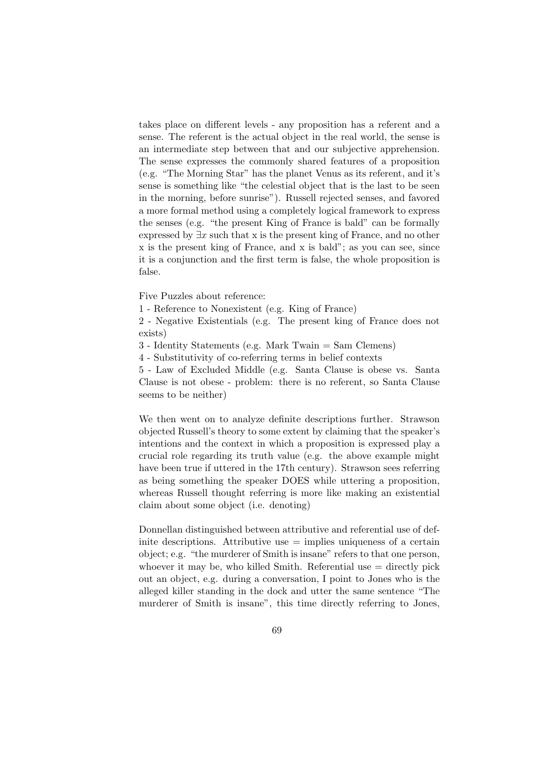takes place on different levels - any proposition has a referent and a sense. The referent is the actual object in the real world, the sense is an intermediate step between that and our subjective apprehension. The sense expresses the commonly shared features of a proposition (e.g. "The Morning Star" has the planet Venus as its referent, and it's sense is something like "the celestial object that is the last to be seen in the morning, before sunrise"). Russell rejected senses, and favored a more formal method using a completely logical framework to express the senses (e.g. "the present King of France is bald" can be formally expressed by  $\exists x$  such that x is the present king of France, and no other x is the present king of France, and x is bald"; as you can see, since it is a conjunction and the first term is false, the whole proposition is false.

Five Puzzles about reference:

1 - Reference to Nonexistent (e.g. King of France)

2 - Negative Existentials (e.g. The present king of France does not exists)

3 - Identity Statements (e.g. Mark Twain = Sam Clemens)

4 - Substitutivity of co-referring terms in belief contexts

5 - Law of Excluded Middle (e.g. Santa Clause is obese vs. Santa Clause is not obese - problem: there is no referent, so Santa Clause seems to be neither)

We then went on to analyze definite descriptions further. Strawson objected Russell's theory to some extent by claiming that the speaker's intentions and the context in which a proposition is expressed play a crucial role regarding its truth value (e.g. the above example might have been true if uttered in the 17th century). Strawson sees referring as being something the speaker DOES while uttering a proposition, whereas Russell thought referring is more like making an existential claim about some object (i.e. denoting)

Donnellan distinguished between attributive and referential use of definite descriptions. Attributive use  $=$  implies uniqueness of a certain object; e.g. "the murderer of Smith is insane" refers to that one person, whoever it may be, who killed Smith. Referential use  $=$  directly pick out an object, e.g. during a conversation, I point to Jones who is the alleged killer standing in the dock and utter the same sentence "The murderer of Smith is insane", this time directly referring to Jones,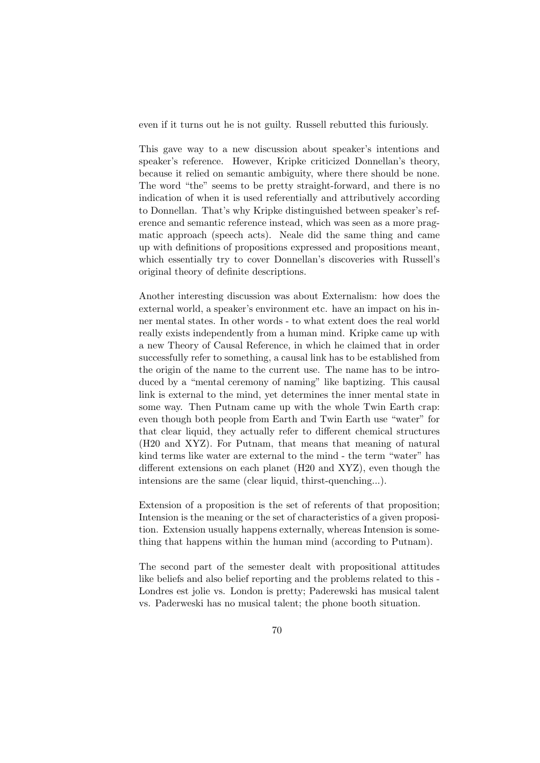even if it turns out he is not guilty. Russell rebutted this furiously.

This gave way to a new discussion about speaker's intentions and speaker's reference. However, Kripke criticized Donnellan's theory, because it relied on semantic ambiguity, where there should be none. The word "the" seems to be pretty straight-forward, and there is no indication of when it is used referentially and attributively according to Donnellan. That's why Kripke distinguished between speaker's reference and semantic reference instead, which was seen as a more pragmatic approach (speech acts). Neale did the same thing and came up with definitions of propositions expressed and propositions meant, which essentially try to cover Donnellan's discoveries with Russell's original theory of definite descriptions.

Another interesting discussion was about Externalism: how does the external world, a speaker's environment etc. have an impact on his inner mental states. In other words - to what extent does the real world really exists independently from a human mind. Kripke came up with a new Theory of Causal Reference, in which he claimed that in order successfully refer to something, a causal link has to be established from the origin of the name to the current use. The name has to be introduced by a "mental ceremony of naming" like baptizing. This causal link is external to the mind, yet determines the inner mental state in some way. Then Putnam came up with the whole Twin Earth crap: even though both people from Earth and Twin Earth use "water" for that clear liquid, they actually refer to different chemical structures (H20 and XYZ). For Putnam, that means that meaning of natural kind terms like water are external to the mind - the term "water" has different extensions on each planet (H20 and XYZ), even though the intensions are the same (clear liquid, thirst-quenching...).

Extension of a proposition is the set of referents of that proposition; Intension is the meaning or the set of characteristics of a given proposition. Extension usually happens externally, whereas Intension is something that happens within the human mind (according to Putnam).

The second part of the semester dealt with propositional attitudes like beliefs and also belief reporting and the problems related to this - Londres est jolie vs. London is pretty; Paderewski has musical talent vs. Paderweski has no musical talent; the phone booth situation.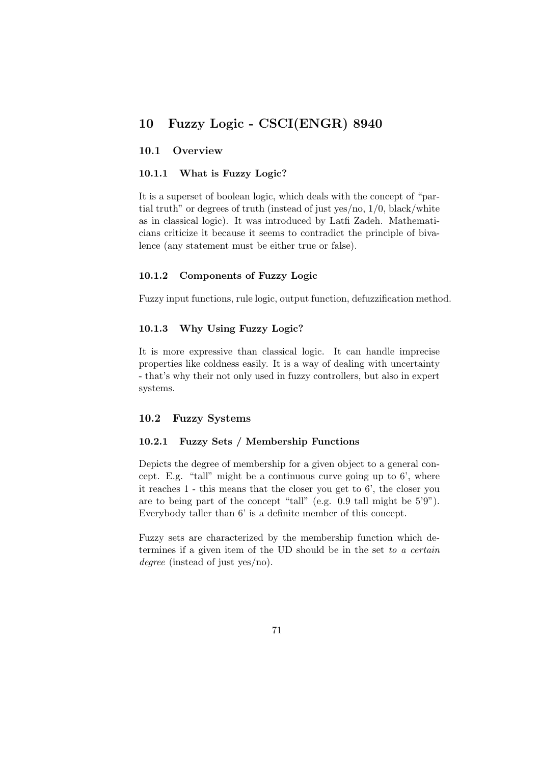# 10 Fuzzy Logic - CSCI(ENGR) 8940

## 10.1 Overview

## 10.1.1 What is Fuzzy Logic?

It is a superset of boolean logic, which deals with the concept of "partial truth" or degrees of truth (instead of just yes/no, 1/0, black/white as in classical logic). It was introduced by Latfi Zadeh. Mathematicians criticize it because it seems to contradict the principle of bivalence (any statement must be either true or false).

#### 10.1.2 Components of Fuzzy Logic

Fuzzy input functions, rule logic, output function, defuzzification method.

### 10.1.3 Why Using Fuzzy Logic?

It is more expressive than classical logic. It can handle imprecise properties like coldness easily. It is a way of dealing with uncertainty - that's why their not only used in fuzzy controllers, but also in expert systems.

#### 10.2 Fuzzy Systems

#### 10.2.1 Fuzzy Sets / Membership Functions

Depicts the degree of membership for a given object to a general concept. E.g. "tall" might be a continuous curve going up to 6', where it reaches 1 - this means that the closer you get to 6', the closer you are to being part of the concept "tall" (e.g. 0.9 tall might be 5'9"). Everybody taller than 6' is a definite member of this concept.

Fuzzy sets are characterized by the membership function which determines if a given item of the UD should be in the set to a certain degree (instead of just yes/no).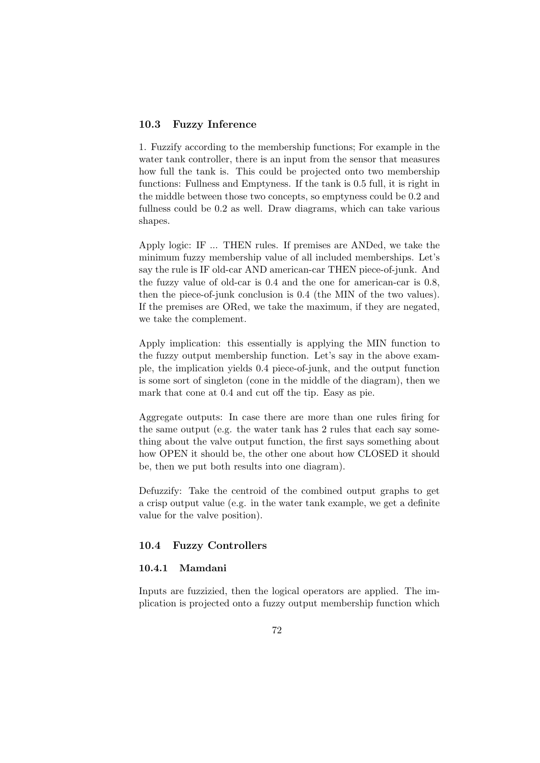## 10.3 Fuzzy Inference

1. Fuzzify according to the membership functions; For example in the water tank controller, there is an input from the sensor that measures how full the tank is. This could be projected onto two membership functions: Fullness and Emptyness. If the tank is 0.5 full, it is right in the middle between those two concepts, so emptyness could be 0.2 and fullness could be 0.2 as well. Draw diagrams, which can take various shapes.

Apply logic: IF ... THEN rules. If premises are ANDed, we take the minimum fuzzy membership value of all included memberships. Let's say the rule is IF old-car AND american-car THEN piece-of-junk. And the fuzzy value of old-car is 0.4 and the one for american-car is 0.8, then the piece-of-junk conclusion is 0.4 (the MIN of the two values). If the premises are ORed, we take the maximum, if they are negated, we take the complement.

Apply implication: this essentially is applying the MIN function to the fuzzy output membership function. Let's say in the above example, the implication yields 0.4 piece-of-junk, and the output function is some sort of singleton (cone in the middle of the diagram), then we mark that cone at 0.4 and cut off the tip. Easy as pie.

Aggregate outputs: In case there are more than one rules firing for the same output (e.g. the water tank has 2 rules that each say something about the valve output function, the first says something about how OPEN it should be, the other one about how CLOSED it should be, then we put both results into one diagram).

Defuzzify: Take the centroid of the combined output graphs to get a crisp output value (e.g. in the water tank example, we get a definite value for the valve position).

## 10.4 Fuzzy Controllers

#### 10.4.1 Mamdani

Inputs are fuzzizied, then the logical operators are applied. The implication is projected onto a fuzzy output membership function which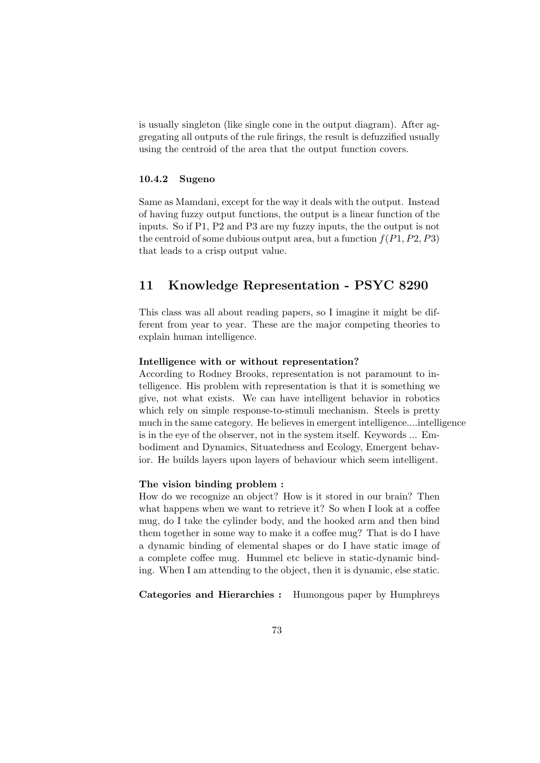is usually singleton (like single cone in the output diagram). After aggregating all outputs of the rule firings, the result is defuzzified usually using the centroid of the area that the output function covers.

#### 10.4.2 Sugeno

Same as Mamdani, except for the way it deals with the output. Instead of having fuzzy output functions, the output is a linear function of the inputs. So if P1, P2 and P3 are my fuzzy inputs, the the output is not the centroid of some dubious output area, but a function  $f(P1, P2, P3)$ that leads to a crisp output value.

## 11 Knowledge Representation - PSYC 8290

This class was all about reading papers, so I imagine it might be different from year to year. These are the major competing theories to explain human intelligence.

#### Intelligence with or without representation?

According to Rodney Brooks, representation is not paramount to intelligence. His problem with representation is that it is something we give, not what exists. We can have intelligent behavior in robotics which rely on simple response-to-stimuli mechanism. Steels is pretty much in the same category. He believes in emergent intelligence....intelligence is in the eye of the observer, not in the system itself. Keywords ... Embodiment and Dynamics, Situatedness and Ecology, Emergent behavior. He builds layers upon layers of behaviour which seem intelligent.

#### The vision binding problem :

How do we recognize an object? How is it stored in our brain? Then what happens when we want to retrieve it? So when I look at a coffee mug, do I take the cylinder body, and the hooked arm and then bind them together in some way to make it a coffee mug? That is do I have a dynamic binding of elemental shapes or do I have static image of a complete coffee mug. Hummel etc believe in static-dynamic binding. When I am attending to the object, then it is dynamic, else static.

Categories and Hierarchies : Humongous paper by Humphreys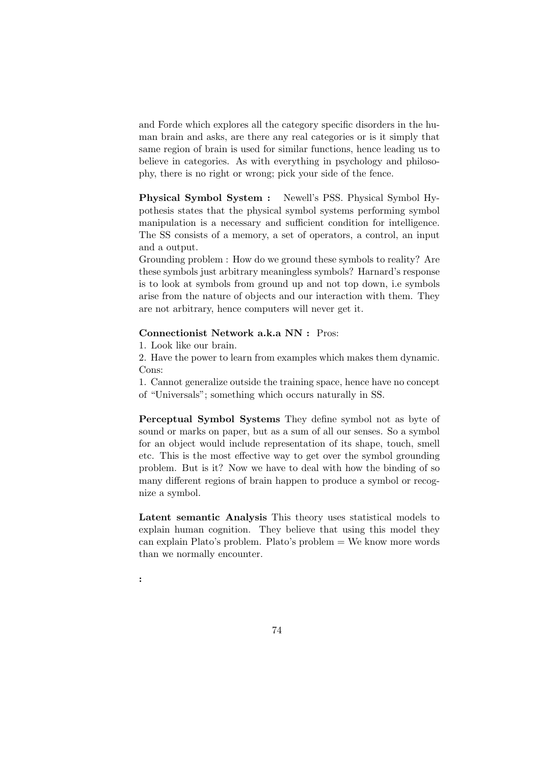and Forde which explores all the category specific disorders in the human brain and asks, are there any real categories or is it simply that same region of brain is used for similar functions, hence leading us to believe in categories. As with everything in psychology and philosophy, there is no right or wrong; pick your side of the fence.

Physical Symbol System : Newell's PSS. Physical Symbol Hypothesis states that the physical symbol systems performing symbol manipulation is a necessary and sufficient condition for intelligence. The SS consists of a memory, a set of operators, a control, an input and a output.

Grounding problem : How do we ground these symbols to reality? Are these symbols just arbitrary meaningless symbols? Harnard's response is to look at symbols from ground up and not top down, i.e symbols arise from the nature of objects and our interaction with them. They are not arbitrary, hence computers will never get it.

## Connectionist Network a.k.a NN : Pros:

1. Look like our brain.

2. Have the power to learn from examples which makes them dynamic. Cons:

1. Cannot generalize outside the training space, hence have no concept of "Universals"; something which occurs naturally in SS.

Perceptual Symbol Systems They define symbol not as byte of sound or marks on paper, but as a sum of all our senses. So a symbol for an object would include representation of its shape, touch, smell etc. This is the most effective way to get over the symbol grounding problem. But is it? Now we have to deal with how the binding of so many different regions of brain happen to produce a symbol or recognize a symbol.

Latent semantic Analysis This theory uses statistical models to explain human cognition. They believe that using this model they can explain Plato's problem. Plato's problem  $=$  We know more words than we normally encounter.

: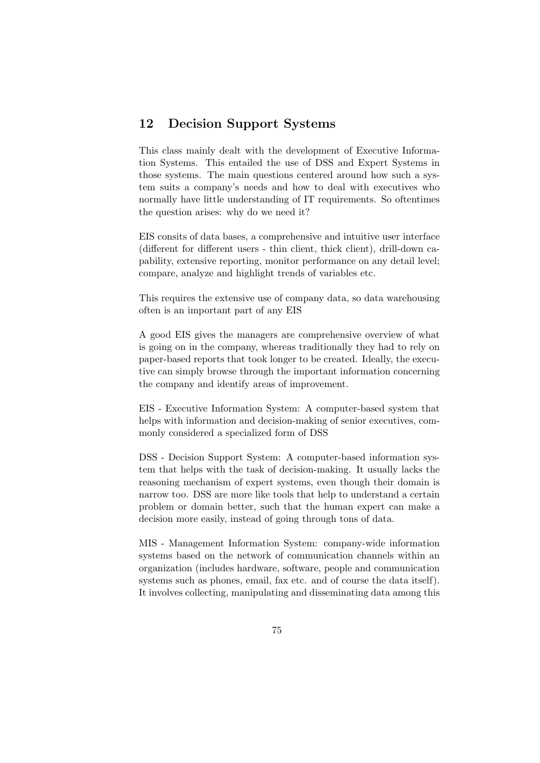# 12 Decision Support Systems

This class mainly dealt with the development of Executive Information Systems. This entailed the use of DSS and Expert Systems in those systems. The main questions centered around how such a system suits a company's needs and how to deal with executives who normally have little understanding of IT requirements. So oftentimes the question arises: why do we need it?

EIS consits of data bases, a comprehensive and intuitive user interface (different for different users - thin client, thick client), drill-down capability, extensive reporting, monitor performance on any detail level; compare, analyze and highlight trends of variables etc.

This requires the extensive use of company data, so data warehousing often is an important part of any EIS

A good EIS gives the managers are comprehensive overview of what is going on in the company, whereas traditionally they had to rely on paper-based reports that took longer to be created. Ideally, the executive can simply browse through the important information concerning the company and identify areas of improvement.

EIS - Executive Information System: A computer-based system that helps with information and decision-making of senior executives, commonly considered a specialized form of DSS

DSS - Decision Support System: A computer-based information system that helps with the task of decision-making. It usually lacks the reasoning mechanism of expert systems, even though their domain is narrow too. DSS are more like tools that help to understand a certain problem or domain better, such that the human expert can make a decision more easily, instead of going through tons of data.

MIS - Management Information System: company-wide information systems based on the network of communication channels within an organization (includes hardware, software, people and communication systems such as phones, email, fax etc. and of course the data itself). It involves collecting, manipulating and disseminating data among this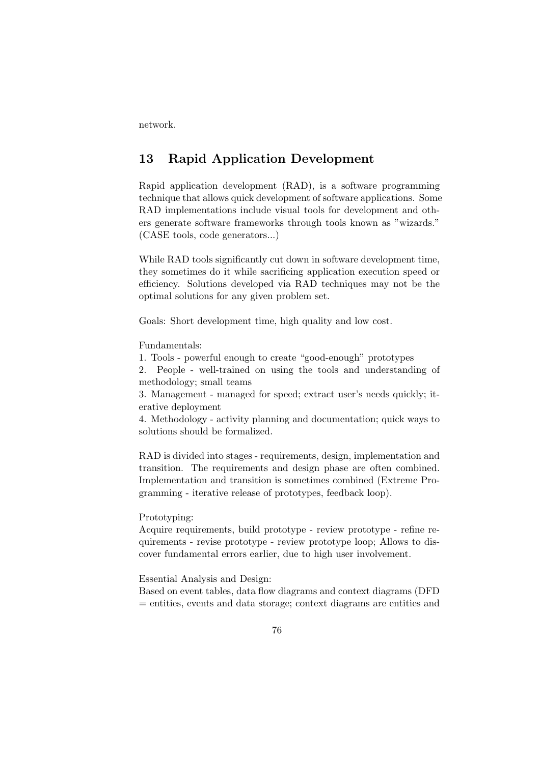network.

# 13 Rapid Application Development

Rapid application development (RAD), is a software programming technique that allows quick development of software applications. Some RAD implementations include visual tools for development and others generate software frameworks through tools known as "wizards." (CASE tools, code generators...)

While RAD tools significantly cut down in software development time, they sometimes do it while sacrificing application execution speed or efficiency. Solutions developed via RAD techniques may not be the optimal solutions for any given problem set.

Goals: Short development time, high quality and low cost.

Fundamentals:

1. Tools - powerful enough to create "good-enough" prototypes

2. People - well-trained on using the tools and understanding of methodology; small teams

3. Management - managed for speed; extract user's needs quickly; iterative deployment

4. Methodology - activity planning and documentation; quick ways to solutions should be formalized.

RAD is divided into stages - requirements, design, implementation and transition. The requirements and design phase are often combined. Implementation and transition is sometimes combined (Extreme Programming - iterative release of prototypes, feedback loop).

## Prototyping:

Acquire requirements, build prototype - review prototype - refine requirements - revise prototype - review prototype loop; Allows to discover fundamental errors earlier, due to high user involvement.

Essential Analysis and Design:

Based on event tables, data flow diagrams and context diagrams (DFD = entities, events and data storage; context diagrams are entities and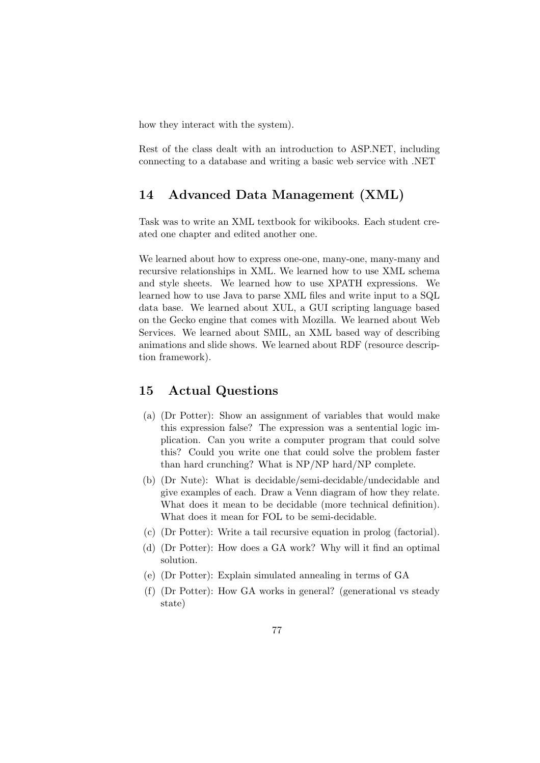how they interact with the system).

Rest of the class dealt with an introduction to ASP.NET, including connecting to a database and writing a basic web service with .NET

## 14 Advanced Data Management (XML)

Task was to write an XML textbook for wikibooks. Each student created one chapter and edited another one.

We learned about how to express one-one, many-one, many-many and recursive relationships in XML. We learned how to use XML schema and style sheets. We learned how to use XPATH expressions. We learned how to use Java to parse XML files and write input to a SQL data base. We learned about XUL, a GUI scripting language based on the Gecko engine that comes with Mozilla. We learned about Web Services. We learned about SMIL, an XML based way of describing animations and slide shows. We learned about RDF (resource description framework).

## 15 Actual Questions

- (a) (Dr Potter): Show an assignment of variables that would make this expression false? The expression was a sentential logic implication. Can you write a computer program that could solve this? Could you write one that could solve the problem faster than hard crunching? What is NP/NP hard/NP complete.
- (b) (Dr Nute): What is decidable/semi-decidable/undecidable and give examples of each. Draw a Venn diagram of how they relate. What does it mean to be decidable (more technical definition). What does it mean for FOL to be semi-decidable.
- (c) (Dr Potter): Write a tail recursive equation in prolog (factorial).
- (d) (Dr Potter): How does a GA work? Why will it find an optimal solution.
- (e) (Dr Potter): Explain simulated annealing in terms of GA
- (f) (Dr Potter): How GA works in general? (generational vs steady state)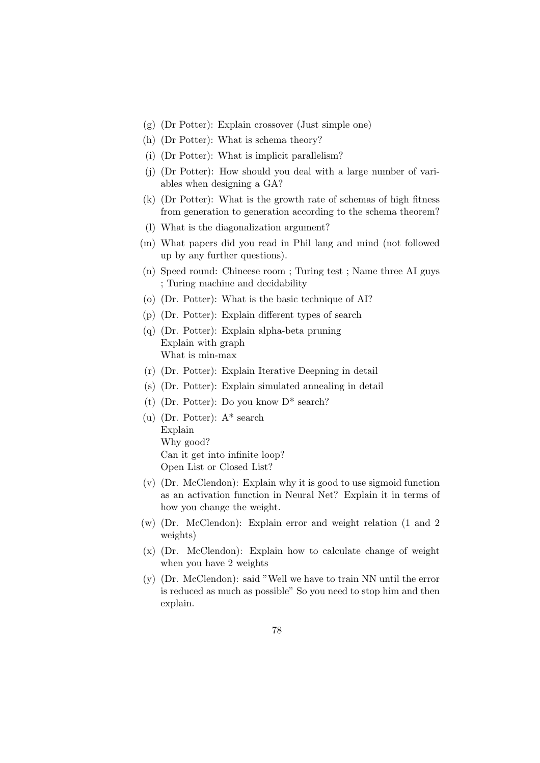- (g) (Dr Potter): Explain crossover (Just simple one)
- (h) (Dr Potter): What is schema theory?
- (i) (Dr Potter): What is implicit parallelism?
- (j) (Dr Potter): How should you deal with a large number of variables when designing a GA?
- (k) (Dr Potter): What is the growth rate of schemas of high fitness from generation to generation according to the schema theorem?
- (l) What is the diagonalization argument?
- (m) What papers did you read in Phil lang and mind (not followed up by any further questions).
- (n) Speed round: Chineese room ; Turing test ; Name three AI guys ; Turing machine and decidability
- (o) (Dr. Potter): What is the basic technique of AI?
- (p) (Dr. Potter): Explain different types of search
- (q) (Dr. Potter): Explain alpha-beta pruning Explain with graph What is min-max
- (r) (Dr. Potter): Explain Iterative Deepning in detail
- (s) (Dr. Potter): Explain simulated annealing in detail
- (t) (Dr. Potter): Do you know D\* search?
- (u) (Dr. Potter): A\* search Explain Why good? Can it get into infinite loop? Open List or Closed List?
- (v) (Dr. McClendon): Explain why it is good to use sigmoid function as an activation function in Neural Net? Explain it in terms of how you change the weight.
- (w) (Dr. McClendon): Explain error and weight relation (1 and 2 weights)
- (x) (Dr. McClendon): Explain how to calculate change of weight when you have 2 weights
- (y) (Dr. McClendon): said "Well we have to train NN until the error is reduced as much as possible" So you need to stop him and then explain.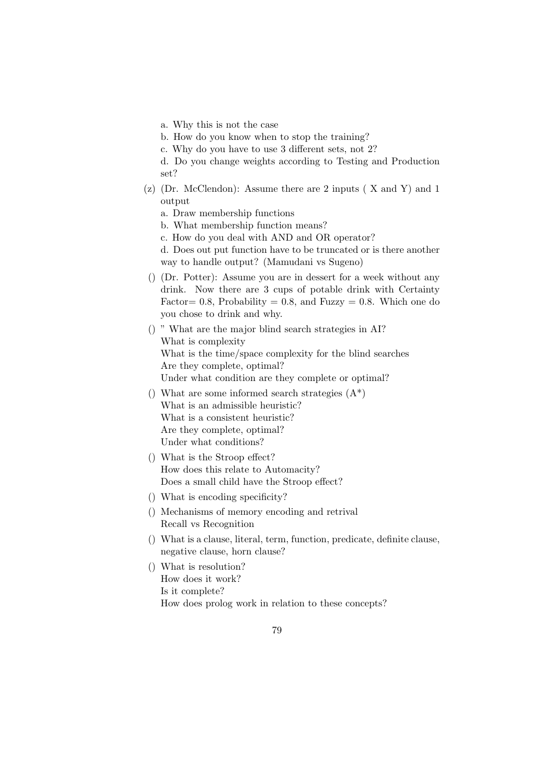a. Why this is not the case

b. How do you know when to stop the training?

c. Why do you have to use 3 different sets, not 2?

d. Do you change weights according to Testing and Production set?

(z) (Dr. McClendon): Assume there are 2 inputs ( X and Y) and 1 output

a. Draw membership functions

b. What membership function means?

c. How do you deal with AND and OR operator?

d. Does out put function have to be truncated or is there another way to handle output? (Mamudani vs Sugeno)

() (Dr. Potter): Assume you are in dessert for a week without any drink. Now there are 3 cups of potable drink with Certainty Factor = 0.8, Probability = 0.8, and Fuzzy = 0.8. Which one do you chose to drink and why.

() " What are the major blind search strategies in AI? What is complexity What is the time/space complexity for the blind searches Are they complete, optimal? Under what condition are they complete or optimal?

- () What are some informed search strategies  $(A^*)$ What is an admissible heuristic? What is a consistent heuristic? Are they complete, optimal? Under what conditions?
- () What is the Stroop effect? How does this relate to Automacity? Does a small child have the Stroop effect?
- () What is encoding specificity?
- () Mechanisms of memory encoding and retrival Recall vs Recognition
- () What is a clause, literal, term, function, predicate, definite clause, negative clause, horn clause?
- () What is resolution? How does it work? Is it complete? How does prolog work in relation to these concepts?